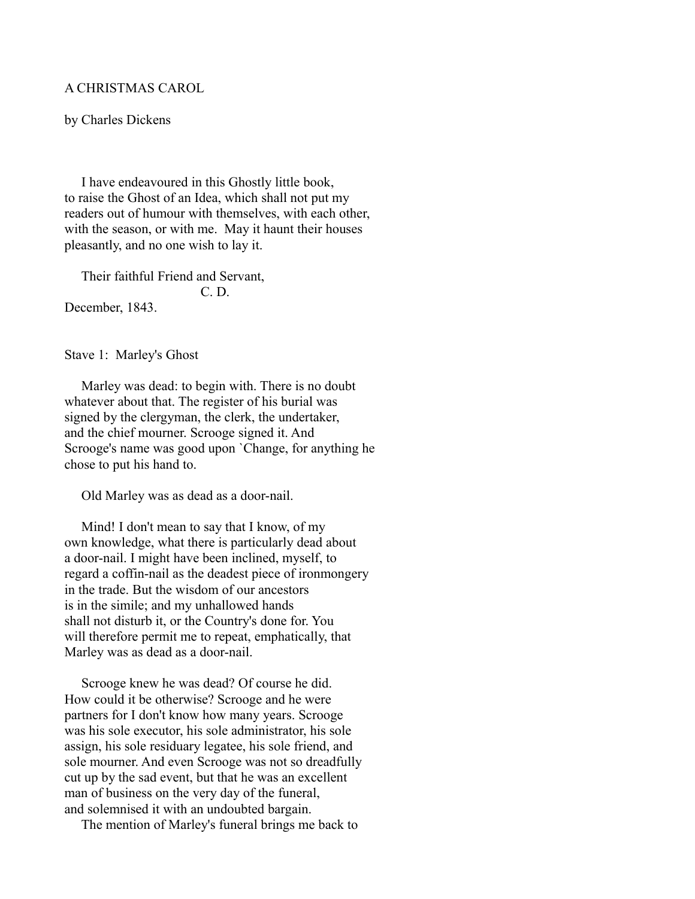## A CHRISTMAS CAROL

by Charles Dickens

 I have endeavoured in this Ghostly little book, to raise the Ghost of an Idea, which shall not put my readers out of humour with themselves, with each other, with the season, or with me. May it haunt their houses pleasantly, and no one wish to lay it.

 Their faithful Friend and Servant, C. D. December, 1843.

Stave 1: Marley's Ghost

 Marley was dead: to begin with. There is no doubt whatever about that. The register of his burial was signed by the clergyman, the clerk, the undertaker, and the chief mourner. Scrooge signed it. And Scrooge's name was good upon `Change, for anything he chose to put his hand to.

Old Marley was as dead as a door-nail.

Mind! I don't mean to say that I know, of my own knowledge, what there is particularly dead about a door-nail. I might have been inclined, myself, to regard a coffin-nail as the deadest piece of ironmongery in the trade. But the wisdom of our ancestors is in the simile; and my unhallowed hands shall not disturb it, or the Country's done for. You will therefore permit me to repeat, emphatically, that Marley was as dead as a door-nail.

 Scrooge knew he was dead? Of course he did. How could it be otherwise? Scrooge and he were partners for I don't know how many years. Scrooge was his sole executor, his sole administrator, his sole assign, his sole residuary legatee, his sole friend, and sole mourner. And even Scrooge was not so dreadfully cut up by the sad event, but that he was an excellent man of business on the very day of the funeral, and solemnised it with an undoubted bargain.

The mention of Marley's funeral brings me back to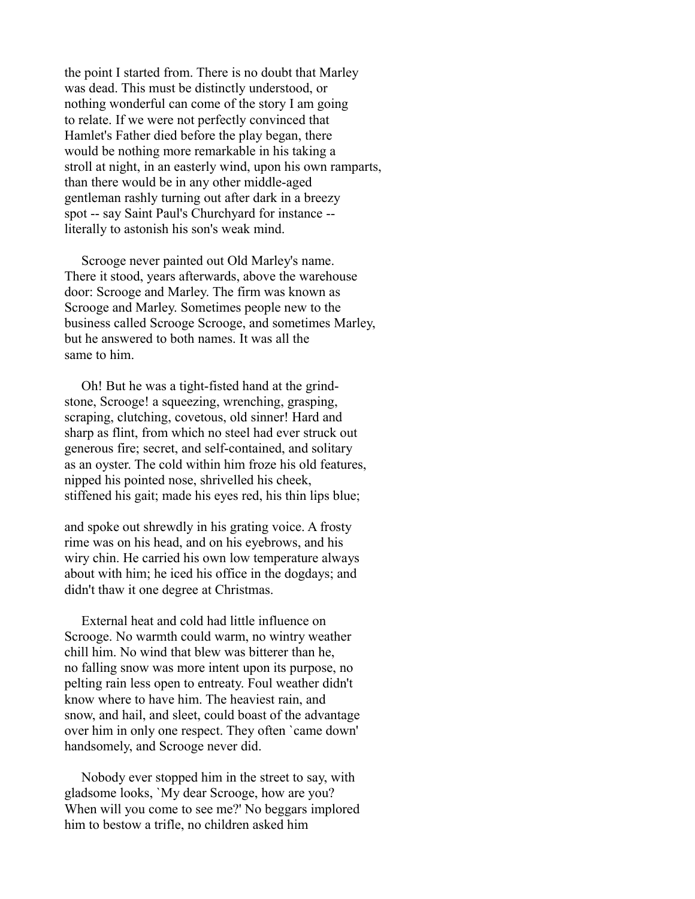the point I started from. There is no doubt that Marley was dead. This must be distinctly understood, or nothing wonderful can come of the story I am going to relate. If we were not perfectly convinced that Hamlet's Father died before the play began, there would be nothing more remarkable in his taking a stroll at night, in an easterly wind, upon his own ramparts, than there would be in any other middle-aged gentleman rashly turning out after dark in a breezy spot -- say Saint Paul's Churchyard for instance - literally to astonish his son's weak mind.

 Scrooge never painted out Old Marley's name. There it stood, years afterwards, above the warehouse door: Scrooge and Marley. The firm was known as Scrooge and Marley. Sometimes people new to the business called Scrooge Scrooge, and sometimes Marley, but he answered to both names. It was all the same to him.

 Oh! But he was a tight-fisted hand at the grindstone, Scrooge! a squeezing, wrenching, grasping, scraping, clutching, covetous, old sinner! Hard and sharp as flint, from which no steel had ever struck out generous fire; secret, and self-contained, and solitary as an oyster. The cold within him froze his old features, nipped his pointed nose, shrivelled his cheek, stiffened his gait; made his eyes red, his thin lips blue;

and spoke out shrewdly in his grating voice. A frosty rime was on his head, and on his eyebrows, and his wiry chin. He carried his own low temperature always about with him; he iced his office in the dogdays; and didn't thaw it one degree at Christmas.

 External heat and cold had little influence on Scrooge. No warmth could warm, no wintry weather chill him. No wind that blew was bitterer than he, no falling snow was more intent upon its purpose, no pelting rain less open to entreaty. Foul weather didn't know where to have him. The heaviest rain, and snow, and hail, and sleet, could boast of the advantage over him in only one respect. They often `came down' handsomely, and Scrooge never did.

 Nobody ever stopped him in the street to say, with gladsome looks, `My dear Scrooge, how are you? When will you come to see me?' No beggars implored him to bestow a trifle, no children asked him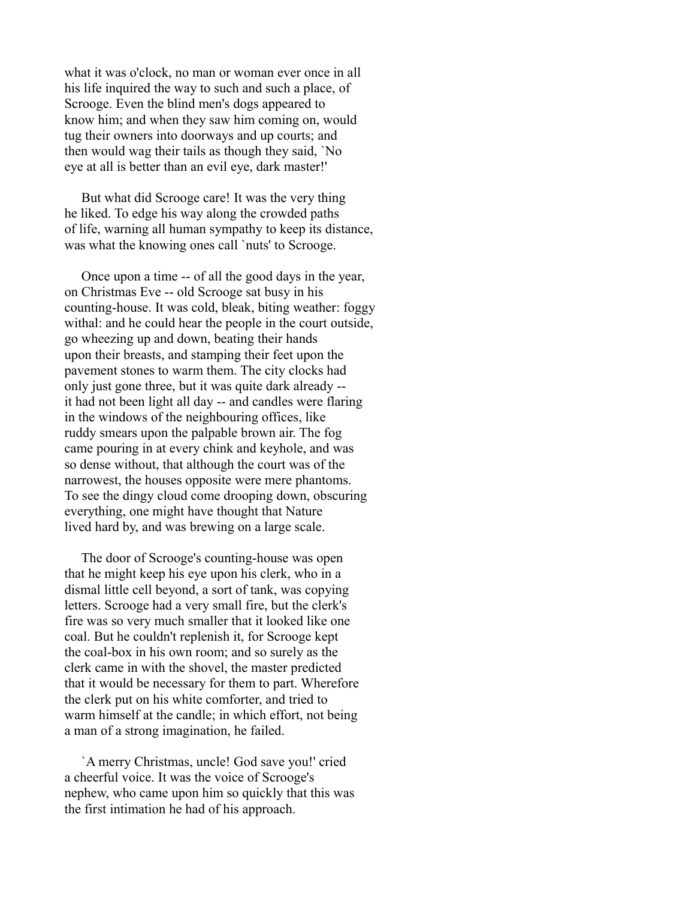what it was o'clock, no man or woman ever once in all his life inquired the way to such and such a place, of Scrooge. Even the blind men's dogs appeared to know him; and when they saw him coming on, would tug their owners into doorways and up courts; and then would wag their tails as though they said, `No eye at all is better than an evil eye, dark master!'

 But what did Scrooge care! It was the very thing he liked. To edge his way along the crowded paths of life, warning all human sympathy to keep its distance, was what the knowing ones call `nuts' to Scrooge.

 Once upon a time -- of all the good days in the year, on Christmas Eve -- old Scrooge sat busy in his counting-house. It was cold, bleak, biting weather: foggy withal: and he could hear the people in the court outside, go wheezing up and down, beating their hands upon their breasts, and stamping their feet upon the pavement stones to warm them. The city clocks had only just gone three, but it was quite dark already - it had not been light all day -- and candles were flaring in the windows of the neighbouring offices, like ruddy smears upon the palpable brown air. The fog came pouring in at every chink and keyhole, and was so dense without, that although the court was of the narrowest, the houses opposite were mere phantoms. To see the dingy cloud come drooping down, obscuring everything, one might have thought that Nature lived hard by, and was brewing on a large scale.

 The door of Scrooge's counting-house was open that he might keep his eye upon his clerk, who in a dismal little cell beyond, a sort of tank, was copying letters. Scrooge had a very small fire, but the clerk's fire was so very much smaller that it looked like one coal. But he couldn't replenish it, for Scrooge kept the coal-box in his own room; and so surely as the clerk came in with the shovel, the master predicted that it would be necessary for them to part. Wherefore the clerk put on his white comforter, and tried to warm himself at the candle; in which effort, not being a man of a strong imagination, he failed.

 `A merry Christmas, uncle! God save you!' cried a cheerful voice. It was the voice of Scrooge's nephew, who came upon him so quickly that this was the first intimation he had of his approach.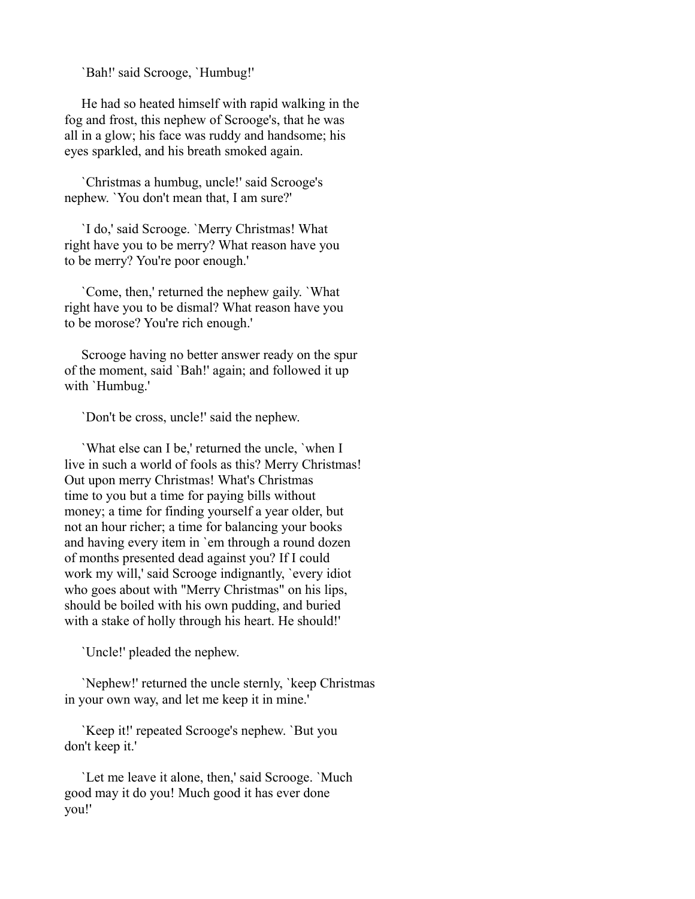`Bah!' said Scrooge, `Humbug!'

 He had so heated himself with rapid walking in the fog and frost, this nephew of Scrooge's, that he was all in a glow; his face was ruddy and handsome; his eyes sparkled, and his breath smoked again.

 `Christmas a humbug, uncle!' said Scrooge's nephew. `You don't mean that, I am sure?'

 `I do,' said Scrooge. `Merry Christmas! What right have you to be merry? What reason have you to be merry? You're poor enough.'

 `Come, then,' returned the nephew gaily. `What right have you to be dismal? What reason have you to be morose? You're rich enough.'

 Scrooge having no better answer ready on the spur of the moment, said `Bah!' again; and followed it up with `Humbug.'

`Don't be cross, uncle!' said the nephew.

 `What else can I be,' returned the uncle, `when I live in such a world of fools as this? Merry Christmas! Out upon merry Christmas! What's Christmas time to you but a time for paying bills without money; a time for finding yourself a year older, but not an hour richer; a time for balancing your books and having every item in `em through a round dozen of months presented dead against you? If I could work my will,' said Scrooge indignantly, `every idiot who goes about with "Merry Christmas" on his lips, should be boiled with his own pudding, and buried with a stake of holly through his heart. He should!'

`Uncle!' pleaded the nephew.

 `Nephew!' returned the uncle sternly, `keep Christmas in your own way, and let me keep it in mine.'

 `Keep it!' repeated Scrooge's nephew. `But you don't keep it.'

 `Let me leave it alone, then,' said Scrooge. `Much good may it do you! Much good it has ever done you!'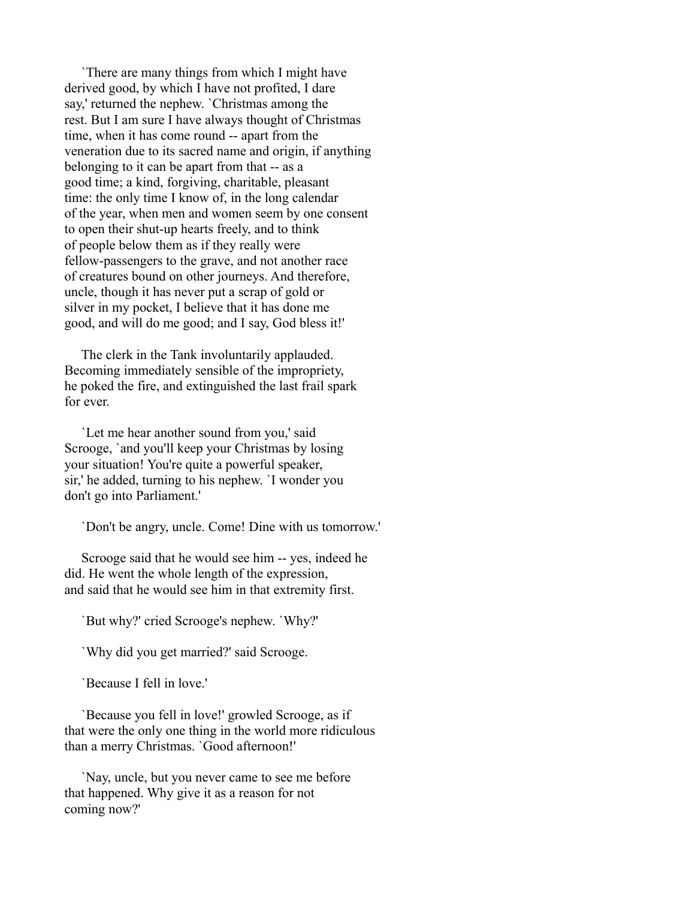`There are many things from which I might have derived good, by which I have not profited, I dare say,' returned the nephew. `Christmas among the rest. But I am sure I have always thought of Christmas time, when it has come round -- apart from the veneration due to its sacred name and origin, if anything belonging to it can be apart from that -- as a good time; a kind, forgiving, charitable, pleasant time: the only time I know of, in the long calendar of the year, when men and women seem by one consent to open their shut-up hearts freely, and to think of people below them as if they really were fellow-passengers to the grave, and not another race of creatures bound on other journeys. And therefore, uncle, though it has never put a scrap of gold or silver in my pocket, I believe that it has done me good, and will do me good; and I say, God bless it!'

 The clerk in the Tank involuntarily applauded. Becoming immediately sensible of the impropriety, he poked the fire, and extinguished the last frail spark for ever.

 `Let me hear another sound from you,' said Scrooge, `and you'll keep your Christmas by losing your situation! You're quite a powerful speaker, sir,' he added, turning to his nephew. `I wonder you don't go into Parliament.'

`Don't be angry, uncle. Come! Dine with us tomorrow.'

 Scrooge said that he would see him -- yes, indeed he did. He went the whole length of the expression, and said that he would see him in that extremity first.

`But why?' cried Scrooge's nephew. `Why?'

`Why did you get married?' said Scrooge.

`Because I fell in love.'

 `Because you fell in love!' growled Scrooge, as if that were the only one thing in the world more ridiculous than a merry Christmas. `Good afternoon!'

 `Nay, uncle, but you never came to see me before that happened. Why give it as a reason for not coming now?'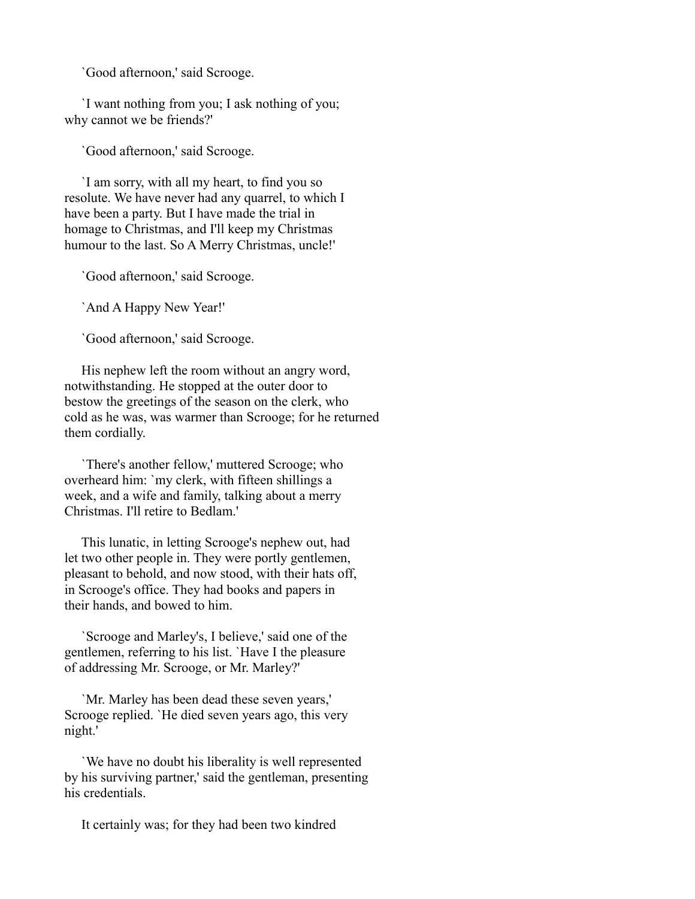`Good afternoon,' said Scrooge.

 `I want nothing from you; I ask nothing of you; why cannot we be friends?'

`Good afternoon,' said Scrooge.

 `I am sorry, with all my heart, to find you so resolute. We have never had any quarrel, to which I have been a party. But I have made the trial in homage to Christmas, and I'll keep my Christmas humour to the last. So A Merry Christmas, uncle!'

`Good afternoon,' said Scrooge.

`And A Happy New Year!'

`Good afternoon,' said Scrooge.

 His nephew left the room without an angry word, notwithstanding. He stopped at the outer door to bestow the greetings of the season on the clerk, who cold as he was, was warmer than Scrooge; for he returned them cordially.

 `There's another fellow,' muttered Scrooge; who overheard him: `my clerk, with fifteen shillings a week, and a wife and family, talking about a merry Christmas. I'll retire to Bedlam.'

 This lunatic, in letting Scrooge's nephew out, had let two other people in. They were portly gentlemen, pleasant to behold, and now stood, with their hats off, in Scrooge's office. They had books and papers in their hands, and bowed to him.

 `Scrooge and Marley's, I believe,' said one of the gentlemen, referring to his list. `Have I the pleasure of addressing Mr. Scrooge, or Mr. Marley?'

 `Mr. Marley has been dead these seven years,' Scrooge replied. `He died seven years ago, this very night.'

 `We have no doubt his liberality is well represented by his surviving partner,' said the gentleman, presenting his credentials.

It certainly was; for they had been two kindred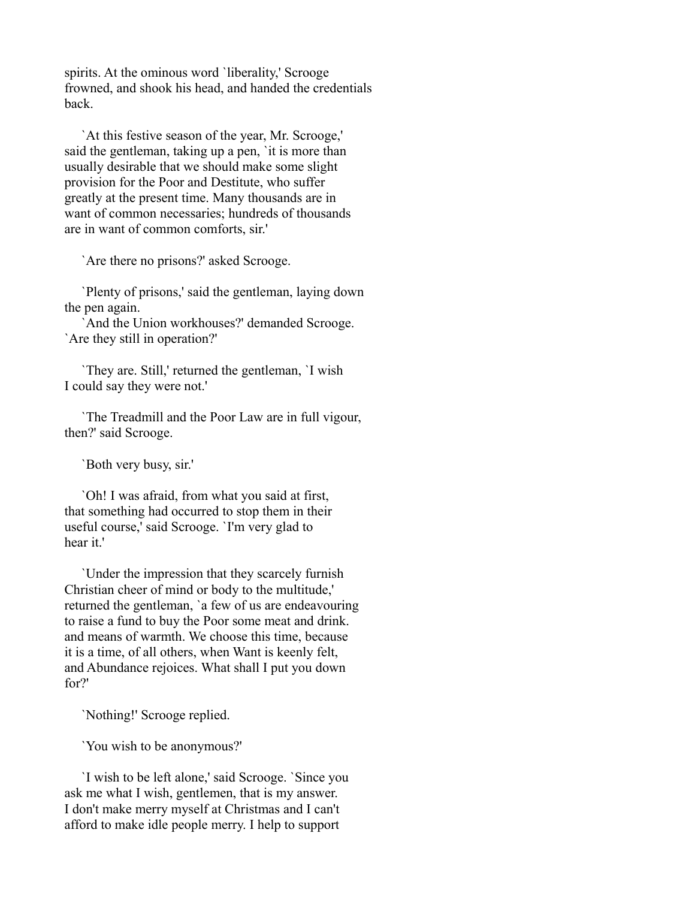spirits. At the ominous word 'liberality,' Scrooge frowned, and shook his head, and handed the credentials back.

 `At this festive season of the year, Mr. Scrooge,' said the gentleman, taking up a pen, 'it is more than usually desirable that we should make some slight provision for the Poor and Destitute, who suffer greatly at the present time. Many thousands are in want of common necessaries; hundreds of thousands are in want of common comforts, sir.'

`Are there no prisons?' asked Scrooge.

 `Plenty of prisons,' said the gentleman, laying down the pen again.

 `And the Union workhouses?' demanded Scrooge. `Are they still in operation?'

 `They are. Still,' returned the gentleman, `I wish I could say they were not.'

 `The Treadmill and the Poor Law are in full vigour, then?' said Scrooge.

`Both very busy, sir.'

 `Oh! I was afraid, from what you said at first, that something had occurred to stop them in their useful course,' said Scrooge. `I'm very glad to hear it.'

 `Under the impression that they scarcely furnish Christian cheer of mind or body to the multitude,' returned the gentleman, `a few of us are endeavouring to raise a fund to buy the Poor some meat and drink. and means of warmth. We choose this time, because it is a time, of all others, when Want is keenly felt, and Abundance rejoices. What shall I put you down for?'

`Nothing!' Scrooge replied.

`You wish to be anonymous?'

 `I wish to be left alone,' said Scrooge. `Since you ask me what I wish, gentlemen, that is my answer. I don't make merry myself at Christmas and I can't afford to make idle people merry. I help to support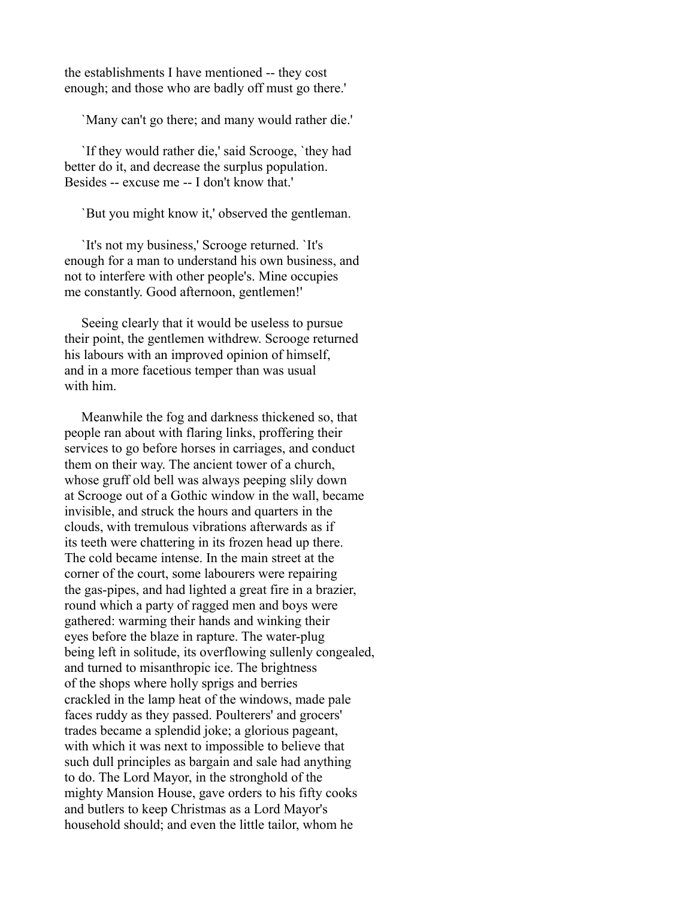the establishments I have mentioned -- they cost enough; and those who are badly off must go there.'

`Many can't go there; and many would rather die.'

 `If they would rather die,' said Scrooge, `they had better do it, and decrease the surplus population. Besides -- excuse me -- I don't know that.'

`But you might know it,' observed the gentleman.

 `It's not my business,' Scrooge returned. `It's enough for a man to understand his own business, and not to interfere with other people's. Mine occupies me constantly. Good afternoon, gentlemen!'

 Seeing clearly that it would be useless to pursue their point, the gentlemen withdrew. Scrooge returned his labours with an improved opinion of himself, and in a more facetious temper than was usual with him.

 Meanwhile the fog and darkness thickened so, that people ran about with flaring links, proffering their services to go before horses in carriages, and conduct them on their way. The ancient tower of a church, whose gruff old bell was always peeping slily down at Scrooge out of a Gothic window in the wall, became invisible, and struck the hours and quarters in the clouds, with tremulous vibrations afterwards as if its teeth were chattering in its frozen head up there. The cold became intense. In the main street at the corner of the court, some labourers were repairing the gas-pipes, and had lighted a great fire in a brazier, round which a party of ragged men and boys were gathered: warming their hands and winking their eyes before the blaze in rapture. The water-plug being left in solitude, its overflowing sullenly congealed, and turned to misanthropic ice. The brightness of the shops where holly sprigs and berries crackled in the lamp heat of the windows, made pale faces ruddy as they passed. Poulterers' and grocers' trades became a splendid joke; a glorious pageant, with which it was next to impossible to believe that such dull principles as bargain and sale had anything to do. The Lord Mayor, in the stronghold of the mighty Mansion House, gave orders to his fifty cooks and butlers to keep Christmas as a Lord Mayor's household should; and even the little tailor, whom he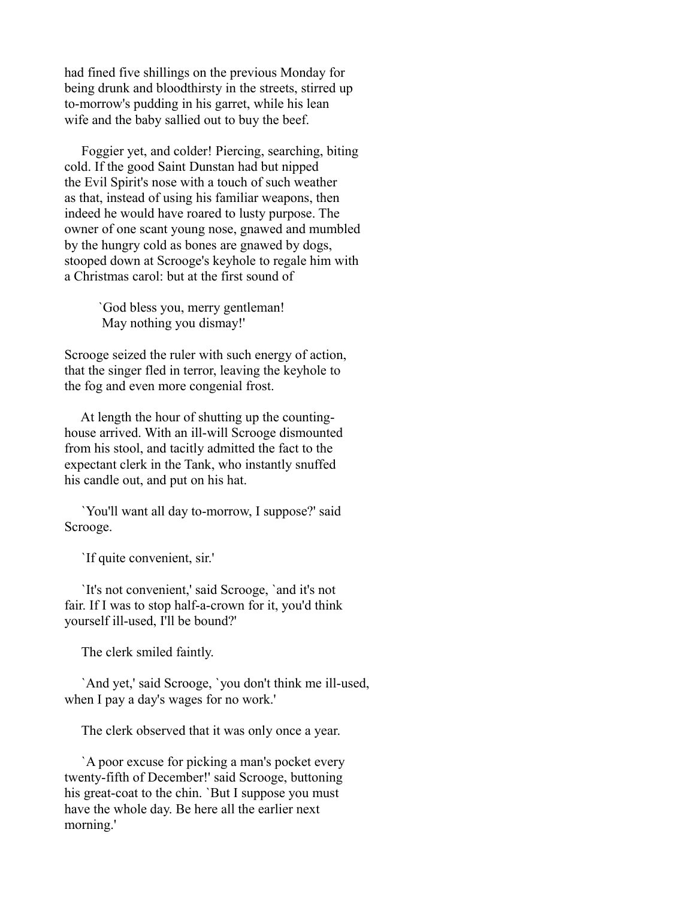had fined five shillings on the previous Monday for being drunk and bloodthirsty in the streets, stirred up to-morrow's pudding in his garret, while his lean wife and the baby sallied out to buy the beef.

 Foggier yet, and colder! Piercing, searching, biting cold. If the good Saint Dunstan had but nipped the Evil Spirit's nose with a touch of such weather as that, instead of using his familiar weapons, then indeed he would have roared to lusty purpose. The owner of one scant young nose, gnawed and mumbled by the hungry cold as bones are gnawed by dogs, stooped down at Scrooge's keyhole to regale him with a Christmas carol: but at the first sound of

> `God bless you, merry gentleman! May nothing you dismay!'

Scrooge seized the ruler with such energy of action, that the singer fled in terror, leaving the keyhole to the fog and even more congenial frost.

 At length the hour of shutting up the countinghouse arrived. With an ill-will Scrooge dismounted from his stool, and tacitly admitted the fact to the expectant clerk in the Tank, who instantly snuffed his candle out, and put on his hat.

 `You'll want all day to-morrow, I suppose?' said Scrooge.

`If quite convenient, sir.'

 `It's not convenient,' said Scrooge, `and it's not fair. If I was to stop half-a-crown for it, you'd think yourself ill-used, I'll be bound?'

The clerk smiled faintly.

 `And yet,' said Scrooge, `you don't think me ill-used, when I pay a day's wages for no work.'

The clerk observed that it was only once a year.

 `A poor excuse for picking a man's pocket every twenty-fifth of December!' said Scrooge, buttoning his great-coat to the chin. `But I suppose you must have the whole day. Be here all the earlier next morning.'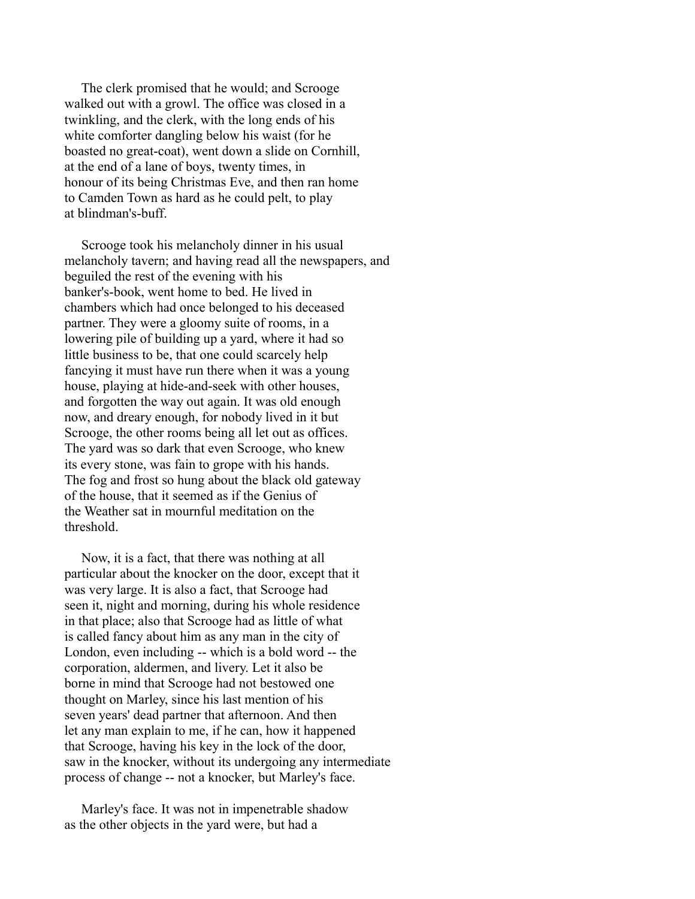The clerk promised that he would; and Scrooge walked out with a growl. The office was closed in a twinkling, and the clerk, with the long ends of his white comforter dangling below his waist (for he boasted no great-coat), went down a slide on Cornhill, at the end of a lane of boys, twenty times, in honour of its being Christmas Eve, and then ran home to Camden Town as hard as he could pelt, to play at blindman's-buff.

 Scrooge took his melancholy dinner in his usual melancholy tavern; and having read all the newspapers, and beguiled the rest of the evening with his banker's-book, went home to bed. He lived in chambers which had once belonged to his deceased partner. They were a gloomy suite of rooms, in a lowering pile of building up a yard, where it had so little business to be, that one could scarcely help fancying it must have run there when it was a young house, playing at hide-and-seek with other houses, and forgotten the way out again. It was old enough now, and dreary enough, for nobody lived in it but Scrooge, the other rooms being all let out as offices. The yard was so dark that even Scrooge, who knew its every stone, was fain to grope with his hands. The fog and frost so hung about the black old gateway of the house, that it seemed as if the Genius of the Weather sat in mournful meditation on the threshold.

 Now, it is a fact, that there was nothing at all particular about the knocker on the door, except that it was very large. It is also a fact, that Scrooge had seen it, night and morning, during his whole residence in that place; also that Scrooge had as little of what is called fancy about him as any man in the city of London, even including -- which is a bold word -- the corporation, aldermen, and livery. Let it also be borne in mind that Scrooge had not bestowed one thought on Marley, since his last mention of his seven years' dead partner that afternoon. And then let any man explain to me, if he can, how it happened that Scrooge, having his key in the lock of the door, saw in the knocker, without its undergoing any intermediate process of change -- not a knocker, but Marley's face.

 Marley's face. It was not in impenetrable shadow as the other objects in the yard were, but had a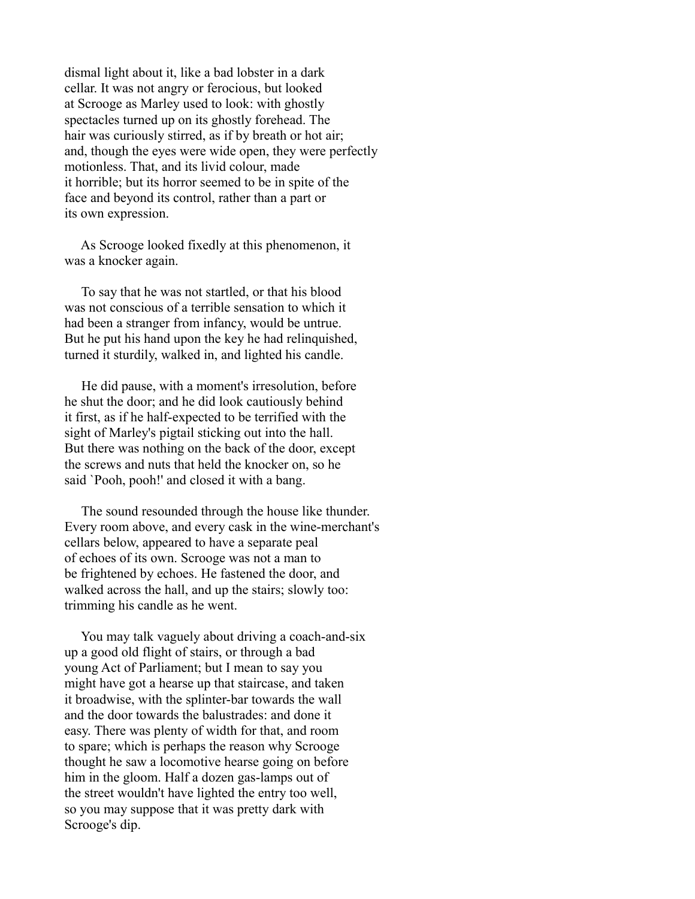dismal light about it, like a bad lobster in a dark cellar. It was not angry or ferocious, but looked at Scrooge as Marley used to look: with ghostly spectacles turned up on its ghostly forehead. The hair was curiously stirred, as if by breath or hot air; and, though the eyes were wide open, they were perfectly motionless. That, and its livid colour, made it horrible; but its horror seemed to be in spite of the face and beyond its control, rather than a part or its own expression.

 As Scrooge looked fixedly at this phenomenon, it was a knocker again.

 To say that he was not startled, or that his blood was not conscious of a terrible sensation to which it had been a stranger from infancy, would be untrue. But he put his hand upon the key he had relinquished, turned it sturdily, walked in, and lighted his candle.

 He did pause, with a moment's irresolution, before he shut the door; and he did look cautiously behind it first, as if he half-expected to be terrified with the sight of Marley's pigtail sticking out into the hall. But there was nothing on the back of the door, except the screws and nuts that held the knocker on, so he said `Pooh, pooh!' and closed it with a bang.

 The sound resounded through the house like thunder. Every room above, and every cask in the wine-merchant's cellars below, appeared to have a separate peal of echoes of its own. Scrooge was not a man to be frightened by echoes. He fastened the door, and walked across the hall, and up the stairs; slowly too: trimming his candle as he went.

 You may talk vaguely about driving a coach-and-six up a good old flight of stairs, or through a bad young Act of Parliament; but I mean to say you might have got a hearse up that staircase, and taken it broadwise, with the splinter-bar towards the wall and the door towards the balustrades: and done it easy. There was plenty of width for that, and room to spare; which is perhaps the reason why Scrooge thought he saw a locomotive hearse going on before him in the gloom. Half a dozen gas-lamps out of the street wouldn't have lighted the entry too well, so you may suppose that it was pretty dark with Scrooge's dip.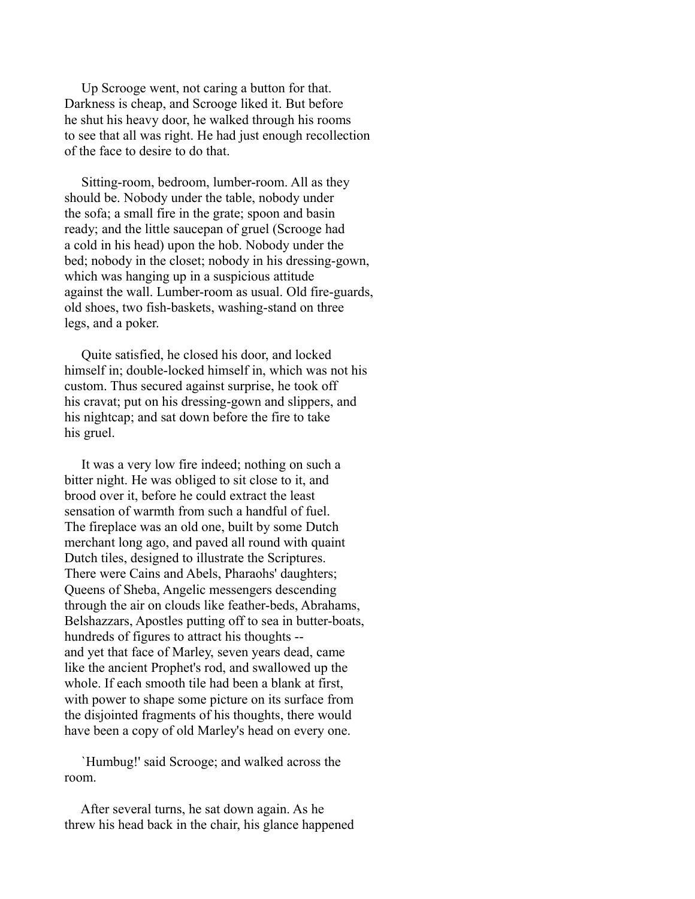Up Scrooge went, not caring a button for that. Darkness is cheap, and Scrooge liked it. But before he shut his heavy door, he walked through his rooms to see that all was right. He had just enough recollection of the face to desire to do that.

 Sitting-room, bedroom, lumber-room. All as they should be. Nobody under the table, nobody under the sofa; a small fire in the grate; spoon and basin ready; and the little saucepan of gruel (Scrooge had a cold in his head) upon the hob. Nobody under the bed; nobody in the closet; nobody in his dressing-gown, which was hanging up in a suspicious attitude against the wall. Lumber-room as usual. Old fire-guards, old shoes, two fish-baskets, washing-stand on three legs, and a poker.

 Quite satisfied, he closed his door, and locked himself in; double-locked himself in, which was not his custom. Thus secured against surprise, he took off his cravat; put on his dressing-gown and slippers, and his nightcap; and sat down before the fire to take his gruel.

 It was a very low fire indeed; nothing on such a bitter night. He was obliged to sit close to it, and brood over it, before he could extract the least sensation of warmth from such a handful of fuel. The fireplace was an old one, built by some Dutch merchant long ago, and paved all round with quaint Dutch tiles, designed to illustrate the Scriptures. There were Cains and Abels, Pharaohs' daughters; Queens of Sheba, Angelic messengers descending through the air on clouds like feather-beds, Abrahams, Belshazzars, Apostles putting off to sea in butter-boats, hundreds of figures to attract his thoughts - and yet that face of Marley, seven years dead, came like the ancient Prophet's rod, and swallowed up the whole. If each smooth tile had been a blank at first, with power to shape some picture on its surface from the disjointed fragments of his thoughts, there would have been a copy of old Marley's head on every one.

 `Humbug!' said Scrooge; and walked across the room.

 After several turns, he sat down again. As he threw his head back in the chair, his glance happened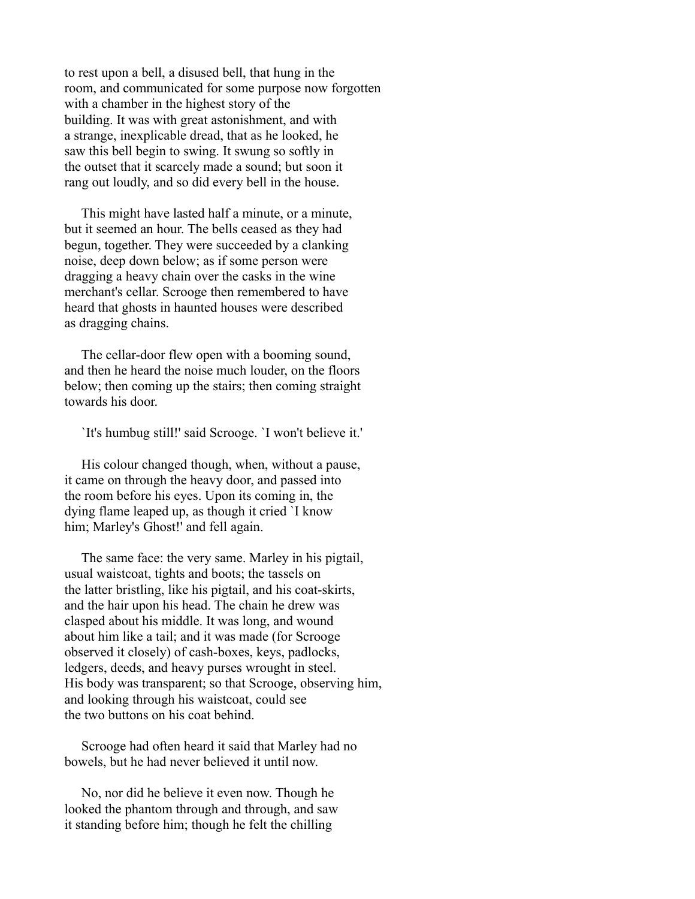to rest upon a bell, a disused bell, that hung in the room, and communicated for some purpose now forgotten with a chamber in the highest story of the building. It was with great astonishment, and with a strange, inexplicable dread, that as he looked, he saw this bell begin to swing. It swung so softly in the outset that it scarcely made a sound; but soon it rang out loudly, and so did every bell in the house.

 This might have lasted half a minute, or a minute, but it seemed an hour. The bells ceased as they had begun, together. They were succeeded by a clanking noise, deep down below; as if some person were dragging a heavy chain over the casks in the wine merchant's cellar. Scrooge then remembered to have heard that ghosts in haunted houses were described as dragging chains.

 The cellar-door flew open with a booming sound, and then he heard the noise much louder, on the floors below; then coming up the stairs; then coming straight towards his door.

`It's humbug still!' said Scrooge. `I won't believe it.'

 His colour changed though, when, without a pause, it came on through the heavy door, and passed into the room before his eyes. Upon its coming in, the dying flame leaped up, as though it cried `I know him; Marley's Ghost!' and fell again.

 The same face: the very same. Marley in his pigtail, usual waistcoat, tights and boots; the tassels on the latter bristling, like his pigtail, and his coat-skirts, and the hair upon his head. The chain he drew was clasped about his middle. It was long, and wound about him like a tail; and it was made (for Scrooge observed it closely) of cash-boxes, keys, padlocks, ledgers, deeds, and heavy purses wrought in steel. His body was transparent; so that Scrooge, observing him, and looking through his waistcoat, could see the two buttons on his coat behind.

 Scrooge had often heard it said that Marley had no bowels, but he had never believed it until now.

 No, nor did he believe it even now. Though he looked the phantom through and through, and saw it standing before him; though he felt the chilling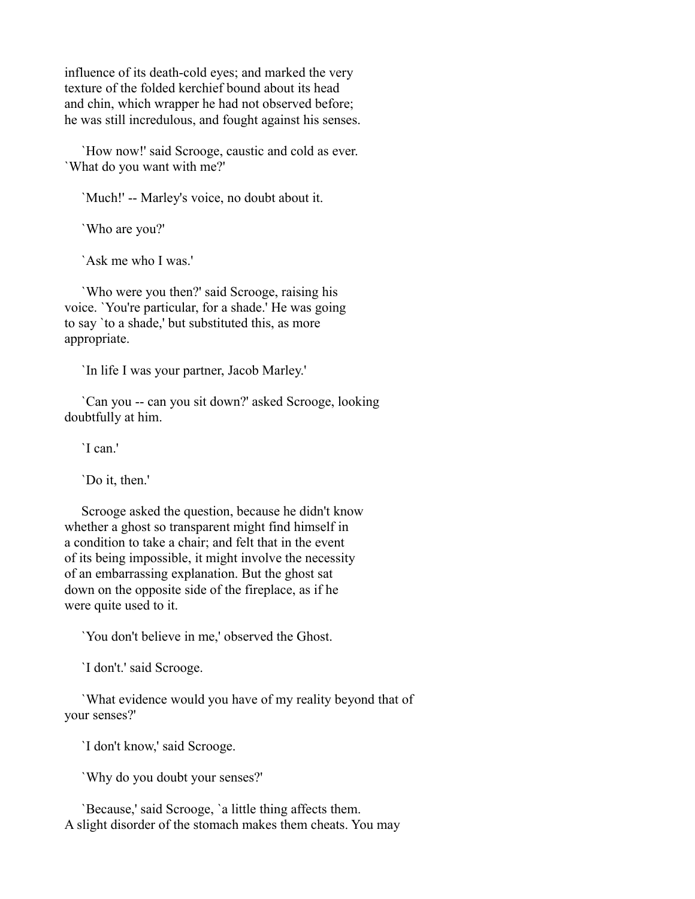influence of its death-cold eyes; and marked the very texture of the folded kerchief bound about its head and chin, which wrapper he had not observed before; he was still incredulous, and fought against his senses.

 `How now!' said Scrooge, caustic and cold as ever. `What do you want with me?'

`Much!' -- Marley's voice, no doubt about it.

`Who are you?'

`Ask me who I was.'

 `Who were you then?' said Scrooge, raising his voice. `You're particular, for a shade.' He was going to say `to a shade,' but substituted this, as more appropriate.

`In life I was your partner, Jacob Marley.'

 `Can you -- can you sit down?' asked Scrooge, looking doubtfully at him.

`I can.'

`Do it, then.'

 Scrooge asked the question, because he didn't know whether a ghost so transparent might find himself in a condition to take a chair; and felt that in the event of its being impossible, it might involve the necessity of an embarrassing explanation. But the ghost sat down on the opposite side of the fireplace, as if he were quite used to it.

`You don't believe in me,' observed the Ghost.

`I don't.' said Scrooge.

 `What evidence would you have of my reality beyond that of your senses?'

`I don't know,' said Scrooge.

`Why do you doubt your senses?'

 `Because,' said Scrooge, `a little thing affects them. A slight disorder of the stomach makes them cheats. You may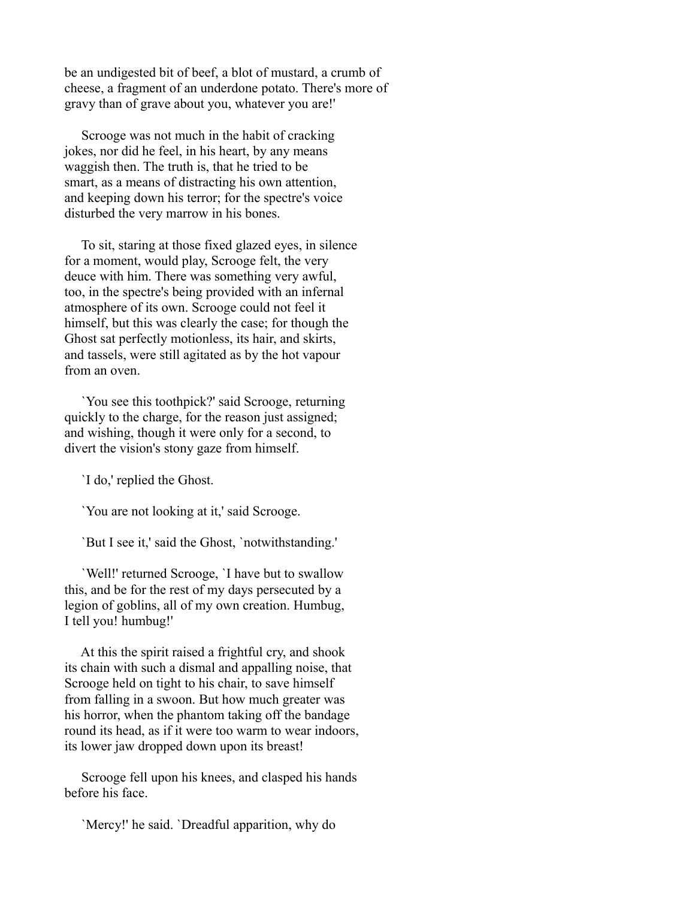be an undigested bit of beef, a blot of mustard, a crumb of cheese, a fragment of an underdone potato. There's more of gravy than of grave about you, whatever you are!'

 Scrooge was not much in the habit of cracking jokes, nor did he feel, in his heart, by any means waggish then. The truth is, that he tried to be smart, as a means of distracting his own attention, and keeping down his terror; for the spectre's voice disturbed the very marrow in his bones.

 To sit, staring at those fixed glazed eyes, in silence for a moment, would play, Scrooge felt, the very deuce with him. There was something very awful, too, in the spectre's being provided with an infernal atmosphere of its own. Scrooge could not feel it himself, but this was clearly the case; for though the Ghost sat perfectly motionless, its hair, and skirts, and tassels, were still agitated as by the hot vapour from an oven.

 `You see this toothpick?' said Scrooge, returning quickly to the charge, for the reason just assigned; and wishing, though it were only for a second, to divert the vision's stony gaze from himself.

`I do,' replied the Ghost.

`You are not looking at it,' said Scrooge.

`But I see it,' said the Ghost, `notwithstanding.'

 `Well!' returned Scrooge, `I have but to swallow this, and be for the rest of my days persecuted by a legion of goblins, all of my own creation. Humbug, I tell you! humbug!'

 At this the spirit raised a frightful cry, and shook its chain with such a dismal and appalling noise, that Scrooge held on tight to his chair, to save himself from falling in a swoon. But how much greater was his horror, when the phantom taking off the bandage round its head, as if it were too warm to wear indoors, its lower jaw dropped down upon its breast!

 Scrooge fell upon his knees, and clasped his hands before his face.

`Mercy!' he said. `Dreadful apparition, why do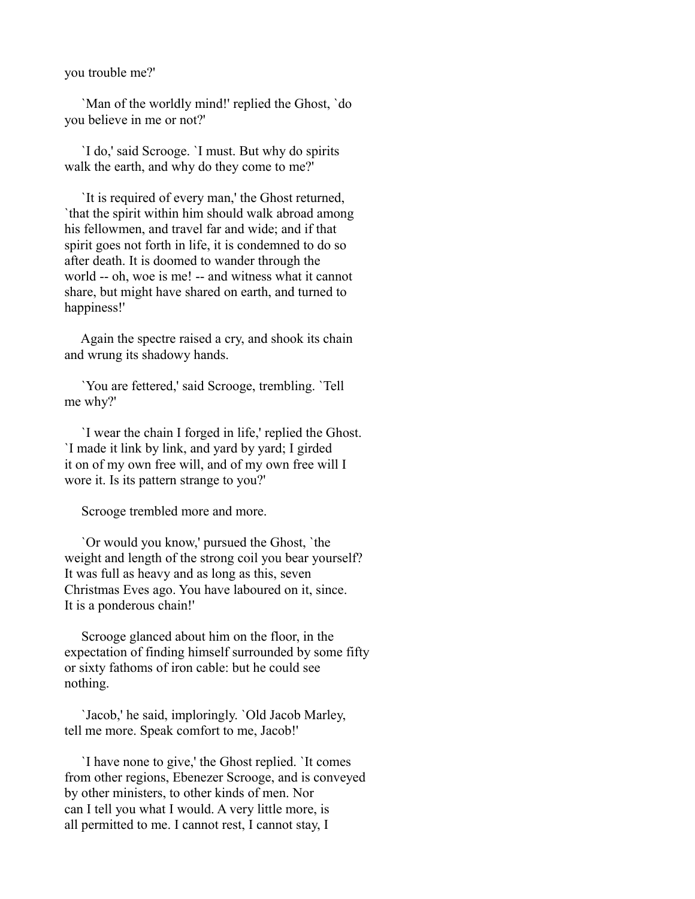you trouble me?'

 `Man of the worldly mind!' replied the Ghost, `do you believe in me or not?'

 `I do,' said Scrooge. `I must. But why do spirits walk the earth, and why do they come to me?'

 `It is required of every man,' the Ghost returned, `that the spirit within him should walk abroad among his fellowmen, and travel far and wide; and if that spirit goes not forth in life, it is condemned to do so after death. It is doomed to wander through the world -- oh, woe is me! -- and witness what it cannot share, but might have shared on earth, and turned to happiness!'

 Again the spectre raised a cry, and shook its chain and wrung its shadowy hands.

 `You are fettered,' said Scrooge, trembling. `Tell me why?'

 `I wear the chain I forged in life,' replied the Ghost. `I made it link by link, and yard by yard; I girded it on of my own free will, and of my own free will I wore it. Is its pattern strange to you?'

Scrooge trembled more and more.

 `Or would you know,' pursued the Ghost, `the weight and length of the strong coil you bear yourself? It was full as heavy and as long as this, seven Christmas Eves ago. You have laboured on it, since. It is a ponderous chain!'

 Scrooge glanced about him on the floor, in the expectation of finding himself surrounded by some fifty or sixty fathoms of iron cable: but he could see nothing.

 `Jacob,' he said, imploringly. `Old Jacob Marley, tell me more. Speak comfort to me, Jacob!'

 `I have none to give,' the Ghost replied. `It comes from other regions, Ebenezer Scrooge, and is conveyed by other ministers, to other kinds of men. Nor can I tell you what I would. A very little more, is all permitted to me. I cannot rest, I cannot stay, I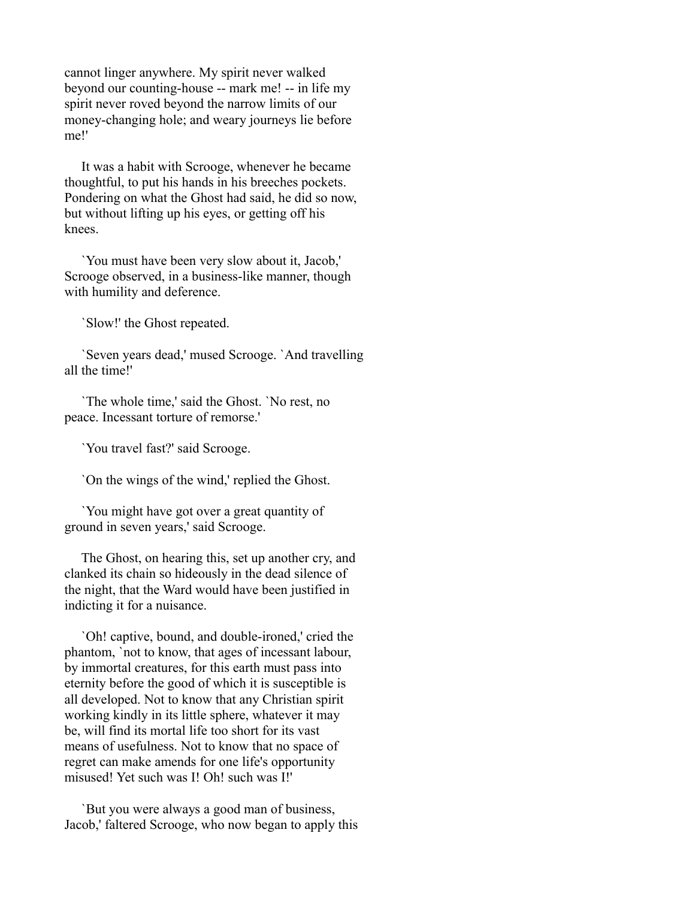cannot linger anywhere. My spirit never walked beyond our counting-house -- mark me! -- in life my spirit never roved beyond the narrow limits of our money-changing hole; and weary journeys lie before me!'

 It was a habit with Scrooge, whenever he became thoughtful, to put his hands in his breeches pockets. Pondering on what the Ghost had said, he did so now, but without lifting up his eyes, or getting off his knees.

 `You must have been very slow about it, Jacob,' Scrooge observed, in a business-like manner, though with humility and deference.

`Slow!' the Ghost repeated.

 `Seven years dead,' mused Scrooge. `And travelling all the time!'

 `The whole time,' said the Ghost. `No rest, no peace. Incessant torture of remorse.'

`You travel fast?' said Scrooge.

`On the wings of the wind,' replied the Ghost.

 `You might have got over a great quantity of ground in seven years,' said Scrooge.

 The Ghost, on hearing this, set up another cry, and clanked its chain so hideously in the dead silence of the night, that the Ward would have been justified in indicting it for a nuisance.

 `Oh! captive, bound, and double-ironed,' cried the phantom, `not to know, that ages of incessant labour, by immortal creatures, for this earth must pass into eternity before the good of which it is susceptible is all developed. Not to know that any Christian spirit working kindly in its little sphere, whatever it may be, will find its mortal life too short for its vast means of usefulness. Not to know that no space of regret can make amends for one life's opportunity misused! Yet such was I! Oh! such was I!'

 `But you were always a good man of business, Jacob,' faltered Scrooge, who now began to apply this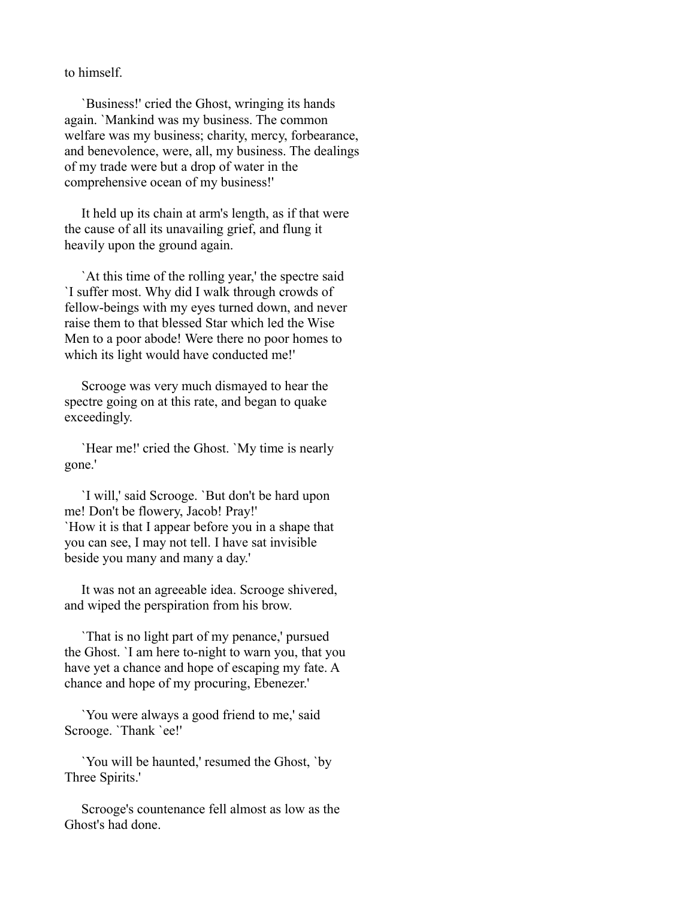to himself.

 `Business!' cried the Ghost, wringing its hands again. `Mankind was my business. The common welfare was my business; charity, mercy, forbearance, and benevolence, were, all, my business. The dealings of my trade were but a drop of water in the comprehensive ocean of my business!'

 It held up its chain at arm's length, as if that were the cause of all its unavailing grief, and flung it heavily upon the ground again.

 `At this time of the rolling year,' the spectre said `I suffer most. Why did I walk through crowds of fellow-beings with my eyes turned down, and never raise them to that blessed Star which led the Wise Men to a poor abode! Were there no poor homes to which its light would have conducted me!'

 Scrooge was very much dismayed to hear the spectre going on at this rate, and began to quake exceedingly.

 `Hear me!' cried the Ghost. `My time is nearly gone.'

 `I will,' said Scrooge. `But don't be hard upon me! Don't be flowery, Jacob! Pray!' `How it is that I appear before you in a shape that you can see, I may not tell. I have sat invisible beside you many and many a day.'

 It was not an agreeable idea. Scrooge shivered, and wiped the perspiration from his brow.

 `That is no light part of my penance,' pursued the Ghost. `I am here to-night to warn you, that you have yet a chance and hope of escaping my fate. A chance and hope of my procuring, Ebenezer.'

 `You were always a good friend to me,' said Scrooge. `Thank `ee!'

 `You will be haunted,' resumed the Ghost, `by Three Spirits.'

 Scrooge's countenance fell almost as low as the Ghost's had done.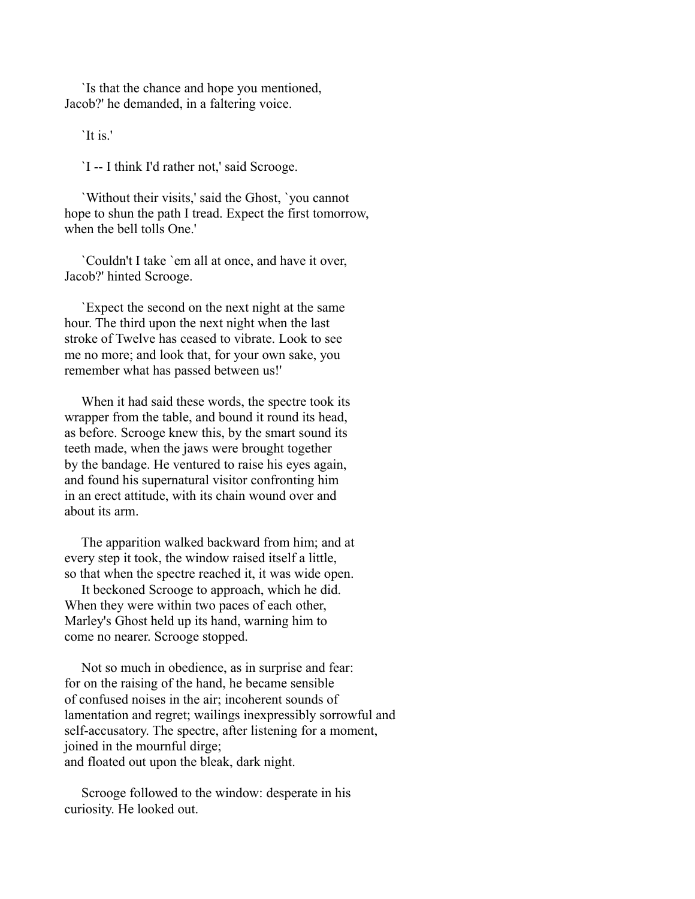`Is that the chance and hope you mentioned, Jacob?' he demanded, in a faltering voice.

`It is.'

`I -- I think I'd rather not,' said Scrooge.

 `Without their visits,' said the Ghost, `you cannot hope to shun the path I tread. Expect the first tomorrow, when the bell tolls One.'

 `Couldn't I take `em all at once, and have it over, Jacob?' hinted Scrooge.

 `Expect the second on the next night at the same hour. The third upon the next night when the last stroke of Twelve has ceased to vibrate. Look to see me no more; and look that, for your own sake, you remember what has passed between us!'

 When it had said these words, the spectre took its wrapper from the table, and bound it round its head, as before. Scrooge knew this, by the smart sound its teeth made, when the jaws were brought together by the bandage. He ventured to raise his eyes again, and found his supernatural visitor confronting him in an erect attitude, with its chain wound over and about its arm.

 The apparition walked backward from him; and at every step it took, the window raised itself a little, so that when the spectre reached it, it was wide open.

 It beckoned Scrooge to approach, which he did. When they were within two paces of each other, Marley's Ghost held up its hand, warning him to come no nearer. Scrooge stopped.

 Not so much in obedience, as in surprise and fear: for on the raising of the hand, he became sensible of confused noises in the air; incoherent sounds of lamentation and regret; wailings inexpressibly sorrowful and self-accusatory. The spectre, after listening for a moment, joined in the mournful dirge; and floated out upon the bleak, dark night.

 Scrooge followed to the window: desperate in his curiosity. He looked out.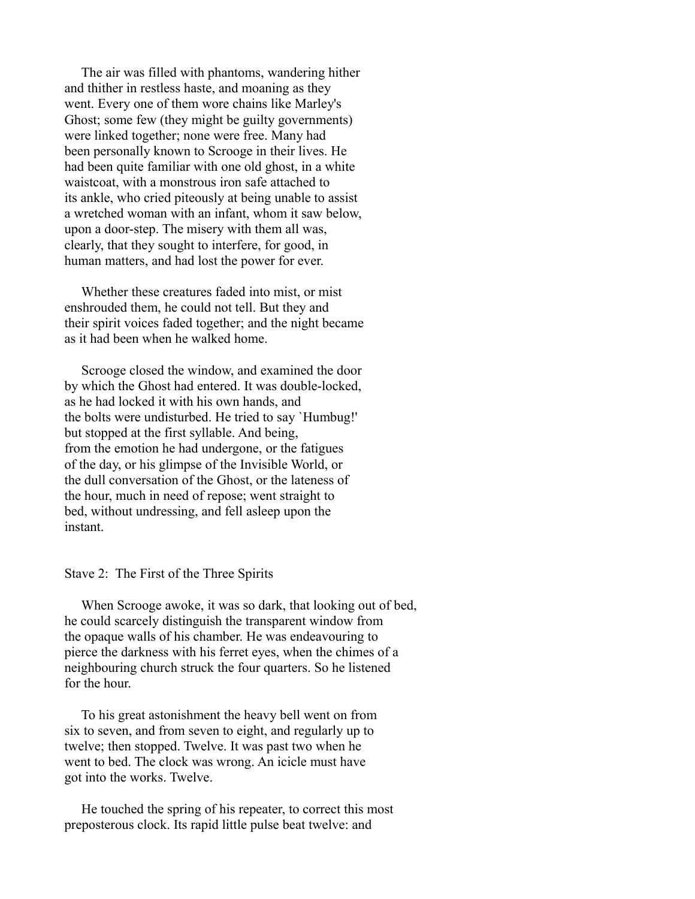The air was filled with phantoms, wandering hither and thither in restless haste, and moaning as they went. Every one of them wore chains like Marley's Ghost; some few (they might be guilty governments) were linked together; none were free. Many had been personally known to Scrooge in their lives. He had been quite familiar with one old ghost, in a white waistcoat, with a monstrous iron safe attached to its ankle, who cried piteously at being unable to assist a wretched woman with an infant, whom it saw below, upon a door-step. The misery with them all was, clearly, that they sought to interfere, for good, in human matters, and had lost the power for ever.

 Whether these creatures faded into mist, or mist enshrouded them, he could not tell. But they and their spirit voices faded together; and the night became as it had been when he walked home.

 Scrooge closed the window, and examined the door by which the Ghost had entered. It was double-locked, as he had locked it with his own hands, and the bolts were undisturbed. He tried to say `Humbug!' but stopped at the first syllable. And being, from the emotion he had undergone, or the fatigues of the day, or his glimpse of the Invisible World, or the dull conversation of the Ghost, or the lateness of the hour, much in need of repose; went straight to bed, without undressing, and fell asleep upon the instant.

## Stave 2: The First of the Three Spirits

 When Scrooge awoke, it was so dark, that looking out of bed, he could scarcely distinguish the transparent window from the opaque walls of his chamber. He was endeavouring to pierce the darkness with his ferret eyes, when the chimes of a neighbouring church struck the four quarters. So he listened for the hour.

 To his great astonishment the heavy bell went on from six to seven, and from seven to eight, and regularly up to twelve; then stopped. Twelve. It was past two when he went to bed. The clock was wrong. An icicle must have got into the works. Twelve.

 He touched the spring of his repeater, to correct this most preposterous clock. Its rapid little pulse beat twelve: and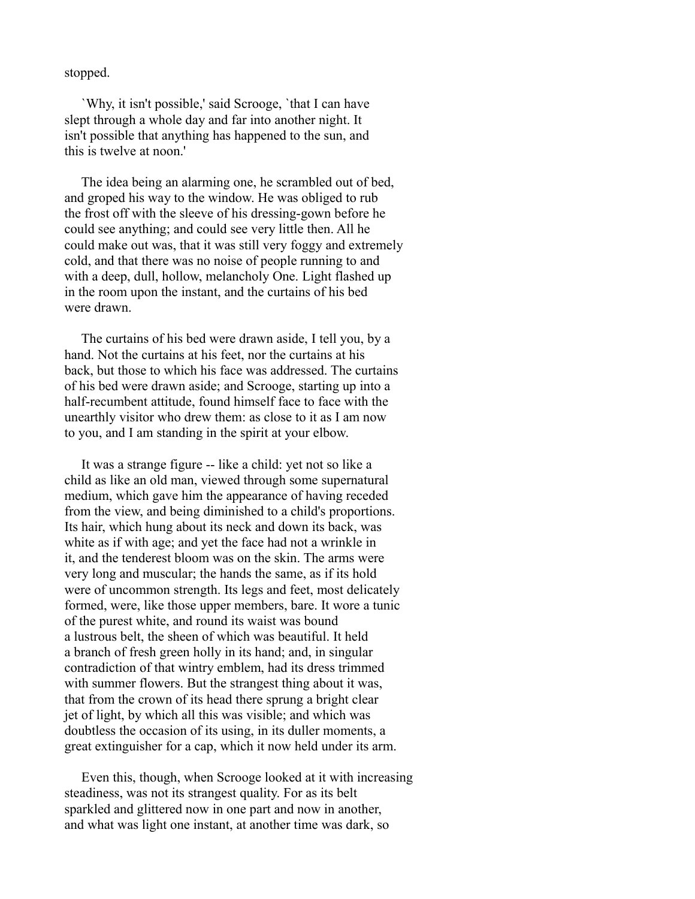stopped.

 `Why, it isn't possible,' said Scrooge, `that I can have slept through a whole day and far into another night. It isn't possible that anything has happened to the sun, and this is twelve at noon.'

 The idea being an alarming one, he scrambled out of bed, and groped his way to the window. He was obliged to rub the frost off with the sleeve of his dressing-gown before he could see anything; and could see very little then. All he could make out was, that it was still very foggy and extremely cold, and that there was no noise of people running to and with a deep, dull, hollow, melancholy One. Light flashed up in the room upon the instant, and the curtains of his bed were drawn.

 The curtains of his bed were drawn aside, I tell you, by a hand. Not the curtains at his feet, nor the curtains at his back, but those to which his face was addressed. The curtains of his bed were drawn aside; and Scrooge, starting up into a half-recumbent attitude, found himself face to face with the unearthly visitor who drew them: as close to it as I am now to you, and I am standing in the spirit at your elbow.

 It was a strange figure -- like a child: yet not so like a child as like an old man, viewed through some supernatural medium, which gave him the appearance of having receded from the view, and being diminished to a child's proportions. Its hair, which hung about its neck and down its back, was white as if with age; and yet the face had not a wrinkle in it, and the tenderest bloom was on the skin. The arms were very long and muscular; the hands the same, as if its hold were of uncommon strength. Its legs and feet, most delicately formed, were, like those upper members, bare. It wore a tunic of the purest white, and round its waist was bound a lustrous belt, the sheen of which was beautiful. It held a branch of fresh green holly in its hand; and, in singular contradiction of that wintry emblem, had its dress trimmed with summer flowers. But the strangest thing about it was, that from the crown of its head there sprung a bright clear jet of light, by which all this was visible; and which was doubtless the occasion of its using, in its duller moments, a great extinguisher for a cap, which it now held under its arm.

 Even this, though, when Scrooge looked at it with increasing steadiness, was not its strangest quality. For as its belt sparkled and glittered now in one part and now in another, and what was light one instant, at another time was dark, so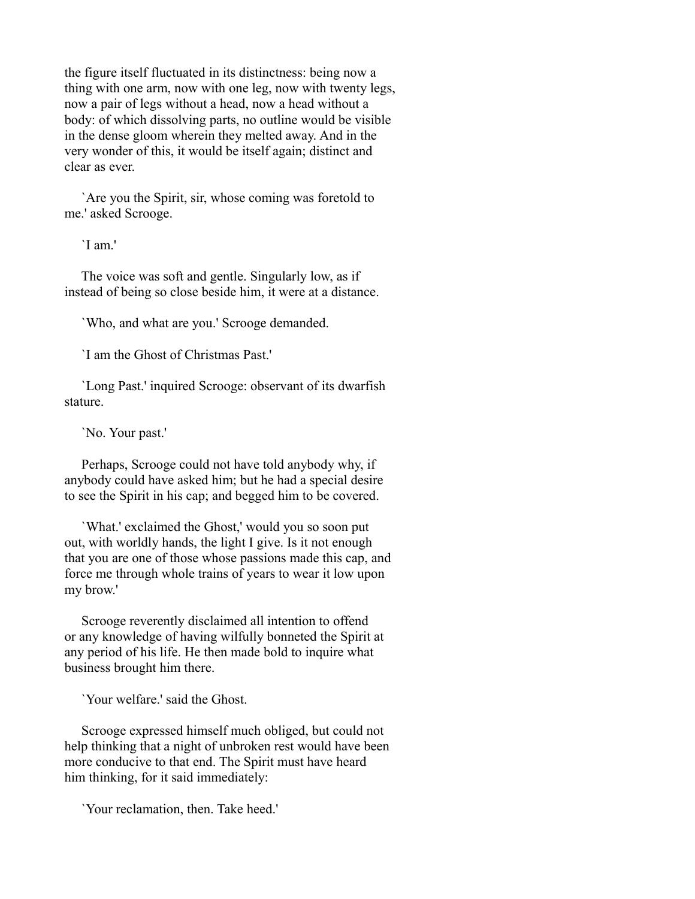the figure itself fluctuated in its distinctness: being now a thing with one arm, now with one leg, now with twenty legs, now a pair of legs without a head, now a head without a body: of which dissolving parts, no outline would be visible in the dense gloom wherein they melted away. And in the very wonder of this, it would be itself again; distinct and clear as ever.

 `Are you the Spirit, sir, whose coming was foretold to me.' asked Scrooge.

`I am.'

 The voice was soft and gentle. Singularly low, as if instead of being so close beside him, it were at a distance.

`Who, and what are you.' Scrooge demanded.

`I am the Ghost of Christmas Past.'

 `Long Past.' inquired Scrooge: observant of its dwarfish stature.

`No. Your past.'

 Perhaps, Scrooge could not have told anybody why, if anybody could have asked him; but he had a special desire to see the Spirit in his cap; and begged him to be covered.

 `What.' exclaimed the Ghost,' would you so soon put out, with worldly hands, the light I give. Is it not enough that you are one of those whose passions made this cap, and force me through whole trains of years to wear it low upon my brow.'

 Scrooge reverently disclaimed all intention to offend or any knowledge of having wilfully bonneted the Spirit at any period of his life. He then made bold to inquire what business brought him there.

`Your welfare.' said the Ghost.

 Scrooge expressed himself much obliged, but could not help thinking that a night of unbroken rest would have been more conducive to that end. The Spirit must have heard him thinking, for it said immediately:

`Your reclamation, then. Take heed.'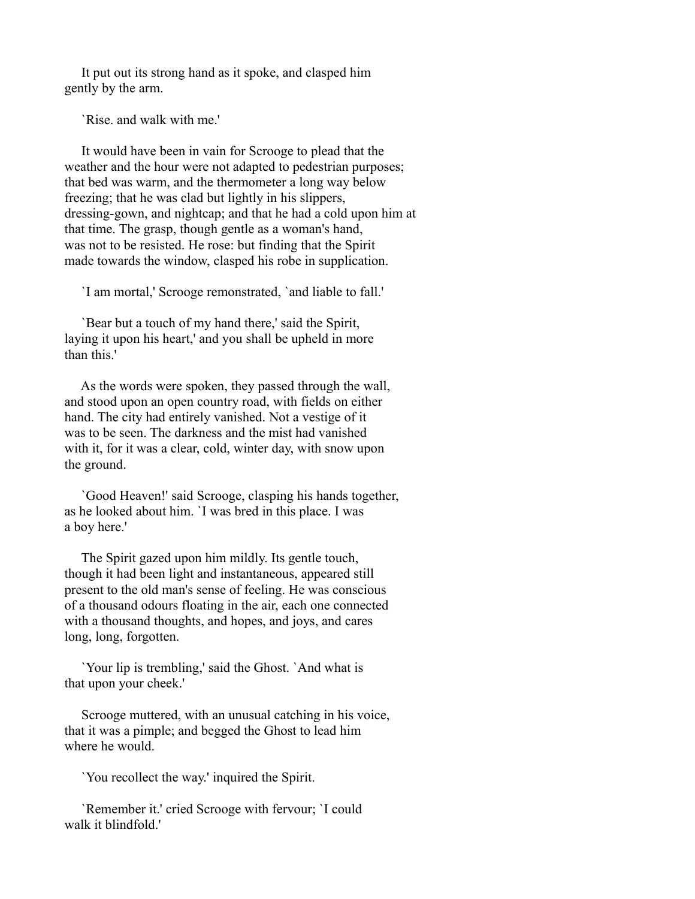It put out its strong hand as it spoke, and clasped him gently by the arm.

`Rise. and walk with me.'

 It would have been in vain for Scrooge to plead that the weather and the hour were not adapted to pedestrian purposes; that bed was warm, and the thermometer a long way below freezing; that he was clad but lightly in his slippers, dressing-gown, and nightcap; and that he had a cold upon him at that time. The grasp, though gentle as a woman's hand, was not to be resisted. He rose: but finding that the Spirit made towards the window, clasped his robe in supplication.

`I am mortal,' Scrooge remonstrated, `and liable to fall.'

 `Bear but a touch of my hand there,' said the Spirit, laying it upon his heart,' and you shall be upheld in more than this.'

 As the words were spoken, they passed through the wall, and stood upon an open country road, with fields on either hand. The city had entirely vanished. Not a vestige of it was to be seen. The darkness and the mist had vanished with it, for it was a clear, cold, winter day, with snow upon the ground.

 `Good Heaven!' said Scrooge, clasping his hands together, as he looked about him. `I was bred in this place. I was a boy here.'

 The Spirit gazed upon him mildly. Its gentle touch, though it had been light and instantaneous, appeared still present to the old man's sense of feeling. He was conscious of a thousand odours floating in the air, each one connected with a thousand thoughts, and hopes, and joys, and cares long, long, forgotten.

 `Your lip is trembling,' said the Ghost. `And what is that upon your cheek.'

 Scrooge muttered, with an unusual catching in his voice, that it was a pimple; and begged the Ghost to lead him where he would.

`You recollect the way.' inquired the Spirit.

 `Remember it.' cried Scrooge with fervour; `I could walk it blindfold.'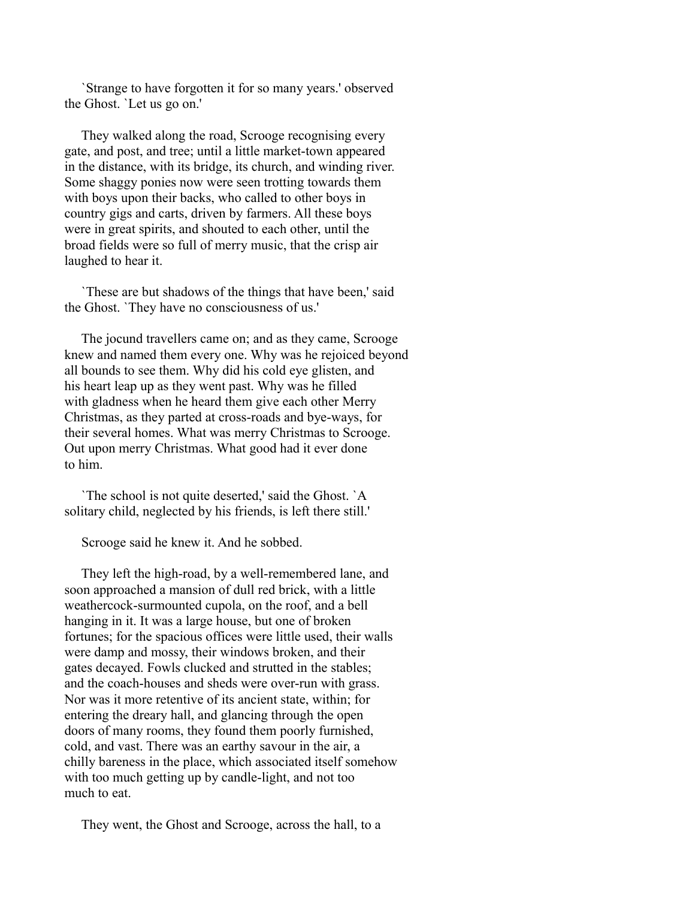`Strange to have forgotten it for so many years.' observed the Ghost. `Let us go on.'

 They walked along the road, Scrooge recognising every gate, and post, and tree; until a little market-town appeared in the distance, with its bridge, its church, and winding river. Some shaggy ponies now were seen trotting towards them with boys upon their backs, who called to other boys in country gigs and carts, driven by farmers. All these boys were in great spirits, and shouted to each other, until the broad fields were so full of merry music, that the crisp air laughed to hear it.

 `These are but shadows of the things that have been,' said the Ghost. `They have no consciousness of us.'

 The jocund travellers came on; and as they came, Scrooge knew and named them every one. Why was he rejoiced beyond all bounds to see them. Why did his cold eye glisten, and his heart leap up as they went past. Why was he filled with gladness when he heard them give each other Merry Christmas, as they parted at cross-roads and bye-ways, for their several homes. What was merry Christmas to Scrooge. Out upon merry Christmas. What good had it ever done to him.

 `The school is not quite deserted,' said the Ghost. `A solitary child, neglected by his friends, is left there still.'

Scrooge said he knew it. And he sobbed.

 They left the high-road, by a well-remembered lane, and soon approached a mansion of dull red brick, with a little weathercock-surmounted cupola, on the roof, and a bell hanging in it. It was a large house, but one of broken fortunes; for the spacious offices were little used, their walls were damp and mossy, their windows broken, and their gates decayed. Fowls clucked and strutted in the stables; and the coach-houses and sheds were over-run with grass. Nor was it more retentive of its ancient state, within; for entering the dreary hall, and glancing through the open doors of many rooms, they found them poorly furnished, cold, and vast. There was an earthy savour in the air, a chilly bareness in the place, which associated itself somehow with too much getting up by candle-light, and not too much to eat.

They went, the Ghost and Scrooge, across the hall, to a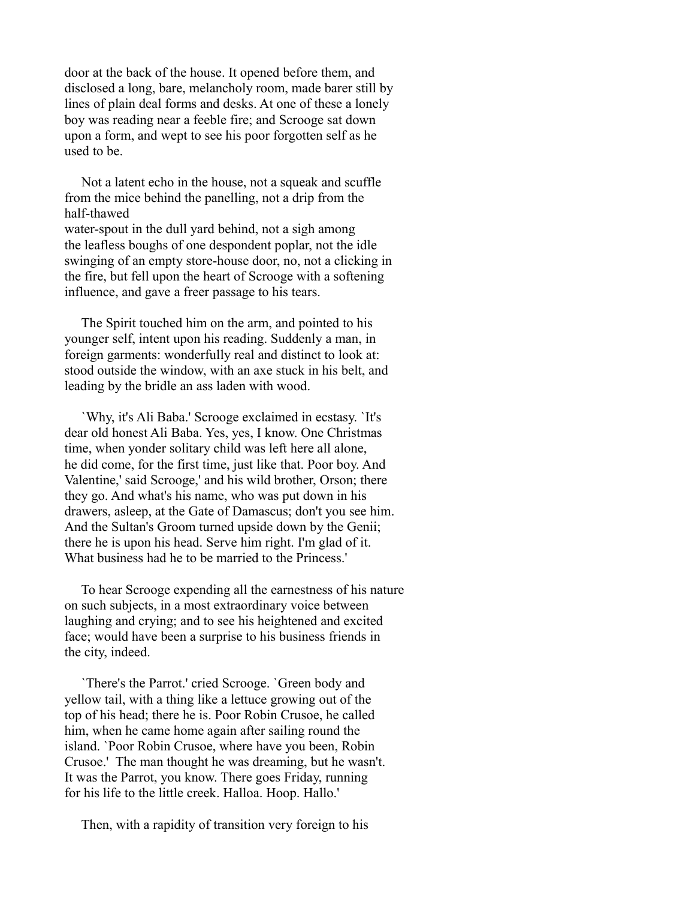door at the back of the house. It opened before them, and disclosed a long, bare, melancholy room, made barer still by lines of plain deal forms and desks. At one of these a lonely boy was reading near a feeble fire; and Scrooge sat down upon a form, and wept to see his poor forgotten self as he used to be.

 Not a latent echo in the house, not a squeak and scuffle from the mice behind the panelling, not a drip from the half-thawed water-spout in the dull yard behind, not a sigh among the leafless boughs of one despondent poplar, not the idle swinging of an empty store-house door, no, not a clicking in the fire, but fell upon the heart of Scrooge with a softening influence, and gave a freer passage to his tears.

 The Spirit touched him on the arm, and pointed to his younger self, intent upon his reading. Suddenly a man, in foreign garments: wonderfully real and distinct to look at: stood outside the window, with an axe stuck in his belt, and leading by the bridle an ass laden with wood.

 `Why, it's Ali Baba.' Scrooge exclaimed in ecstasy. `It's dear old honest Ali Baba. Yes, yes, I know. One Christmas time, when yonder solitary child was left here all alone, he did come, for the first time, just like that. Poor boy. And Valentine,' said Scrooge,' and his wild brother, Orson; there they go. And what's his name, who was put down in his drawers, asleep, at the Gate of Damascus; don't you see him. And the Sultan's Groom turned upside down by the Genii; there he is upon his head. Serve him right. I'm glad of it. What business had he to be married to the Princess.'

 To hear Scrooge expending all the earnestness of his nature on such subjects, in a most extraordinary voice between laughing and crying; and to see his heightened and excited face; would have been a surprise to his business friends in the city, indeed.

 `There's the Parrot.' cried Scrooge. `Green body and yellow tail, with a thing like a lettuce growing out of the top of his head; there he is. Poor Robin Crusoe, he called him, when he came home again after sailing round the island. `Poor Robin Crusoe, where have you been, Robin Crusoe.' The man thought he was dreaming, but he wasn't. It was the Parrot, you know. There goes Friday, running for his life to the little creek. Halloa. Hoop. Hallo.'

Then, with a rapidity of transition very foreign to his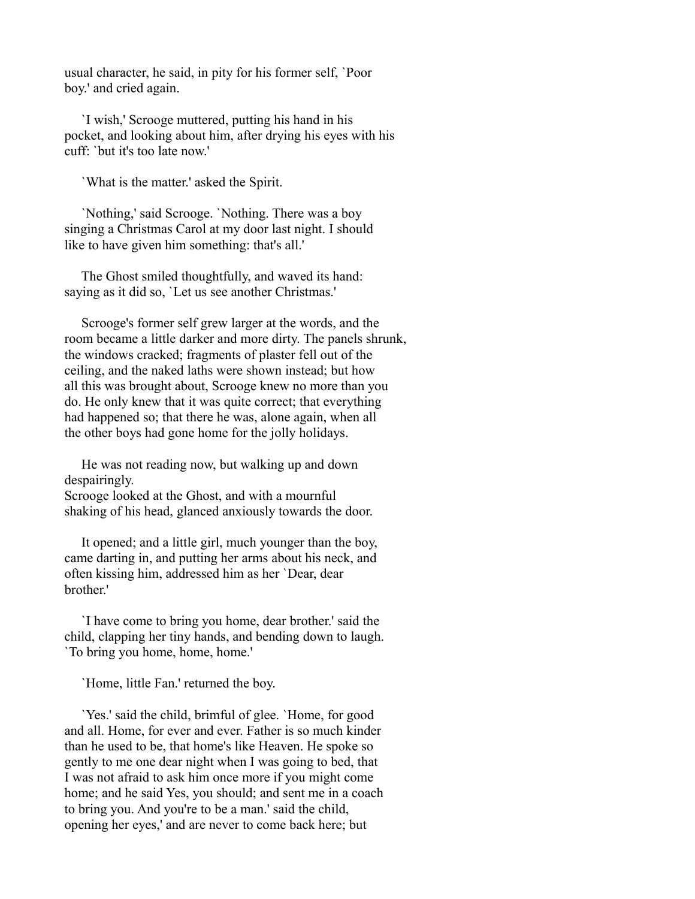usual character, he said, in pity for his former self, `Poor boy.' and cried again.

 `I wish,' Scrooge muttered, putting his hand in his pocket, and looking about him, after drying his eyes with his cuff: `but it's too late now.'

`What is the matter.' asked the Spirit.

 `Nothing,' said Scrooge. `Nothing. There was a boy singing a Christmas Carol at my door last night. I should like to have given him something: that's all.'

 The Ghost smiled thoughtfully, and waved its hand: saying as it did so, `Let us see another Christmas.'

 Scrooge's former self grew larger at the words, and the room became a little darker and more dirty. The panels shrunk, the windows cracked; fragments of plaster fell out of the ceiling, and the naked laths were shown instead; but how all this was brought about, Scrooge knew no more than you do. He only knew that it was quite correct; that everything had happened so; that there he was, alone again, when all the other boys had gone home for the jolly holidays.

 He was not reading now, but walking up and down despairingly.

Scrooge looked at the Ghost, and with a mournful shaking of his head, glanced anxiously towards the door.

 It opened; and a little girl, much younger than the boy, came darting in, and putting her arms about his neck, and often kissing him, addressed him as her `Dear, dear brother.'

 `I have come to bring you home, dear brother.' said the child, clapping her tiny hands, and bending down to laugh. `To bring you home, home, home.'

`Home, little Fan.' returned the boy.

 `Yes.' said the child, brimful of glee. `Home, for good and all. Home, for ever and ever. Father is so much kinder than he used to be, that home's like Heaven. He spoke so gently to me one dear night when I was going to bed, that I was not afraid to ask him once more if you might come home; and he said Yes, you should; and sent me in a coach to bring you. And you're to be a man.' said the child, opening her eyes,' and are never to come back here; but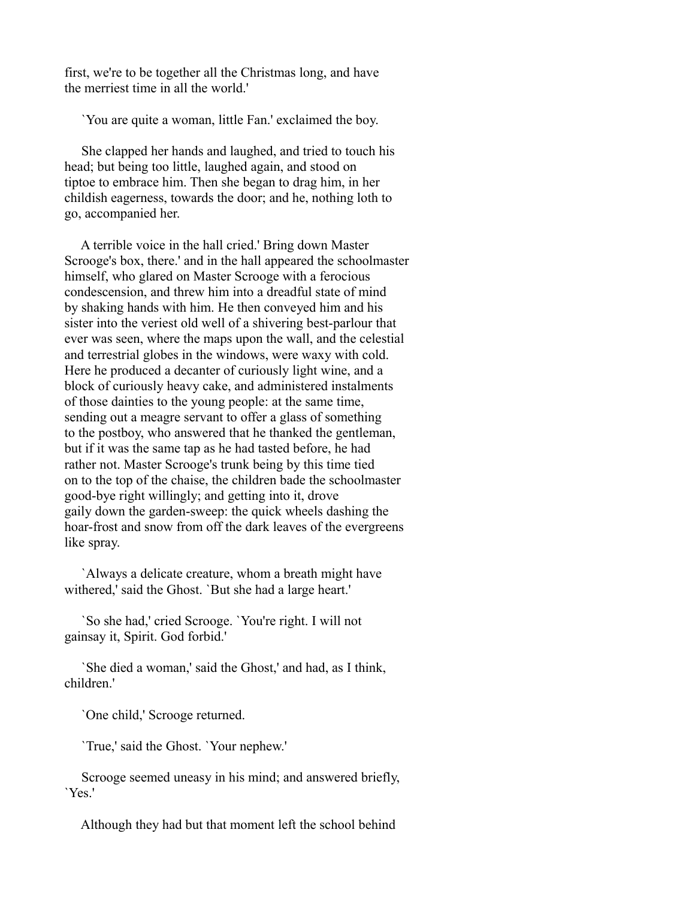first, we're to be together all the Christmas long, and have the merriest time in all the world.'

`You are quite a woman, little Fan.' exclaimed the boy.

 She clapped her hands and laughed, and tried to touch his head; but being too little, laughed again, and stood on tiptoe to embrace him. Then she began to drag him, in her childish eagerness, towards the door; and he, nothing loth to go, accompanied her.

 A terrible voice in the hall cried.' Bring down Master Scrooge's box, there.' and in the hall appeared the schoolmaster himself, who glared on Master Scrooge with a ferocious condescension, and threw him into a dreadful state of mind by shaking hands with him. He then conveyed him and his sister into the veriest old well of a shivering best-parlour that ever was seen, where the maps upon the wall, and the celestial and terrestrial globes in the windows, were waxy with cold. Here he produced a decanter of curiously light wine, and a block of curiously heavy cake, and administered instalments of those dainties to the young people: at the same time, sending out a meagre servant to offer a glass of something to the postboy, who answered that he thanked the gentleman, but if it was the same tap as he had tasted before, he had rather not. Master Scrooge's trunk being by this time tied on to the top of the chaise, the children bade the schoolmaster good-bye right willingly; and getting into it, drove gaily down the garden-sweep: the quick wheels dashing the hoar-frost and snow from off the dark leaves of the evergreens like spray.

 `Always a delicate creature, whom a breath might have withered,' said the Ghost. `But she had a large heart.'

 `So she had,' cried Scrooge. `You're right. I will not gainsay it, Spirit. God forbid.'

 `She died a woman,' said the Ghost,' and had, as I think, children.'

`One child,' Scrooge returned.

`True,' said the Ghost. `Your nephew.'

 Scrooge seemed uneasy in his mind; and answered briefly, `Yes.'

Although they had but that moment left the school behind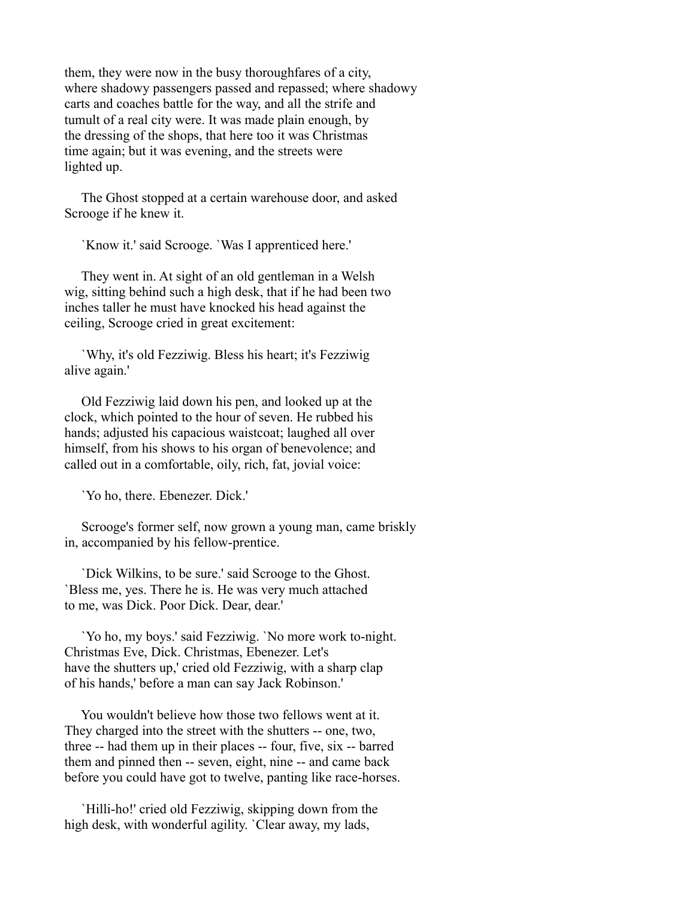them, they were now in the busy thoroughfares of a city, where shadowy passengers passed and repassed; where shadowy carts and coaches battle for the way, and all the strife and tumult of a real city were. It was made plain enough, by the dressing of the shops, that here too it was Christmas time again; but it was evening, and the streets were lighted up.

 The Ghost stopped at a certain warehouse door, and asked Scrooge if he knew it.

`Know it.' said Scrooge. `Was I apprenticed here.'

 They went in. At sight of an old gentleman in a Welsh wig, sitting behind such a high desk, that if he had been two inches taller he must have knocked his head against the ceiling, Scrooge cried in great excitement:

 `Why, it's old Fezziwig. Bless his heart; it's Fezziwig alive again.'

 Old Fezziwig laid down his pen, and looked up at the clock, which pointed to the hour of seven. He rubbed his hands; adjusted his capacious waistcoat; laughed all over himself, from his shows to his organ of benevolence; and called out in a comfortable, oily, rich, fat, jovial voice:

`Yo ho, there. Ebenezer. Dick.'

 Scrooge's former self, now grown a young man, came briskly in, accompanied by his fellow-prentice.

 `Dick Wilkins, to be sure.' said Scrooge to the Ghost. `Bless me, yes. There he is. He was very much attached to me, was Dick. Poor Dick. Dear, dear.'

 `Yo ho, my boys.' said Fezziwig. `No more work to-night. Christmas Eve, Dick. Christmas, Ebenezer. Let's have the shutters up,' cried old Fezziwig, with a sharp clap of his hands,' before a man can say Jack Robinson.'

 You wouldn't believe how those two fellows went at it. They charged into the street with the shutters -- one, two, three -- had them up in their places -- four, five, six -- barred them and pinned then -- seven, eight, nine -- and came back before you could have got to twelve, panting like race-horses.

 `Hilli-ho!' cried old Fezziwig, skipping down from the high desk, with wonderful agility. `Clear away, my lads,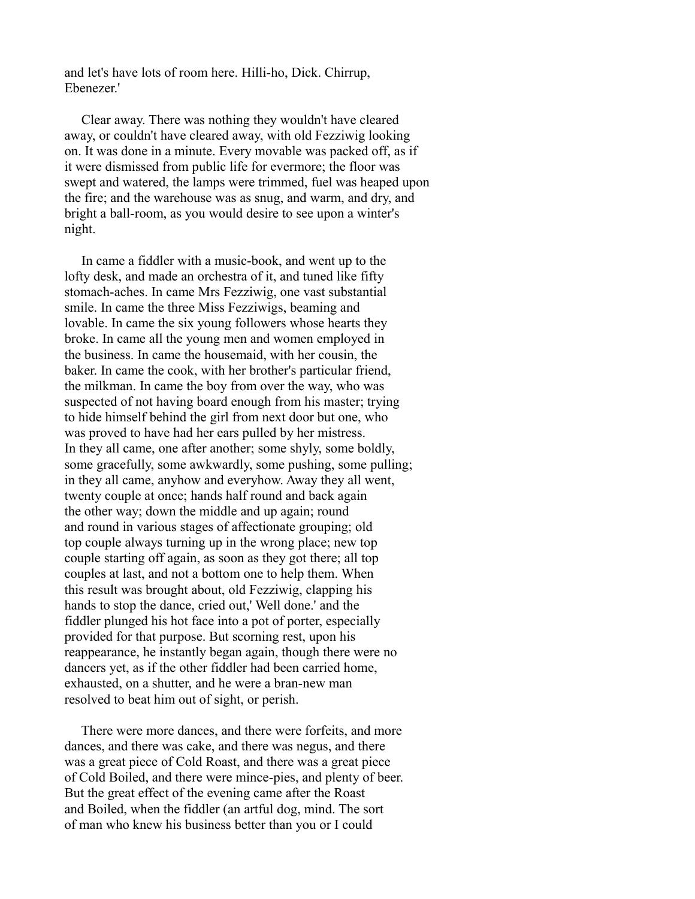and let's have lots of room here. Hilli-ho, Dick. Chirrup, Ebenezer.'

 Clear away. There was nothing they wouldn't have cleared away, or couldn't have cleared away, with old Fezziwig looking on. It was done in a minute. Every movable was packed off, as if it were dismissed from public life for evermore; the floor was swept and watered, the lamps were trimmed, fuel was heaped upon the fire; and the warehouse was as snug, and warm, and dry, and bright a ball-room, as you would desire to see upon a winter's night.

 In came a fiddler with a music-book, and went up to the lofty desk, and made an orchestra of it, and tuned like fifty stomach-aches. In came Mrs Fezziwig, one vast substantial smile. In came the three Miss Fezziwigs, beaming and lovable. In came the six young followers whose hearts they broke. In came all the young men and women employed in the business. In came the housemaid, with her cousin, the baker. In came the cook, with her brother's particular friend, the milkman. In came the boy from over the way, who was suspected of not having board enough from his master; trying to hide himself behind the girl from next door but one, who was proved to have had her ears pulled by her mistress. In they all came, one after another; some shyly, some boldly, some gracefully, some awkwardly, some pushing, some pulling; in they all came, anyhow and everyhow. Away they all went, twenty couple at once; hands half round and back again the other way; down the middle and up again; round and round in various stages of affectionate grouping; old top couple always turning up in the wrong place; new top couple starting off again, as soon as they got there; all top couples at last, and not a bottom one to help them. When this result was brought about, old Fezziwig, clapping his hands to stop the dance, cried out,' Well done.' and the fiddler plunged his hot face into a pot of porter, especially provided for that purpose. But scorning rest, upon his reappearance, he instantly began again, though there were no dancers yet, as if the other fiddler had been carried home, exhausted, on a shutter, and he were a bran-new man resolved to beat him out of sight, or perish.

 There were more dances, and there were forfeits, and more dances, and there was cake, and there was negus, and there was a great piece of Cold Roast, and there was a great piece of Cold Boiled, and there were mince-pies, and plenty of beer. But the great effect of the evening came after the Roast and Boiled, when the fiddler (an artful dog, mind. The sort of man who knew his business better than you or I could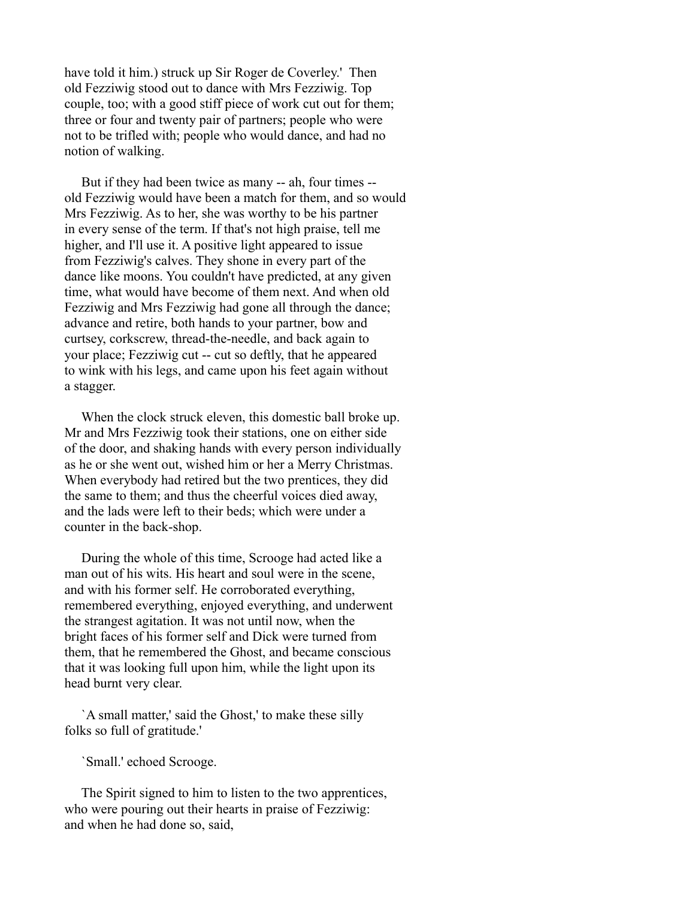have told it him.) struck up Sir Roger de Coverley.' Then old Fezziwig stood out to dance with Mrs Fezziwig. Top couple, too; with a good stiff piece of work cut out for them; three or four and twenty pair of partners; people who were not to be trifled with; people who would dance, and had no notion of walking.

 But if they had been twice as many -- ah, four times - old Fezziwig would have been a match for them, and so would Mrs Fezziwig. As to her, she was worthy to be his partner in every sense of the term. If that's not high praise, tell me higher, and I'll use it. A positive light appeared to issue from Fezziwig's calves. They shone in every part of the dance like moons. You couldn't have predicted, at any given time, what would have become of them next. And when old Fezziwig and Mrs Fezziwig had gone all through the dance; advance and retire, both hands to your partner, bow and curtsey, corkscrew, thread-the-needle, and back again to your place; Fezziwig cut -- cut so deftly, that he appeared to wink with his legs, and came upon his feet again without a stagger.

 When the clock struck eleven, this domestic ball broke up. Mr and Mrs Fezziwig took their stations, one on either side of the door, and shaking hands with every person individually as he or she went out, wished him or her a Merry Christmas. When everybody had retired but the two prentices, they did the same to them; and thus the cheerful voices died away, and the lads were left to their beds; which were under a counter in the back-shop.

 During the whole of this time, Scrooge had acted like a man out of his wits. His heart and soul were in the scene, and with his former self. He corroborated everything, remembered everything, enjoyed everything, and underwent the strangest agitation. It was not until now, when the bright faces of his former self and Dick were turned from them, that he remembered the Ghost, and became conscious that it was looking full upon him, while the light upon its head burnt very clear.

 `A small matter,' said the Ghost,' to make these silly folks so full of gratitude.'

`Small.' echoed Scrooge.

 The Spirit signed to him to listen to the two apprentices, who were pouring out their hearts in praise of Fezziwig: and when he had done so, said,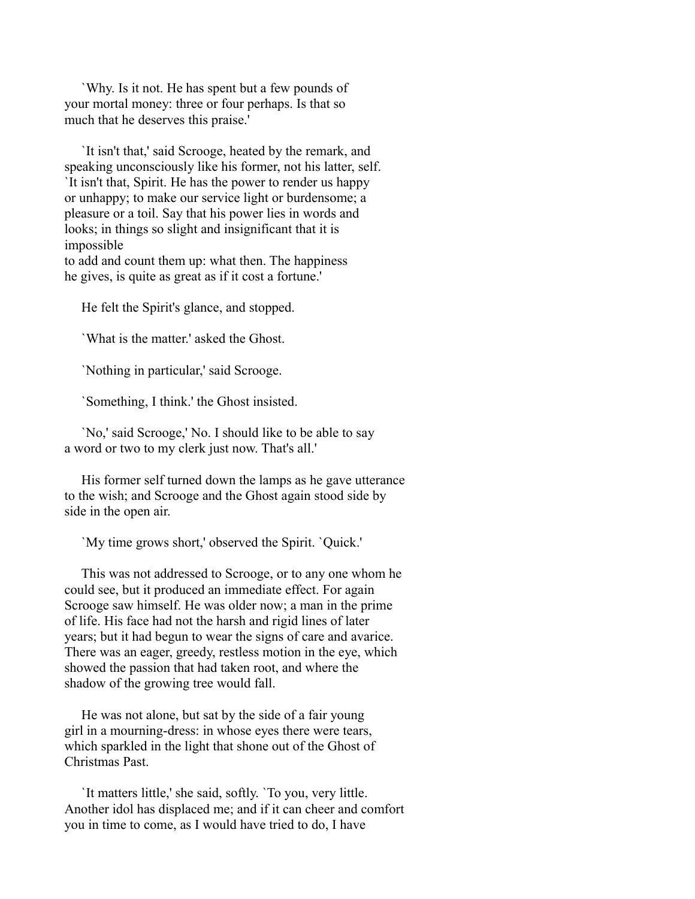`Why. Is it not. He has spent but a few pounds of your mortal money: three or four perhaps. Is that so much that he deserves this praise.'

 `It isn't that,' said Scrooge, heated by the remark, and speaking unconsciously like his former, not his latter, self. `It isn't that, Spirit. He has the power to render us happy or unhappy; to make our service light or burdensome; a pleasure or a toil. Say that his power lies in words and looks; in things so slight and insignificant that it is impossible

to add and count them up: what then. The happiness he gives, is quite as great as if it cost a fortune.'

He felt the Spirit's glance, and stopped.

`What is the matter.' asked the Ghost.

`Nothing in particular,' said Scrooge.

`Something, I think.' the Ghost insisted.

 `No,' said Scrooge,' No. I should like to be able to say a word or two to my clerk just now. That's all.'

 His former self turned down the lamps as he gave utterance to the wish; and Scrooge and the Ghost again stood side by side in the open air.

`My time grows short,' observed the Spirit. `Quick.'

 This was not addressed to Scrooge, or to any one whom he could see, but it produced an immediate effect. For again Scrooge saw himself. He was older now; a man in the prime of life. His face had not the harsh and rigid lines of later years; but it had begun to wear the signs of care and avarice. There was an eager, greedy, restless motion in the eye, which showed the passion that had taken root, and where the shadow of the growing tree would fall.

 He was not alone, but sat by the side of a fair young girl in a mourning-dress: in whose eyes there were tears, which sparkled in the light that shone out of the Ghost of Christmas Past.

 `It matters little,' she said, softly. `To you, very little. Another idol has displaced me; and if it can cheer and comfort you in time to come, as I would have tried to do, I have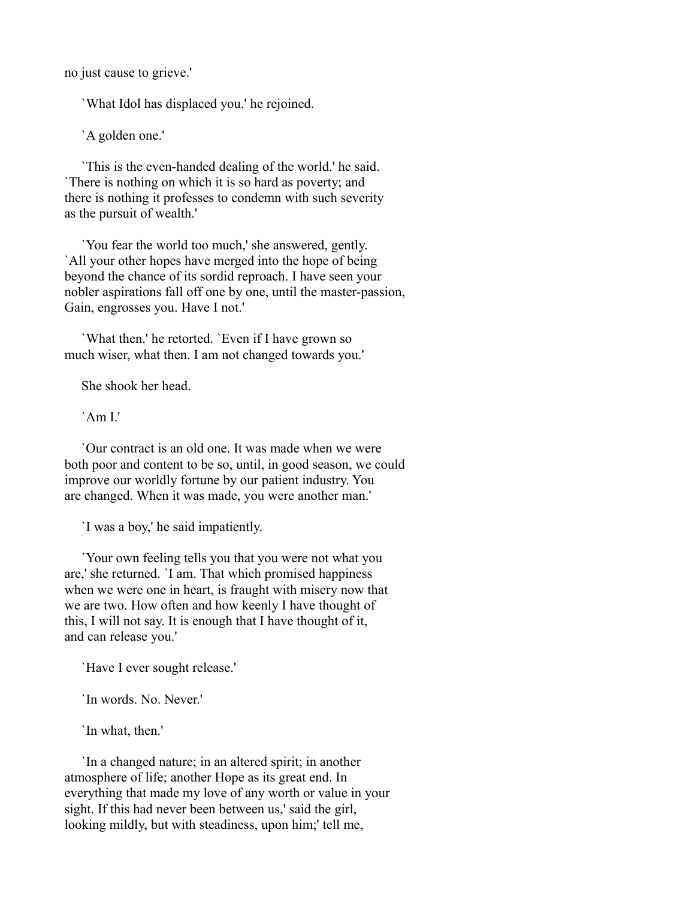no just cause to grieve.'

`What Idol has displaced you.' he rejoined.

`A golden one.'

 `This is the even-handed dealing of the world.' he said. `There is nothing on which it is so hard as poverty; and there is nothing it professes to condemn with such severity as the pursuit of wealth.'

 `You fear the world too much,' she answered, gently. `All your other hopes have merged into the hope of being beyond the chance of its sordid reproach. I have seen your nobler aspirations fall off one by one, until the master-passion, Gain, engrosses you. Have I not.'

 `What then.' he retorted. `Even if I have grown so much wiser, what then. I am not changed towards you.'

She shook her head.

 $'Am I'$ 

 `Our contract is an old one. It was made when we were both poor and content to be so, until, in good season, we could improve our worldly fortune by our patient industry. You are changed. When it was made, you were another man.'

`I was a boy,' he said impatiently.

 `Your own feeling tells you that you were not what you are,' she returned. `I am. That which promised happiness when we were one in heart, is fraught with misery now that we are two. How often and how keenly I have thought of this, I will not say. It is enough that I have thought of it, and can release you.'

`Have I ever sought release.'

`In words. No. Never.'

`In what, then.'

 `In a changed nature; in an altered spirit; in another atmosphere of life; another Hope as its great end. In everything that made my love of any worth or value in your sight. If this had never been between us,' said the girl, looking mildly, but with steadiness, upon him;' tell me,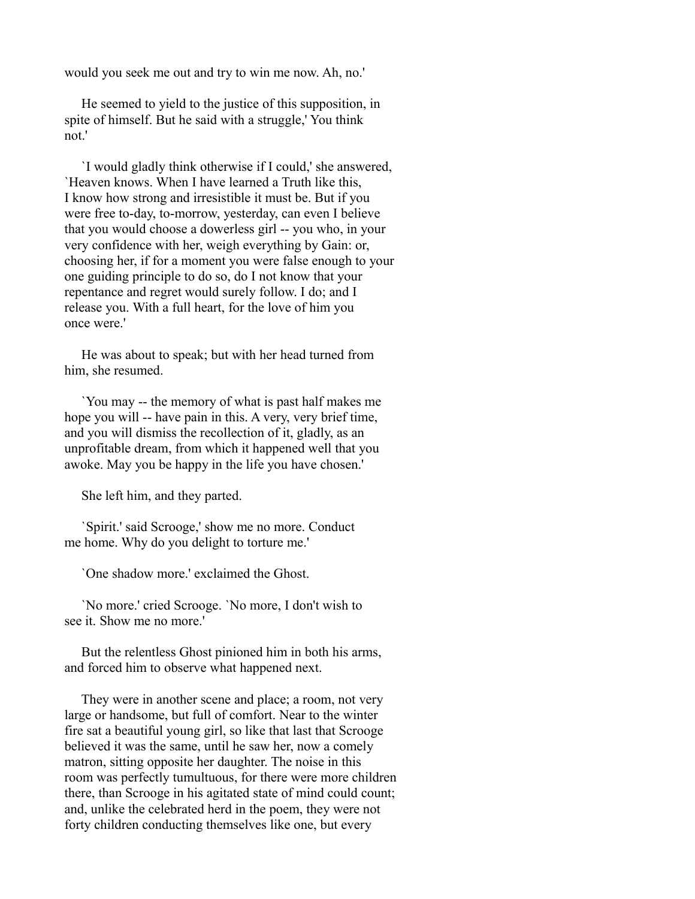would you seek me out and try to win me now. Ah, no.'

 He seemed to yield to the justice of this supposition, in spite of himself. But he said with a struggle,' You think not.'

 `I would gladly think otherwise if I could,' she answered, `Heaven knows. When I have learned a Truth like this, I know how strong and irresistible it must be. But if you were free to-day, to-morrow, yesterday, can even I believe that you would choose a dowerless girl -- you who, in your very confidence with her, weigh everything by Gain: or, choosing her, if for a moment you were false enough to your one guiding principle to do so, do I not know that your repentance and regret would surely follow. I do; and I release you. With a full heart, for the love of him you once were.'

 He was about to speak; but with her head turned from him, she resumed.

 `You may -- the memory of what is past half makes me hope you will -- have pain in this. A very, very brief time, and you will dismiss the recollection of it, gladly, as an unprofitable dream, from which it happened well that you awoke. May you be happy in the life you have chosen.'

She left him, and they parted.

 `Spirit.' said Scrooge,' show me no more. Conduct me home. Why do you delight to torture me.'

`One shadow more.' exclaimed the Ghost.

 `No more.' cried Scrooge. `No more, I don't wish to see it. Show me no more.'

 But the relentless Ghost pinioned him in both his arms, and forced him to observe what happened next.

 They were in another scene and place; a room, not very large or handsome, but full of comfort. Near to the winter fire sat a beautiful young girl, so like that last that Scrooge believed it was the same, until he saw her, now a comely matron, sitting opposite her daughter. The noise in this room was perfectly tumultuous, for there were more children there, than Scrooge in his agitated state of mind could count; and, unlike the celebrated herd in the poem, they were not forty children conducting themselves like one, but every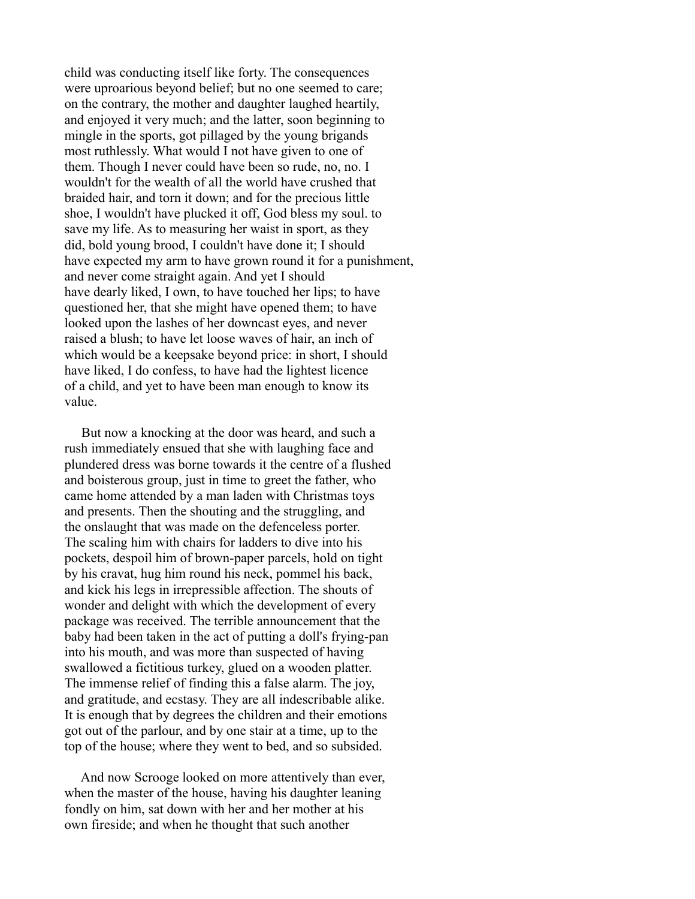child was conducting itself like forty. The consequences were uproarious beyond belief; but no one seemed to care; on the contrary, the mother and daughter laughed heartily, and enjoyed it very much; and the latter, soon beginning to mingle in the sports, got pillaged by the young brigands most ruthlessly. What would I not have given to one of them. Though I never could have been so rude, no, no. I wouldn't for the wealth of all the world have crushed that braided hair, and torn it down; and for the precious little shoe, I wouldn't have plucked it off, God bless my soul. to save my life. As to measuring her waist in sport, as they did, bold young brood, I couldn't have done it; I should have expected my arm to have grown round it for a punishment, and never come straight again. And yet I should have dearly liked, I own, to have touched her lips; to have questioned her, that she might have opened them; to have looked upon the lashes of her downcast eyes, and never raised a blush; to have let loose waves of hair, an inch of which would be a keepsake beyond price: in short, I should have liked, I do confess, to have had the lightest licence of a child, and yet to have been man enough to know its value.

 But now a knocking at the door was heard, and such a rush immediately ensued that she with laughing face and plundered dress was borne towards it the centre of a flushed and boisterous group, just in time to greet the father, who came home attended by a man laden with Christmas toys and presents. Then the shouting and the struggling, and the onslaught that was made on the defenceless porter. The scaling him with chairs for ladders to dive into his pockets, despoil him of brown-paper parcels, hold on tight by his cravat, hug him round his neck, pommel his back, and kick his legs in irrepressible affection. The shouts of wonder and delight with which the development of every package was received. The terrible announcement that the baby had been taken in the act of putting a doll's frying-pan into his mouth, and was more than suspected of having swallowed a fictitious turkey, glued on a wooden platter. The immense relief of finding this a false alarm. The joy, and gratitude, and ecstasy. They are all indescribable alike. It is enough that by degrees the children and their emotions got out of the parlour, and by one stair at a time, up to the top of the house; where they went to bed, and so subsided.

 And now Scrooge looked on more attentively than ever, when the master of the house, having his daughter leaning fondly on him, sat down with her and her mother at his own fireside; and when he thought that such another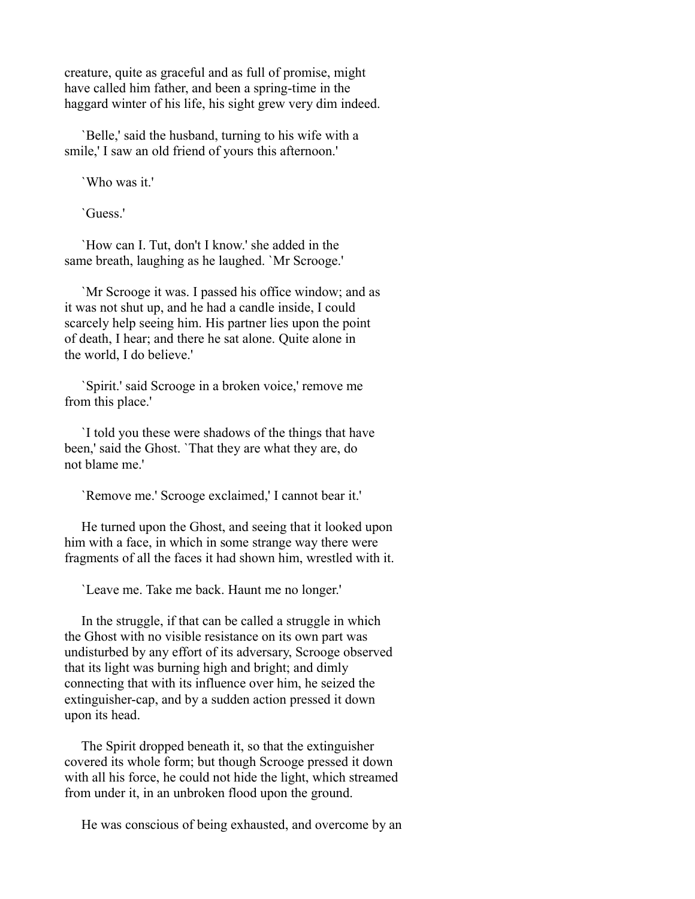creature, quite as graceful and as full of promise, might have called him father, and been a spring-time in the haggard winter of his life, his sight grew very dim indeed.

 `Belle,' said the husband, turning to his wife with a smile,' I saw an old friend of yours this afternoon.'

`Who was it.'

`Guess.'

 `How can I. Tut, don't I know.' she added in the same breath, laughing as he laughed. `Mr Scrooge.'

 `Mr Scrooge it was. I passed his office window; and as it was not shut up, and he had a candle inside, I could scarcely help seeing him. His partner lies upon the point of death, I hear; and there he sat alone. Quite alone in the world, I do believe.'

 `Spirit.' said Scrooge in a broken voice,' remove me from this place.'

 `I told you these were shadows of the things that have been,' said the Ghost. `That they are what they are, do not blame me.'

`Remove me.' Scrooge exclaimed,' I cannot bear it.'

 He turned upon the Ghost, and seeing that it looked upon him with a face, in which in some strange way there were fragments of all the faces it had shown him, wrestled with it.

`Leave me. Take me back. Haunt me no longer.'

 In the struggle, if that can be called a struggle in which the Ghost with no visible resistance on its own part was undisturbed by any effort of its adversary, Scrooge observed that its light was burning high and bright; and dimly connecting that with its influence over him, he seized the extinguisher-cap, and by a sudden action pressed it down upon its head.

 The Spirit dropped beneath it, so that the extinguisher covered its whole form; but though Scrooge pressed it down with all his force, he could not hide the light, which streamed from under it, in an unbroken flood upon the ground.

He was conscious of being exhausted, and overcome by an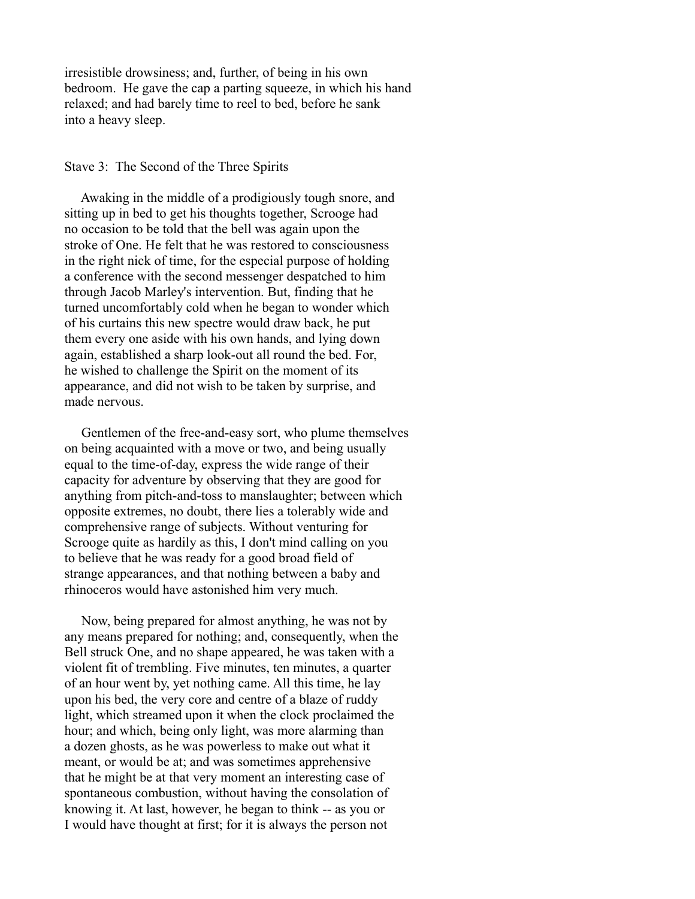irresistible drowsiness; and, further, of being in his own bedroom. He gave the cap a parting squeeze, in which his hand relaxed; and had barely time to reel to bed, before he sank into a heavy sleep.

## Stave 3: The Second of the Three Spirits

 Awaking in the middle of a prodigiously tough snore, and sitting up in bed to get his thoughts together, Scrooge had no occasion to be told that the bell was again upon the stroke of One. He felt that he was restored to consciousness in the right nick of time, for the especial purpose of holding a conference with the second messenger despatched to him through Jacob Marley's intervention. But, finding that he turned uncomfortably cold when he began to wonder which of his curtains this new spectre would draw back, he put them every one aside with his own hands, and lying down again, established a sharp look-out all round the bed. For, he wished to challenge the Spirit on the moment of its appearance, and did not wish to be taken by surprise, and made nervous.

 Gentlemen of the free-and-easy sort, who plume themselves on being acquainted with a move or two, and being usually equal to the time-of-day, express the wide range of their capacity for adventure by observing that they are good for anything from pitch-and-toss to manslaughter; between which opposite extremes, no doubt, there lies a tolerably wide and comprehensive range of subjects. Without venturing for Scrooge quite as hardily as this, I don't mind calling on you to believe that he was ready for a good broad field of strange appearances, and that nothing between a baby and rhinoceros would have astonished him very much.

 Now, being prepared for almost anything, he was not by any means prepared for nothing; and, consequently, when the Bell struck One, and no shape appeared, he was taken with a violent fit of trembling. Five minutes, ten minutes, a quarter of an hour went by, yet nothing came. All this time, he lay upon his bed, the very core and centre of a blaze of ruddy light, which streamed upon it when the clock proclaimed the hour; and which, being only light, was more alarming than a dozen ghosts, as he was powerless to make out what it meant, or would be at; and was sometimes apprehensive that he might be at that very moment an interesting case of spontaneous combustion, without having the consolation of knowing it. At last, however, he began to think -- as you or I would have thought at first; for it is always the person not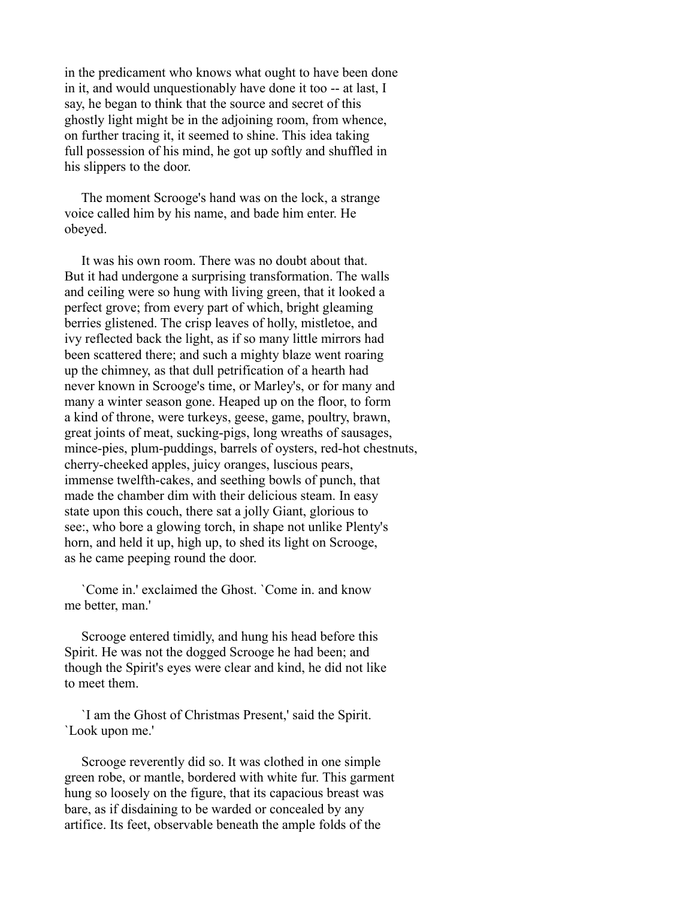in the predicament who knows what ought to have been done in it, and would unquestionably have done it too -- at last, I say, he began to think that the source and secret of this ghostly light might be in the adjoining room, from whence, on further tracing it, it seemed to shine. This idea taking full possession of his mind, he got up softly and shuffled in his slippers to the door.

 The moment Scrooge's hand was on the lock, a strange voice called him by his name, and bade him enter. He obeyed.

 It was his own room. There was no doubt about that. But it had undergone a surprising transformation. The walls and ceiling were so hung with living green, that it looked a perfect grove; from every part of which, bright gleaming berries glistened. The crisp leaves of holly, mistletoe, and ivy reflected back the light, as if so many little mirrors had been scattered there; and such a mighty blaze went roaring up the chimney, as that dull petrification of a hearth had never known in Scrooge's time, or Marley's, or for many and many a winter season gone. Heaped up on the floor, to form a kind of throne, were turkeys, geese, game, poultry, brawn, great joints of meat, sucking-pigs, long wreaths of sausages, mince-pies, plum-puddings, barrels of oysters, red-hot chestnuts, cherry-cheeked apples, juicy oranges, luscious pears, immense twelfth-cakes, and seething bowls of punch, that made the chamber dim with their delicious steam. In easy state upon this couch, there sat a jolly Giant, glorious to see:, who bore a glowing torch, in shape not unlike Plenty's horn, and held it up, high up, to shed its light on Scrooge, as he came peeping round the door.

 `Come in.' exclaimed the Ghost. `Come in. and know me better, man.'

 Scrooge entered timidly, and hung his head before this Spirit. He was not the dogged Scrooge he had been; and though the Spirit's eyes were clear and kind, he did not like to meet them.

 `I am the Ghost of Christmas Present,' said the Spirit. `Look upon me.'

 Scrooge reverently did so. It was clothed in one simple green robe, or mantle, bordered with white fur. This garment hung so loosely on the figure, that its capacious breast was bare, as if disdaining to be warded or concealed by any artifice. Its feet, observable beneath the ample folds of the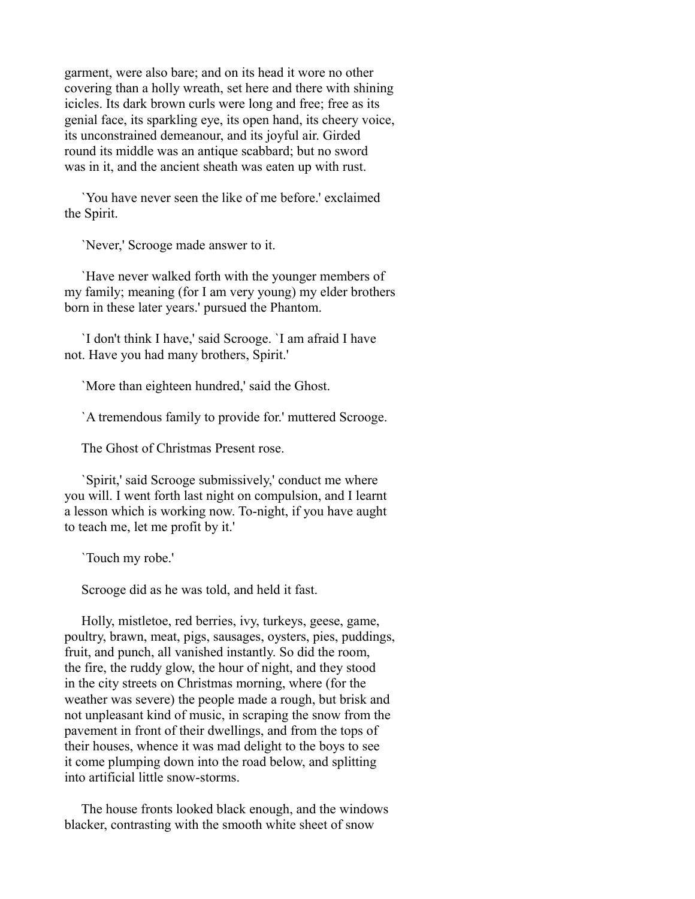garment, were also bare; and on its head it wore no other covering than a holly wreath, set here and there with shining icicles. Its dark brown curls were long and free; free as its genial face, its sparkling eye, its open hand, its cheery voice, its unconstrained demeanour, and its joyful air. Girded round its middle was an antique scabbard; but no sword was in it, and the ancient sheath was eaten up with rust.

 `You have never seen the like of me before.' exclaimed the Spirit.

`Never,' Scrooge made answer to it.

 `Have never walked forth with the younger members of my family; meaning (for I am very young) my elder brothers born in these later years.' pursued the Phantom.

 `I don't think I have,' said Scrooge. `I am afraid I have not. Have you had many brothers, Spirit.'

`More than eighteen hundred,' said the Ghost.

`A tremendous family to provide for.' muttered Scrooge.

The Ghost of Christmas Present rose.

 `Spirit,' said Scrooge submissively,' conduct me where you will. I went forth last night on compulsion, and I learnt a lesson which is working now. To-night, if you have aught to teach me, let me profit by it.'

`Touch my robe.'

Scrooge did as he was told, and held it fast.

 Holly, mistletoe, red berries, ivy, turkeys, geese, game, poultry, brawn, meat, pigs, sausages, oysters, pies, puddings, fruit, and punch, all vanished instantly. So did the room, the fire, the ruddy glow, the hour of night, and they stood in the city streets on Christmas morning, where (for the weather was severe) the people made a rough, but brisk and not unpleasant kind of music, in scraping the snow from the pavement in front of their dwellings, and from the tops of their houses, whence it was mad delight to the boys to see it come plumping down into the road below, and splitting into artificial little snow-storms.

 The house fronts looked black enough, and the windows blacker, contrasting with the smooth white sheet of snow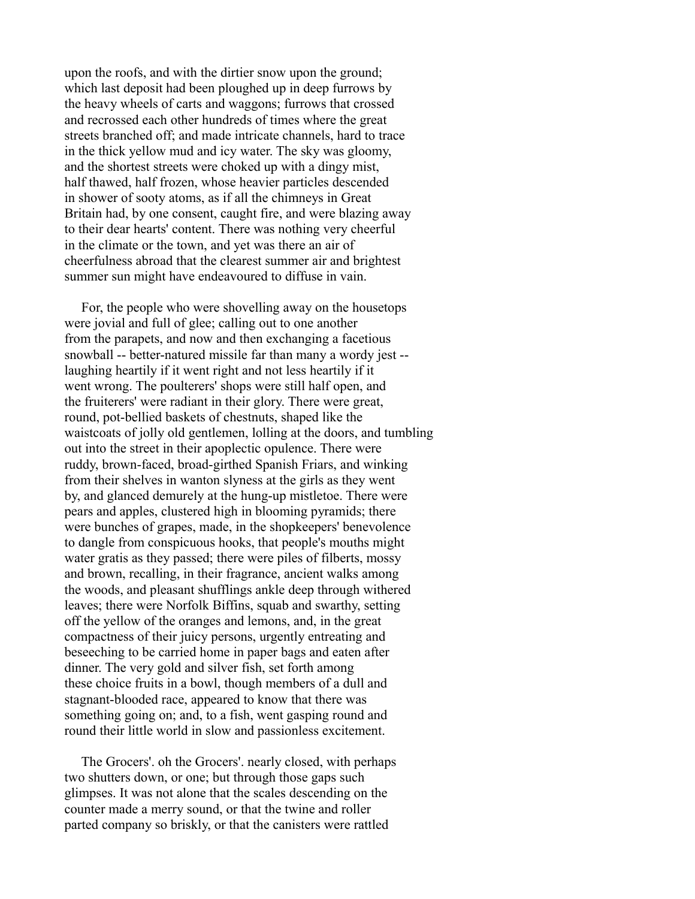upon the roofs, and with the dirtier snow upon the ground; which last deposit had been ploughed up in deep furrows by the heavy wheels of carts and waggons; furrows that crossed and recrossed each other hundreds of times where the great streets branched off; and made intricate channels, hard to trace in the thick yellow mud and icy water. The sky was gloomy, and the shortest streets were choked up with a dingy mist, half thawed, half frozen, whose heavier particles descended in shower of sooty atoms, as if all the chimneys in Great Britain had, by one consent, caught fire, and were blazing away to their dear hearts' content. There was nothing very cheerful in the climate or the town, and yet was there an air of cheerfulness abroad that the clearest summer air and brightest summer sun might have endeavoured to diffuse in vain.

 For, the people who were shovelling away on the housetops were jovial and full of glee; calling out to one another from the parapets, and now and then exchanging a facetious snowball -- better-natured missile far than many a wordy jest - laughing heartily if it went right and not less heartily if it went wrong. The poulterers' shops were still half open, and the fruiterers' were radiant in their glory. There were great, round, pot-bellied baskets of chestnuts, shaped like the waistcoats of jolly old gentlemen, lolling at the doors, and tumbling out into the street in their apoplectic opulence. There were ruddy, brown-faced, broad-girthed Spanish Friars, and winking from their shelves in wanton slyness at the girls as they went by, and glanced demurely at the hung-up mistletoe. There were pears and apples, clustered high in blooming pyramids; there were bunches of grapes, made, in the shopkeepers' benevolence to dangle from conspicuous hooks, that people's mouths might water gratis as they passed; there were piles of filberts, mossy and brown, recalling, in their fragrance, ancient walks among the woods, and pleasant shufflings ankle deep through withered leaves; there were Norfolk Biffins, squab and swarthy, setting off the yellow of the oranges and lemons, and, in the great compactness of their juicy persons, urgently entreating and beseeching to be carried home in paper bags and eaten after dinner. The very gold and silver fish, set forth among these choice fruits in a bowl, though members of a dull and stagnant-blooded race, appeared to know that there was something going on; and, to a fish, went gasping round and round their little world in slow and passionless excitement.

 The Grocers'. oh the Grocers'. nearly closed, with perhaps two shutters down, or one; but through those gaps such glimpses. It was not alone that the scales descending on the counter made a merry sound, or that the twine and roller parted company so briskly, or that the canisters were rattled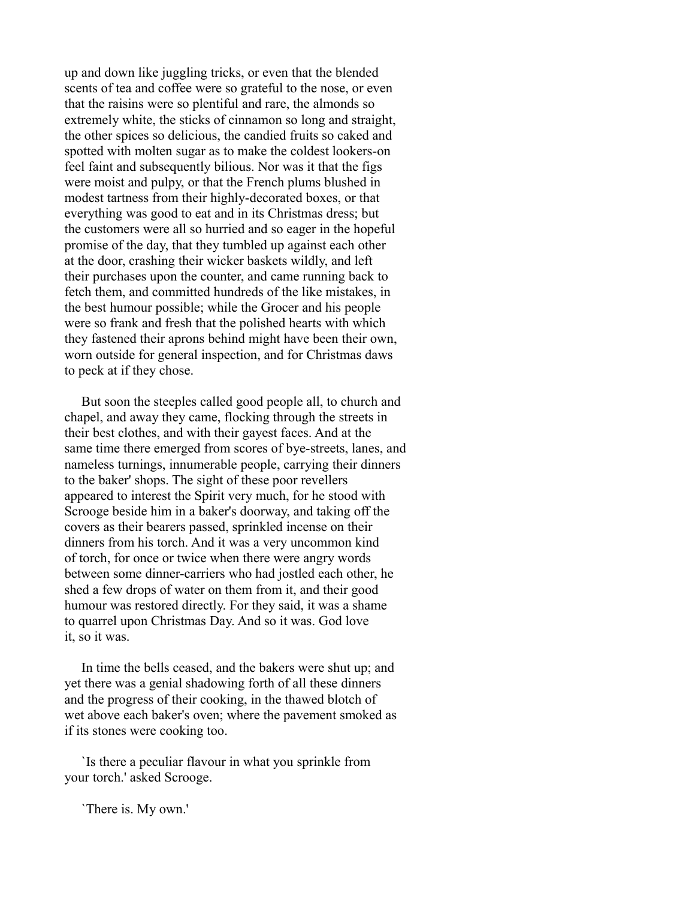up and down like juggling tricks, or even that the blended scents of tea and coffee were so grateful to the nose, or even that the raisins were so plentiful and rare, the almonds so extremely white, the sticks of cinnamon so long and straight, the other spices so delicious, the candied fruits so caked and spotted with molten sugar as to make the coldest lookers-on feel faint and subsequently bilious. Nor was it that the figs were moist and pulpy, or that the French plums blushed in modest tartness from their highly-decorated boxes, or that everything was good to eat and in its Christmas dress; but the customers were all so hurried and so eager in the hopeful promise of the day, that they tumbled up against each other at the door, crashing their wicker baskets wildly, and left their purchases upon the counter, and came running back to fetch them, and committed hundreds of the like mistakes, in the best humour possible; while the Grocer and his people were so frank and fresh that the polished hearts with which they fastened their aprons behind might have been their own, worn outside for general inspection, and for Christmas daws to peck at if they chose.

 But soon the steeples called good people all, to church and chapel, and away they came, flocking through the streets in their best clothes, and with their gayest faces. And at the same time there emerged from scores of bye-streets, lanes, and nameless turnings, innumerable people, carrying their dinners to the baker' shops. The sight of these poor revellers appeared to interest the Spirit very much, for he stood with Scrooge beside him in a baker's doorway, and taking off the covers as their bearers passed, sprinkled incense on their dinners from his torch. And it was a very uncommon kind of torch, for once or twice when there were angry words between some dinner-carriers who had jostled each other, he shed a few drops of water on them from it, and their good humour was restored directly. For they said, it was a shame to quarrel upon Christmas Day. And so it was. God love it, so it was.

 In time the bells ceased, and the bakers were shut up; and yet there was a genial shadowing forth of all these dinners and the progress of their cooking, in the thawed blotch of wet above each baker's oven; where the pavement smoked as if its stones were cooking too.

 `Is there a peculiar flavour in what you sprinkle from your torch.' asked Scrooge.

`There is. My own.'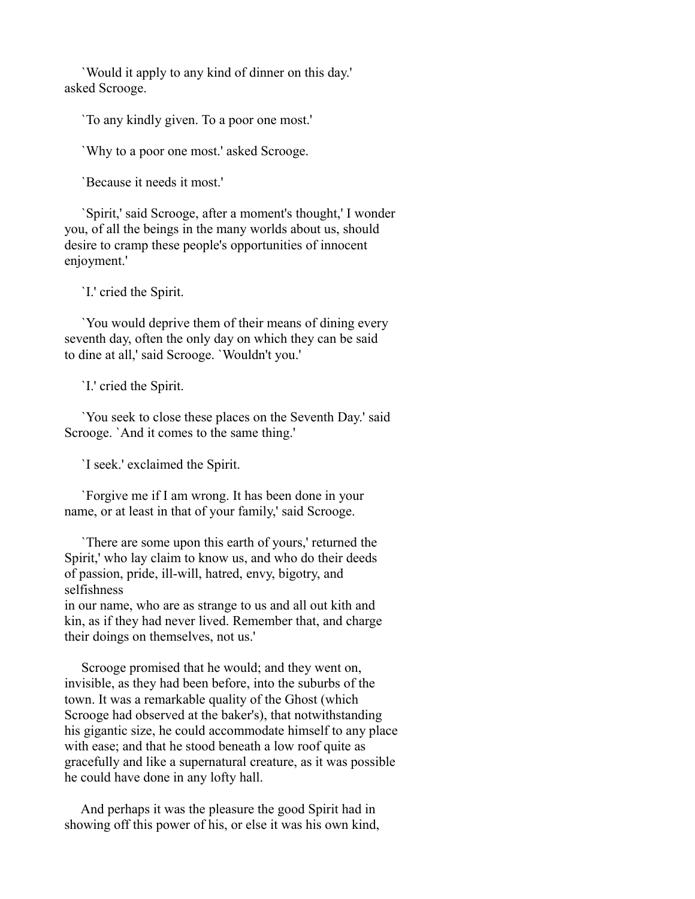`Would it apply to any kind of dinner on this day.' asked Scrooge.

`To any kindly given. To a poor one most.'

`Why to a poor one most.' asked Scrooge.

`Because it needs it most.'

 `Spirit,' said Scrooge, after a moment's thought,' I wonder you, of all the beings in the many worlds about us, should desire to cramp these people's opportunities of innocent enjoyment.'

`I.' cried the Spirit.

 `You would deprive them of their means of dining every seventh day, often the only day on which they can be said to dine at all,' said Scrooge. `Wouldn't you.'

`I.' cried the Spirit.

 `You seek to close these places on the Seventh Day.' said Scrooge. `And it comes to the same thing.'

`I seek.' exclaimed the Spirit.

 `Forgive me if I am wrong. It has been done in your name, or at least in that of your family,' said Scrooge.

 `There are some upon this earth of yours,' returned the Spirit,' who lay claim to know us, and who do their deeds of passion, pride, ill-will, hatred, envy, bigotry, and selfishness

in our name, who are as strange to us and all out kith and kin, as if they had never lived. Remember that, and charge their doings on themselves, not us.'

 Scrooge promised that he would; and they went on, invisible, as they had been before, into the suburbs of the town. It was a remarkable quality of the Ghost (which Scrooge had observed at the baker's), that notwithstanding his gigantic size, he could accommodate himself to any place with ease; and that he stood beneath a low roof quite as gracefully and like a supernatural creature, as it was possible he could have done in any lofty hall.

 And perhaps it was the pleasure the good Spirit had in showing off this power of his, or else it was his own kind,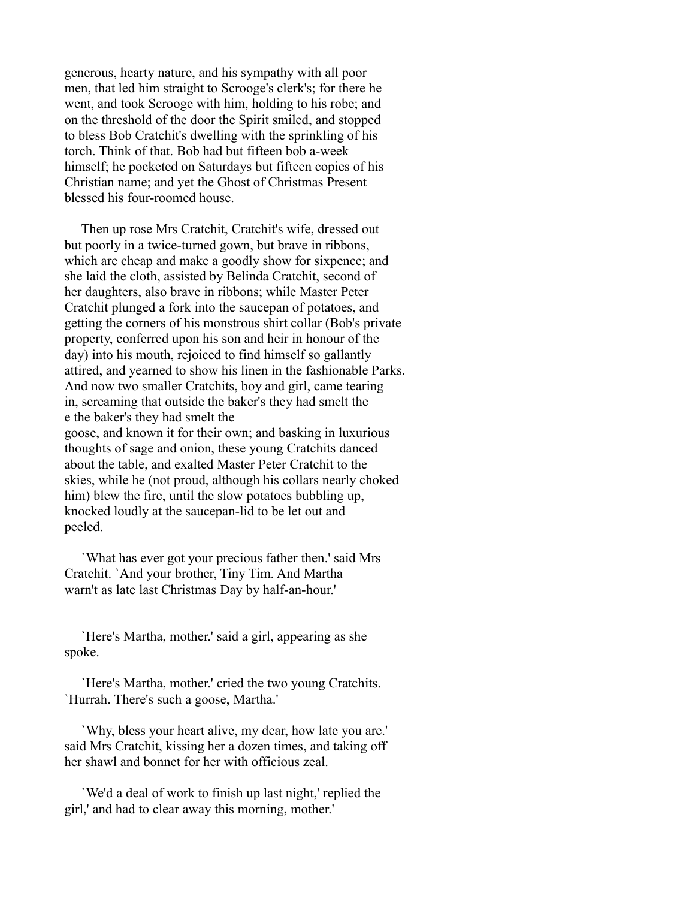generous, hearty nature, and his sympathy with all poor men, that led him straight to Scrooge's clerk's; for there he went, and took Scrooge with him, holding to his robe; and on the threshold of the door the Spirit smiled, and stopped to bless Bob Cratchit's dwelling with the sprinkling of his torch. Think of that. Bob had but fifteen bob a-week himself; he pocketed on Saturdays but fifteen copies of his Christian name; and yet the Ghost of Christmas Present blessed his four-roomed house.

 Then up rose Mrs Cratchit, Cratchit's wife, dressed out but poorly in a twice-turned gown, but brave in ribbons, which are cheap and make a goodly show for sixpence; and she laid the cloth, assisted by Belinda Cratchit, second of her daughters, also brave in ribbons; while Master Peter Cratchit plunged a fork into the saucepan of potatoes, and getting the corners of his monstrous shirt collar (Bob's private property, conferred upon his son and heir in honour of the day) into his mouth, rejoiced to find himself so gallantly attired, and yearned to show his linen in the fashionable Parks. And now two smaller Cratchits, boy and girl, came tearing in, screaming that outside the baker's they had smelt the e the baker's they had smelt the goose, and known it for their own; and basking in luxurious thoughts of sage and onion, these young Cratchits danced about the table, and exalted Master Peter Cratchit to the skies, while he (not proud, although his collars nearly choked him) blew the fire, until the slow potatoes bubbling up,

knocked loudly at the saucepan-lid to be let out and peeled.

 `What has ever got your precious father then.' said Mrs Cratchit. `And your brother, Tiny Tim. And Martha warn't as late last Christmas Day by half-an-hour.'

 `Here's Martha, mother.' said a girl, appearing as she spoke.

 `Here's Martha, mother.' cried the two young Cratchits. `Hurrah. There's such a goose, Martha.'

 `Why, bless your heart alive, my dear, how late you are.' said Mrs Cratchit, kissing her a dozen times, and taking off her shawl and bonnet for her with officious zeal.

 `We'd a deal of work to finish up last night,' replied the girl,' and had to clear away this morning, mother.'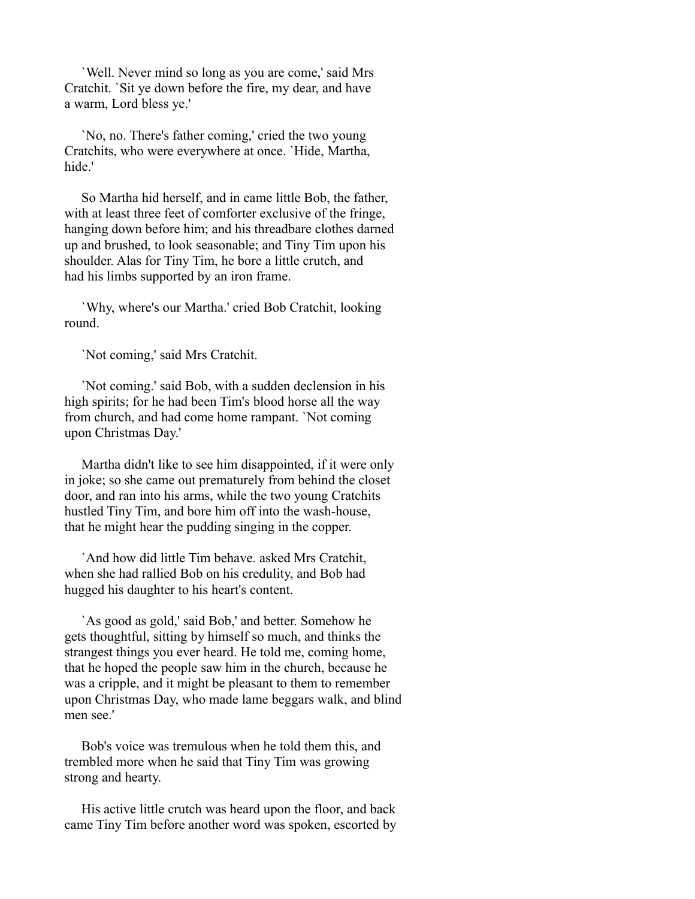`Well. Never mind so long as you are come,' said Mrs Cratchit. `Sit ye down before the fire, my dear, and have a warm, Lord bless ye.'

 `No, no. There's father coming,' cried the two young Cratchits, who were everywhere at once. `Hide, Martha, hide<sup>'</sup>

 So Martha hid herself, and in came little Bob, the father, with at least three feet of comforter exclusive of the fringe, hanging down before him; and his threadbare clothes darned up and brushed, to look seasonable; and Tiny Tim upon his shoulder. Alas for Tiny Tim, he bore a little crutch, and had his limbs supported by an iron frame.

 `Why, where's our Martha.' cried Bob Cratchit, looking round.

`Not coming,' said Mrs Cratchit.

 `Not coming.' said Bob, with a sudden declension in his high spirits; for he had been Tim's blood horse all the way from church, and had come home rampant. `Not coming upon Christmas Day.'

 Martha didn't like to see him disappointed, if it were only in joke; so she came out prematurely from behind the closet door, and ran into his arms, while the two young Cratchits hustled Tiny Tim, and bore him off into the wash-house, that he might hear the pudding singing in the copper.

 `And how did little Tim behave. asked Mrs Cratchit, when she had rallied Bob on his credulity, and Bob had hugged his daughter to his heart's content.

 `As good as gold,' said Bob,' and better. Somehow he gets thoughtful, sitting by himself so much, and thinks the strangest things you ever heard. He told me, coming home, that he hoped the people saw him in the church, because he was a cripple, and it might be pleasant to them to remember upon Christmas Day, who made lame beggars walk, and blind men see<sup>'</sup>

 Bob's voice was tremulous when he told them this, and trembled more when he said that Tiny Tim was growing strong and hearty.

 His active little crutch was heard upon the floor, and back came Tiny Tim before another word was spoken, escorted by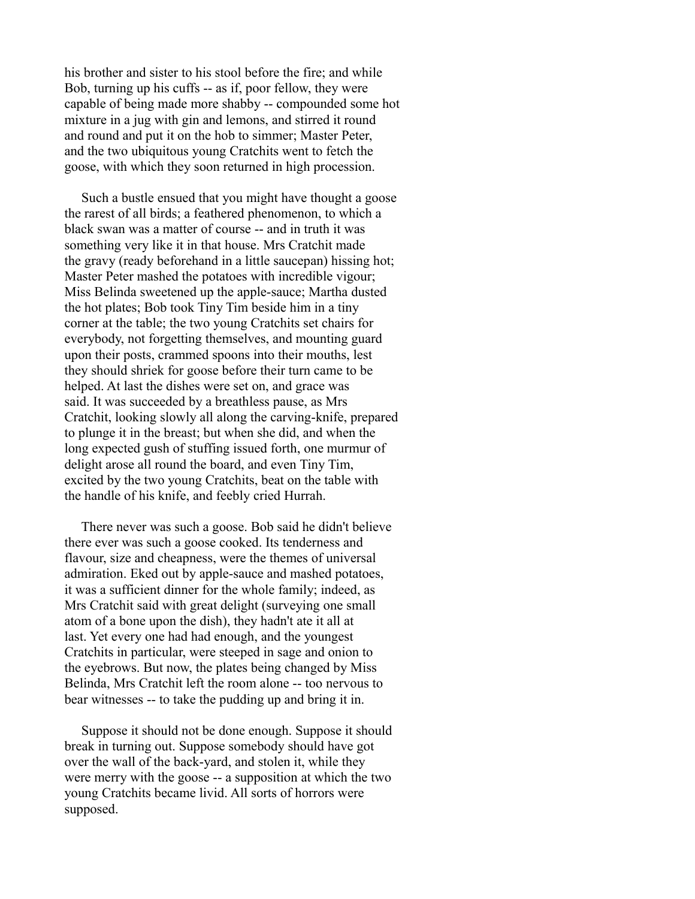his brother and sister to his stool before the fire; and while Bob, turning up his cuffs -- as if, poor fellow, they were capable of being made more shabby -- compounded some hot mixture in a jug with gin and lemons, and stirred it round and round and put it on the hob to simmer; Master Peter, and the two ubiquitous young Cratchits went to fetch the goose, with which they soon returned in high procession.

 Such a bustle ensued that you might have thought a goose the rarest of all birds; a feathered phenomenon, to which a black swan was a matter of course -- and in truth it was something very like it in that house. Mrs Cratchit made the gravy (ready beforehand in a little saucepan) hissing hot; Master Peter mashed the potatoes with incredible vigour; Miss Belinda sweetened up the apple-sauce; Martha dusted the hot plates; Bob took Tiny Tim beside him in a tiny corner at the table; the two young Cratchits set chairs for everybody, not forgetting themselves, and mounting guard upon their posts, crammed spoons into their mouths, lest they should shriek for goose before their turn came to be helped. At last the dishes were set on, and grace was said. It was succeeded by a breathless pause, as Mrs Cratchit, looking slowly all along the carving-knife, prepared to plunge it in the breast; but when she did, and when the long expected gush of stuffing issued forth, one murmur of delight arose all round the board, and even Tiny Tim, excited by the two young Cratchits, beat on the table with the handle of his knife, and feebly cried Hurrah.

 There never was such a goose. Bob said he didn't believe there ever was such a goose cooked. Its tenderness and flavour, size and cheapness, were the themes of universal admiration. Eked out by apple-sauce and mashed potatoes, it was a sufficient dinner for the whole family; indeed, as Mrs Cratchit said with great delight (surveying one small atom of a bone upon the dish), they hadn't ate it all at last. Yet every one had had enough, and the youngest Cratchits in particular, were steeped in sage and onion to the eyebrows. But now, the plates being changed by Miss Belinda, Mrs Cratchit left the room alone -- too nervous to bear witnesses -- to take the pudding up and bring it in.

 Suppose it should not be done enough. Suppose it should break in turning out. Suppose somebody should have got over the wall of the back-yard, and stolen it, while they were merry with the goose -- a supposition at which the two young Cratchits became livid. All sorts of horrors were supposed.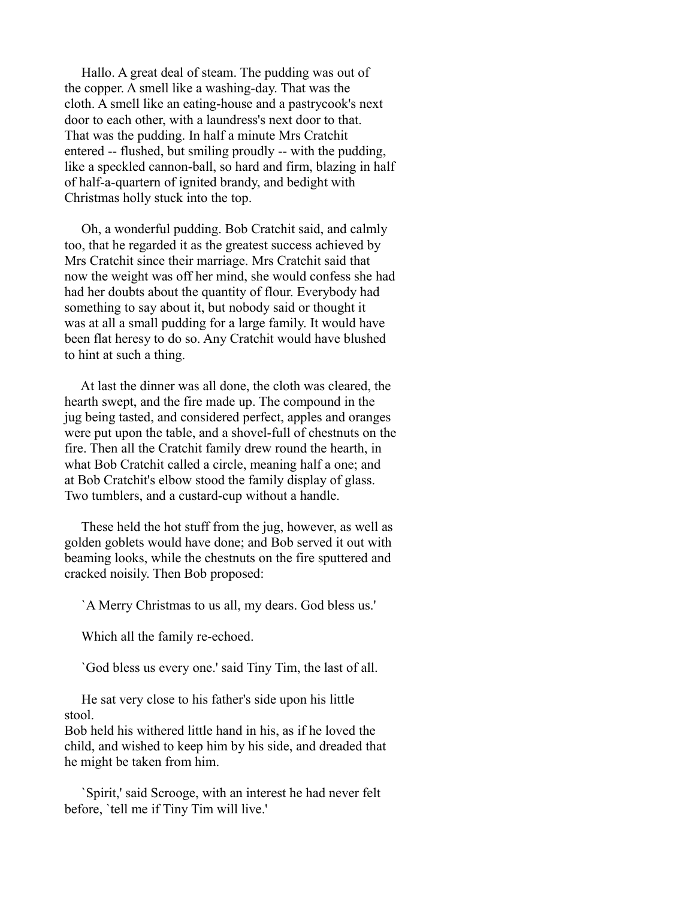Hallo. A great deal of steam. The pudding was out of the copper. A smell like a washing-day. That was the cloth. A smell like an eating-house and a pastrycook's next door to each other, with a laundress's next door to that. That was the pudding. In half a minute Mrs Cratchit entered -- flushed, but smiling proudly -- with the pudding, like a speckled cannon-ball, so hard and firm, blazing in half of half-a-quartern of ignited brandy, and bedight with Christmas holly stuck into the top.

 Oh, a wonderful pudding. Bob Cratchit said, and calmly too, that he regarded it as the greatest success achieved by Mrs Cratchit since their marriage. Mrs Cratchit said that now the weight was off her mind, she would confess she had had her doubts about the quantity of flour. Everybody had something to say about it, but nobody said or thought it was at all a small pudding for a large family. It would have been flat heresy to do so. Any Cratchit would have blushed to hint at such a thing.

 At last the dinner was all done, the cloth was cleared, the hearth swept, and the fire made up. The compound in the jug being tasted, and considered perfect, apples and oranges were put upon the table, and a shovel-full of chestnuts on the fire. Then all the Cratchit family drew round the hearth, in what Bob Cratchit called a circle, meaning half a one; and at Bob Cratchit's elbow stood the family display of glass. Two tumblers, and a custard-cup without a handle.

 These held the hot stuff from the jug, however, as well as golden goblets would have done; and Bob served it out with beaming looks, while the chestnuts on the fire sputtered and cracked noisily. Then Bob proposed:

`A Merry Christmas to us all, my dears. God bless us.'

Which all the family re-echoed.

`God bless us every one.' said Tiny Tim, the last of all.

 He sat very close to his father's side upon his little stool.

Bob held his withered little hand in his, as if he loved the child, and wished to keep him by his side, and dreaded that he might be taken from him.

 `Spirit,' said Scrooge, with an interest he had never felt before, `tell me if Tiny Tim will live.'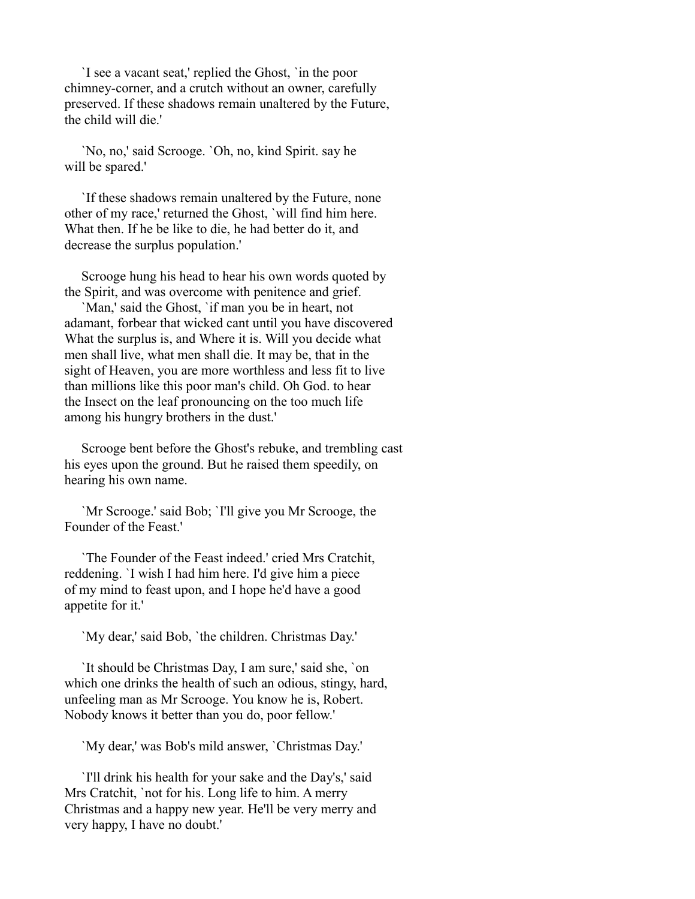`I see a vacant seat,' replied the Ghost, `in the poor chimney-corner, and a crutch without an owner, carefully preserved. If these shadows remain unaltered by the Future, the child will die.'

 `No, no,' said Scrooge. `Oh, no, kind Spirit. say he will be spared.'

 `If these shadows remain unaltered by the Future, none other of my race,' returned the Ghost, `will find him here. What then. If he be like to die, he had better do it, and decrease the surplus population.'

 Scrooge hung his head to hear his own words quoted by the Spirit, and was overcome with penitence and grief.

 `Man,' said the Ghost, `if man you be in heart, not adamant, forbear that wicked cant until you have discovered What the surplus is, and Where it is. Will you decide what men shall live, what men shall die. It may be, that in the sight of Heaven, you are more worthless and less fit to live than millions like this poor man's child. Oh God. to hear the Insect on the leaf pronouncing on the too much life among his hungry brothers in the dust.'

 Scrooge bent before the Ghost's rebuke, and trembling cast his eyes upon the ground. But he raised them speedily, on hearing his own name.

 `Mr Scrooge.' said Bob; `I'll give you Mr Scrooge, the Founder of the Feast.'

 `The Founder of the Feast indeed.' cried Mrs Cratchit, reddening. `I wish I had him here. I'd give him a piece of my mind to feast upon, and I hope he'd have a good appetite for it.'

`My dear,' said Bob, `the children. Christmas Day.'

 `It should be Christmas Day, I am sure,' said she, `on which one drinks the health of such an odious, stingy, hard, unfeeling man as Mr Scrooge. You know he is, Robert. Nobody knows it better than you do, poor fellow.'

`My dear,' was Bob's mild answer, `Christmas Day.'

 `I'll drink his health for your sake and the Day's,' said Mrs Cratchit, `not for his. Long life to him. A merry Christmas and a happy new year. He'll be very merry and very happy, I have no doubt.'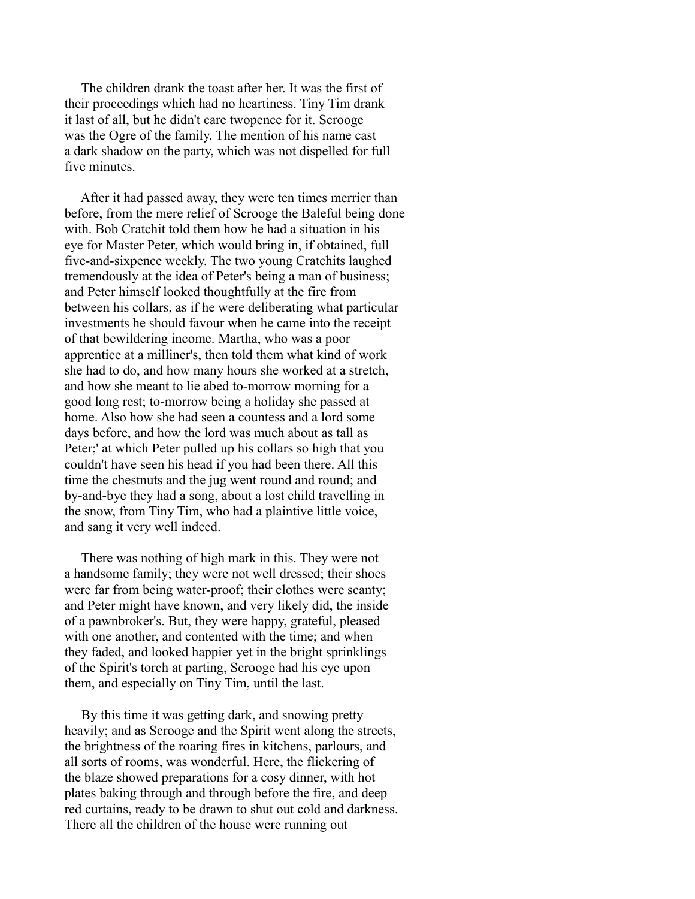The children drank the toast after her. It was the first of their proceedings which had no heartiness. Tiny Tim drank it last of all, but he didn't care twopence for it. Scrooge was the Ogre of the family. The mention of his name cast a dark shadow on the party, which was not dispelled for full five minutes.

 After it had passed away, they were ten times merrier than before, from the mere relief of Scrooge the Baleful being done with. Bob Cratchit told them how he had a situation in his eye for Master Peter, which would bring in, if obtained, full five-and-sixpence weekly. The two young Cratchits laughed tremendously at the idea of Peter's being a man of business; and Peter himself looked thoughtfully at the fire from between his collars, as if he were deliberating what particular investments he should favour when he came into the receipt of that bewildering income. Martha, who was a poor apprentice at a milliner's, then told them what kind of work she had to do, and how many hours she worked at a stretch, and how she meant to lie abed to-morrow morning for a good long rest; to-morrow being a holiday she passed at home. Also how she had seen a countess and a lord some days before, and how the lord was much about as tall as Peter;' at which Peter pulled up his collars so high that you couldn't have seen his head if you had been there. All this time the chestnuts and the jug went round and round; and by-and-bye they had a song, about a lost child travelling in the snow, from Tiny Tim, who had a plaintive little voice, and sang it very well indeed.

 There was nothing of high mark in this. They were not a handsome family; they were not well dressed; their shoes were far from being water-proof; their clothes were scanty; and Peter might have known, and very likely did, the inside of a pawnbroker's. But, they were happy, grateful, pleased with one another, and contented with the time; and when they faded, and looked happier yet in the bright sprinklings of the Spirit's torch at parting, Scrooge had his eye upon them, and especially on Tiny Tim, until the last.

 By this time it was getting dark, and snowing pretty heavily; and as Scrooge and the Spirit went along the streets, the brightness of the roaring fires in kitchens, parlours, and all sorts of rooms, was wonderful. Here, the flickering of the blaze showed preparations for a cosy dinner, with hot plates baking through and through before the fire, and deep red curtains, ready to be drawn to shut out cold and darkness. There all the children of the house were running out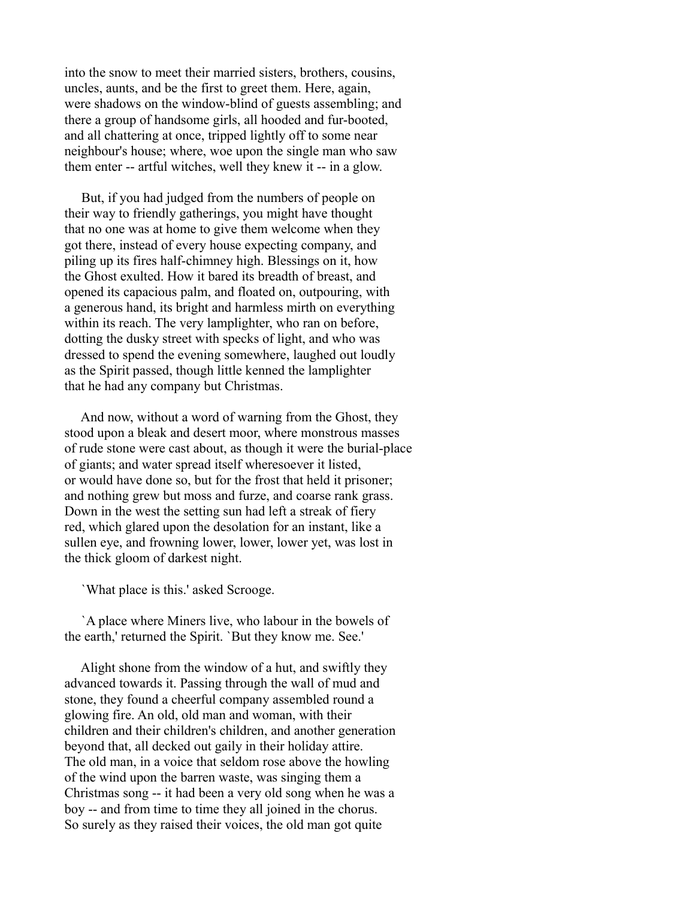into the snow to meet their married sisters, brothers, cousins, uncles, aunts, and be the first to greet them. Here, again, were shadows on the window-blind of guests assembling; and there a group of handsome girls, all hooded and fur-booted, and all chattering at once, tripped lightly off to some near neighbour's house; where, woe upon the single man who saw them enter -- artful witches, well they knew it -- in a glow.

 But, if you had judged from the numbers of people on their way to friendly gatherings, you might have thought that no one was at home to give them welcome when they got there, instead of every house expecting company, and piling up its fires half-chimney high. Blessings on it, how the Ghost exulted. How it bared its breadth of breast, and opened its capacious palm, and floated on, outpouring, with a generous hand, its bright and harmless mirth on everything within its reach. The very lamplighter, who ran on before, dotting the dusky street with specks of light, and who was dressed to spend the evening somewhere, laughed out loudly as the Spirit passed, though little kenned the lamplighter that he had any company but Christmas.

 And now, without a word of warning from the Ghost, they stood upon a bleak and desert moor, where monstrous masses of rude stone were cast about, as though it were the burial-place of giants; and water spread itself wheresoever it listed, or would have done so, but for the frost that held it prisoner; and nothing grew but moss and furze, and coarse rank grass. Down in the west the setting sun had left a streak of fiery red, which glared upon the desolation for an instant, like a sullen eye, and frowning lower, lower, lower yet, was lost in the thick gloom of darkest night.

`What place is this.' asked Scrooge.

 `A place where Miners live, who labour in the bowels of the earth,' returned the Spirit. `But they know me. See.'

 Alight shone from the window of a hut, and swiftly they advanced towards it. Passing through the wall of mud and stone, they found a cheerful company assembled round a glowing fire. An old, old man and woman, with their children and their children's children, and another generation beyond that, all decked out gaily in their holiday attire. The old man, in a voice that seldom rose above the howling of the wind upon the barren waste, was singing them a Christmas song -- it had been a very old song when he was a boy -- and from time to time they all joined in the chorus. So surely as they raised their voices, the old man got quite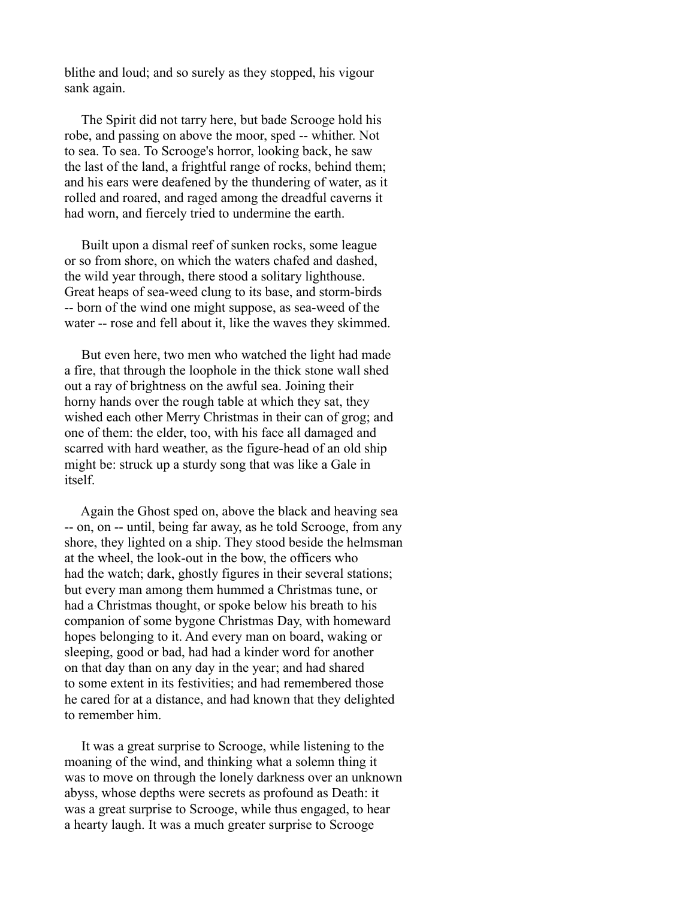blithe and loud; and so surely as they stopped, his vigour sank again.

 The Spirit did not tarry here, but bade Scrooge hold his robe, and passing on above the moor, sped -- whither. Not to sea. To sea. To Scrooge's horror, looking back, he saw the last of the land, a frightful range of rocks, behind them; and his ears were deafened by the thundering of water, as it rolled and roared, and raged among the dreadful caverns it had worn, and fiercely tried to undermine the earth.

 Built upon a dismal reef of sunken rocks, some league or so from shore, on which the waters chafed and dashed, the wild year through, there stood a solitary lighthouse. Great heaps of sea-weed clung to its base, and storm-birds -- born of the wind one might suppose, as sea-weed of the water -- rose and fell about it, like the waves they skimmed.

 But even here, two men who watched the light had made a fire, that through the loophole in the thick stone wall shed out a ray of brightness on the awful sea. Joining their horny hands over the rough table at which they sat, they wished each other Merry Christmas in their can of grog; and one of them: the elder, too, with his face all damaged and scarred with hard weather, as the figure-head of an old ship might be: struck up a sturdy song that was like a Gale in itself.

 Again the Ghost sped on, above the black and heaving sea -- on, on -- until, being far away, as he told Scrooge, from any shore, they lighted on a ship. They stood beside the helmsman at the wheel, the look-out in the bow, the officers who had the watch; dark, ghostly figures in their several stations; but every man among them hummed a Christmas tune, or had a Christmas thought, or spoke below his breath to his companion of some bygone Christmas Day, with homeward hopes belonging to it. And every man on board, waking or sleeping, good or bad, had had a kinder word for another on that day than on any day in the year; and had shared to some extent in its festivities; and had remembered those he cared for at a distance, and had known that they delighted to remember him.

 It was a great surprise to Scrooge, while listening to the moaning of the wind, and thinking what a solemn thing it was to move on through the lonely darkness over an unknown abyss, whose depths were secrets as profound as Death: it was a great surprise to Scrooge, while thus engaged, to hear a hearty laugh. It was a much greater surprise to Scrooge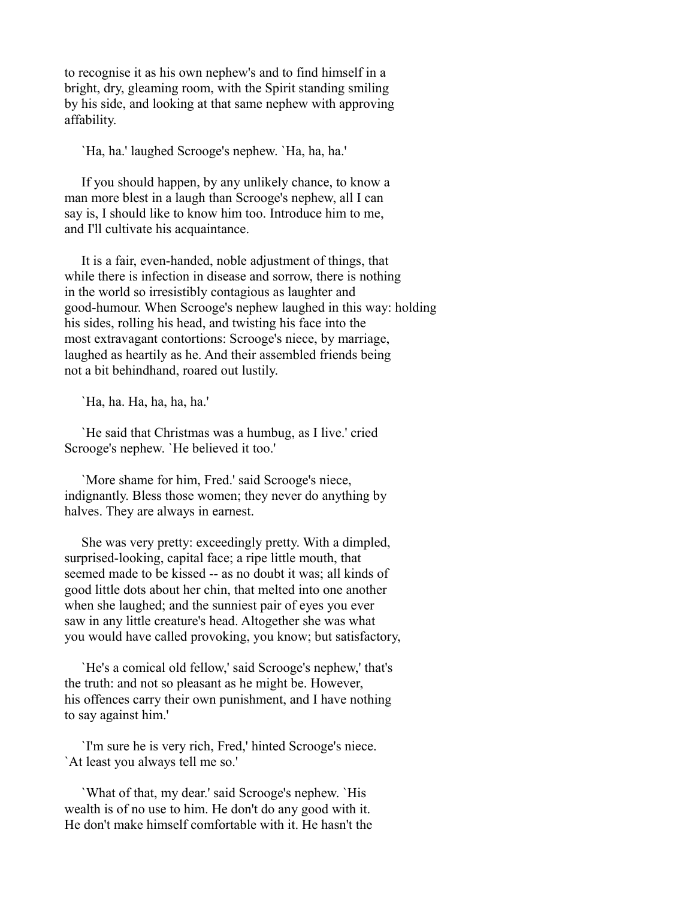to recognise it as his own nephew's and to find himself in a bright, dry, gleaming room, with the Spirit standing smiling by his side, and looking at that same nephew with approving affability.

`Ha, ha.' laughed Scrooge's nephew. `Ha, ha, ha.'

 If you should happen, by any unlikely chance, to know a man more blest in a laugh than Scrooge's nephew, all I can say is, I should like to know him too. Introduce him to me, and I'll cultivate his acquaintance.

 It is a fair, even-handed, noble adjustment of things, that while there is infection in disease and sorrow, there is nothing in the world so irresistibly contagious as laughter and good-humour. When Scrooge's nephew laughed in this way: holding his sides, rolling his head, and twisting his face into the most extravagant contortions: Scrooge's niece, by marriage, laughed as heartily as he. And their assembled friends being not a bit behindhand, roared out lustily.

`Ha, ha. Ha, ha, ha, ha.'

 `He said that Christmas was a humbug, as I live.' cried Scrooge's nephew. `He believed it too.'

 `More shame for him, Fred.' said Scrooge's niece, indignantly. Bless those women; they never do anything by halves. They are always in earnest.

 She was very pretty: exceedingly pretty. With a dimpled, surprised-looking, capital face; a ripe little mouth, that seemed made to be kissed -- as no doubt it was; all kinds of good little dots about her chin, that melted into one another when she laughed; and the sunniest pair of eyes you ever saw in any little creature's head. Altogether she was what you would have called provoking, you know; but satisfactory,

 `He's a comical old fellow,' said Scrooge's nephew,' that's the truth: and not so pleasant as he might be. However, his offences carry their own punishment, and I have nothing to say against him.'

 `I'm sure he is very rich, Fred,' hinted Scrooge's niece. `At least you always tell me so.'

 `What of that, my dear.' said Scrooge's nephew. `His wealth is of no use to him. He don't do any good with it. He don't make himself comfortable with it. He hasn't the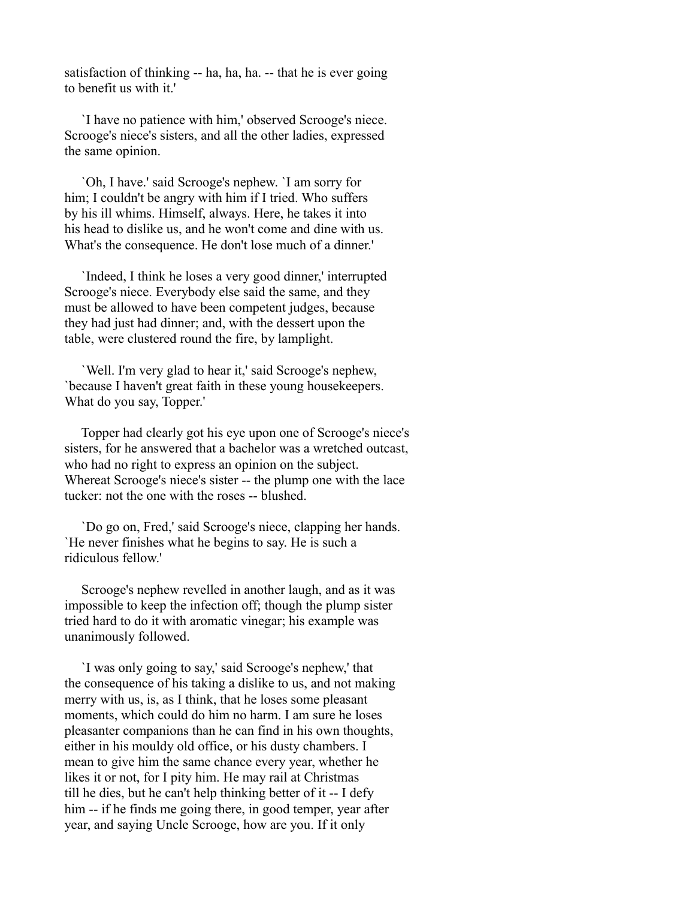satisfaction of thinking -- ha, ha, ha. -- that he is ever going to benefit us with it.'

 `I have no patience with him,' observed Scrooge's niece. Scrooge's niece's sisters, and all the other ladies, expressed the same opinion.

 `Oh, I have.' said Scrooge's nephew. `I am sorry for him; I couldn't be angry with him if I tried. Who suffers by his ill whims. Himself, always. Here, he takes it into his head to dislike us, and he won't come and dine with us. What's the consequence. He don't lose much of a dinner.'

 `Indeed, I think he loses a very good dinner,' interrupted Scrooge's niece. Everybody else said the same, and they must be allowed to have been competent judges, because they had just had dinner; and, with the dessert upon the table, were clustered round the fire, by lamplight.

 `Well. I'm very glad to hear it,' said Scrooge's nephew, `because I haven't great faith in these young housekeepers. What do you say, Topper.'

 Topper had clearly got his eye upon one of Scrooge's niece's sisters, for he answered that a bachelor was a wretched outcast, who had no right to express an opinion on the subject. Whereat Scrooge's niece's sister -- the plump one with the lace tucker: not the one with the roses -- blushed.

 `Do go on, Fred,' said Scrooge's niece, clapping her hands. `He never finishes what he begins to say. He is such a ridiculous fellow.'

 Scrooge's nephew revelled in another laugh, and as it was impossible to keep the infection off; though the plump sister tried hard to do it with aromatic vinegar; his example was unanimously followed.

 `I was only going to say,' said Scrooge's nephew,' that the consequence of his taking a dislike to us, and not making merry with us, is, as I think, that he loses some pleasant moments, which could do him no harm. I am sure he loses pleasanter companions than he can find in his own thoughts, either in his mouldy old office, or his dusty chambers. I mean to give him the same chance every year, whether he likes it or not, for I pity him. He may rail at Christmas till he dies, but he can't help thinking better of it -- I defy him -- if he finds me going there, in good temper, year after year, and saying Uncle Scrooge, how are you. If it only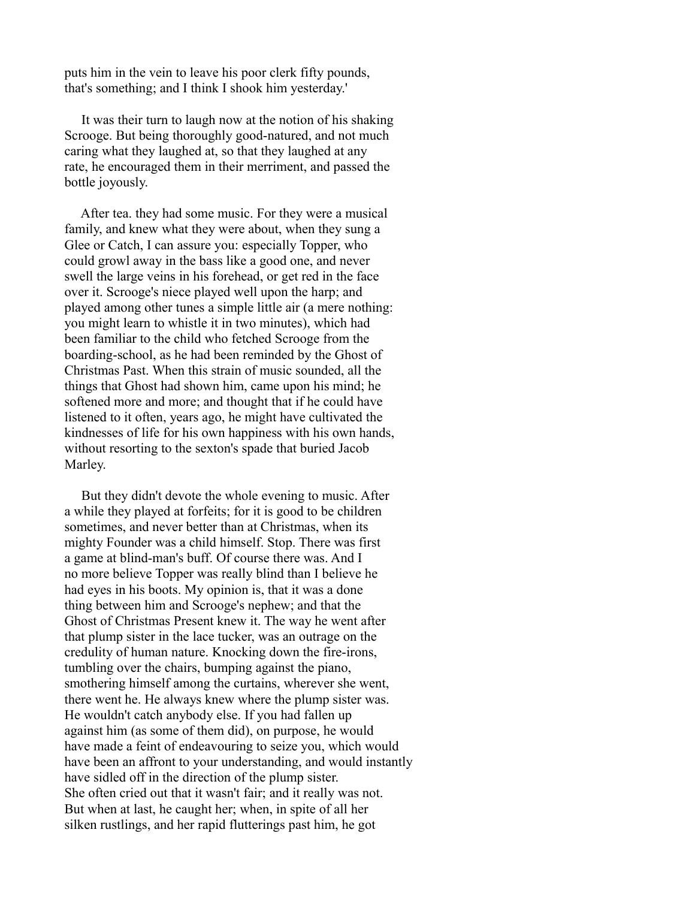puts him in the vein to leave his poor clerk fifty pounds, that's something; and I think I shook him yesterday.'

 It was their turn to laugh now at the notion of his shaking Scrooge. But being thoroughly good-natured, and not much caring what they laughed at, so that they laughed at any rate, he encouraged them in their merriment, and passed the bottle joyously.

 After tea. they had some music. For they were a musical family, and knew what they were about, when they sung a Glee or Catch, I can assure you: especially Topper, who could growl away in the bass like a good one, and never swell the large veins in his forehead, or get red in the face over it. Scrooge's niece played well upon the harp; and played among other tunes a simple little air (a mere nothing: you might learn to whistle it in two minutes), which had been familiar to the child who fetched Scrooge from the boarding-school, as he had been reminded by the Ghost of Christmas Past. When this strain of music sounded, all the things that Ghost had shown him, came upon his mind; he softened more and more; and thought that if he could have listened to it often, years ago, he might have cultivated the kindnesses of life for his own happiness with his own hands, without resorting to the sexton's spade that buried Jacob Marley.

 But they didn't devote the whole evening to music. After a while they played at forfeits; for it is good to be children sometimes, and never better than at Christmas, when its mighty Founder was a child himself. Stop. There was first a game at blind-man's buff. Of course there was. And I no more believe Topper was really blind than I believe he had eyes in his boots. My opinion is, that it was a done thing between him and Scrooge's nephew; and that the Ghost of Christmas Present knew it. The way he went after that plump sister in the lace tucker, was an outrage on the credulity of human nature. Knocking down the fire-irons, tumbling over the chairs, bumping against the piano, smothering himself among the curtains, wherever she went, there went he. He always knew where the plump sister was. He wouldn't catch anybody else. If you had fallen up against him (as some of them did), on purpose, he would have made a feint of endeavouring to seize you, which would have been an affront to your understanding, and would instantly have sidled off in the direction of the plump sister. She often cried out that it wasn't fair; and it really was not. But when at last, he caught her; when, in spite of all her silken rustlings, and her rapid flutterings past him, he got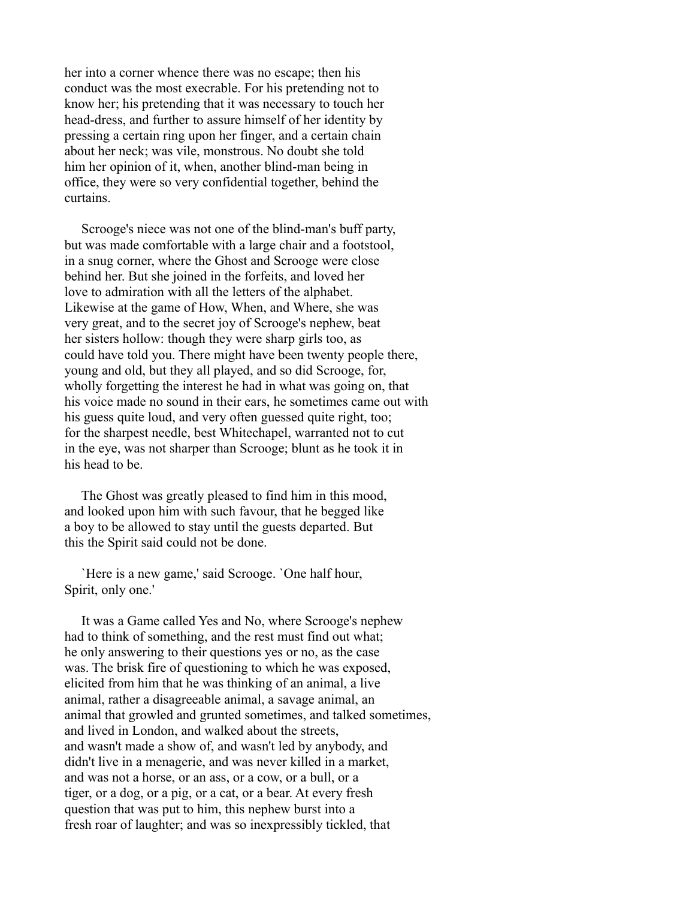her into a corner whence there was no escape; then his conduct was the most execrable. For his pretending not to know her; his pretending that it was necessary to touch her head-dress, and further to assure himself of her identity by pressing a certain ring upon her finger, and a certain chain about her neck; was vile, monstrous. No doubt she told him her opinion of it, when, another blind-man being in office, they were so very confidential together, behind the curtains.

 Scrooge's niece was not one of the blind-man's buff party, but was made comfortable with a large chair and a footstool, in a snug corner, where the Ghost and Scrooge were close behind her. But she joined in the forfeits, and loved her love to admiration with all the letters of the alphabet. Likewise at the game of How, When, and Where, she was very great, and to the secret joy of Scrooge's nephew, beat her sisters hollow: though they were sharp girls too, as could have told you. There might have been twenty people there, young and old, but they all played, and so did Scrooge, for, wholly forgetting the interest he had in what was going on, that his voice made no sound in their ears, he sometimes came out with his guess quite loud, and very often guessed quite right, too; for the sharpest needle, best Whitechapel, warranted not to cut in the eye, was not sharper than Scrooge; blunt as he took it in his head to be.

 The Ghost was greatly pleased to find him in this mood, and looked upon him with such favour, that he begged like a boy to be allowed to stay until the guests departed. But this the Spirit said could not be done.

 `Here is a new game,' said Scrooge. `One half hour, Spirit, only one.'

 It was a Game called Yes and No, where Scrooge's nephew had to think of something, and the rest must find out what; he only answering to their questions yes or no, as the case was. The brisk fire of questioning to which he was exposed, elicited from him that he was thinking of an animal, a live animal, rather a disagreeable animal, a savage animal, an animal that growled and grunted sometimes, and talked sometimes, and lived in London, and walked about the streets, and wasn't made a show of, and wasn't led by anybody, and didn't live in a menagerie, and was never killed in a market, and was not a horse, or an ass, or a cow, or a bull, or a tiger, or a dog, or a pig, or a cat, or a bear. At every fresh question that was put to him, this nephew burst into a fresh roar of laughter; and was so inexpressibly tickled, that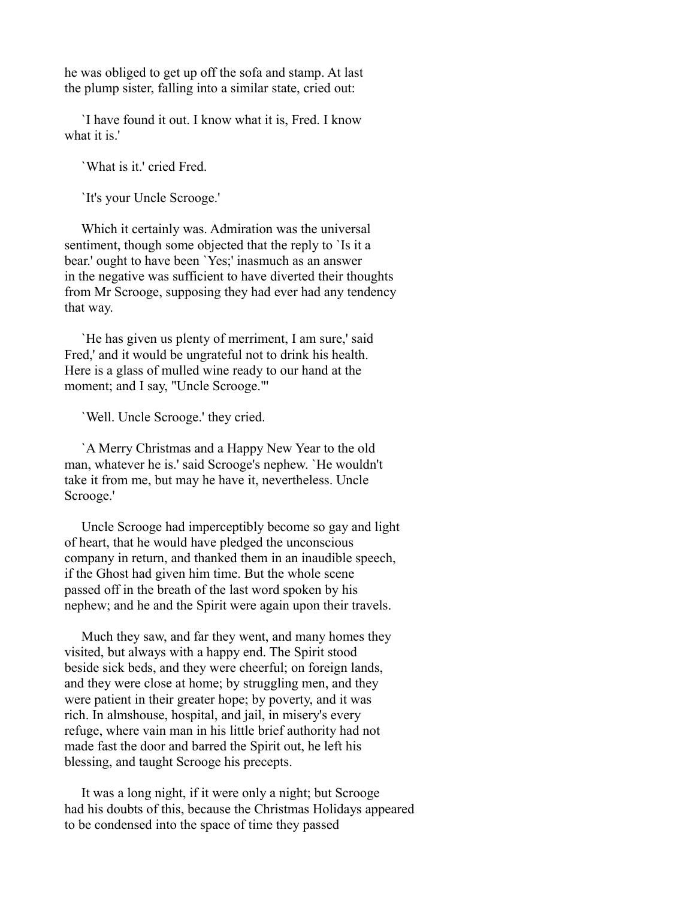he was obliged to get up off the sofa and stamp. At last the plump sister, falling into a similar state, cried out:

 `I have found it out. I know what it is, Fred. I know what it is.'

`What is it.' cried Fred.

`It's your Uncle Scrooge.'

 Which it certainly was. Admiration was the universal sentiment, though some objected that the reply to 'Is it a bear.' ought to have been `Yes;' inasmuch as an answer in the negative was sufficient to have diverted their thoughts from Mr Scrooge, supposing they had ever had any tendency that way.

 `He has given us plenty of merriment, I am sure,' said Fred,' and it would be ungrateful not to drink his health. Here is a glass of mulled wine ready to our hand at the moment; and I say, "Uncle Scrooge."'

`Well. Uncle Scrooge.' they cried.

 `A Merry Christmas and a Happy New Year to the old man, whatever he is.' said Scrooge's nephew. `He wouldn't take it from me, but may he have it, nevertheless. Uncle Scrooge.'

 Uncle Scrooge had imperceptibly become so gay and light of heart, that he would have pledged the unconscious company in return, and thanked them in an inaudible speech, if the Ghost had given him time. But the whole scene passed off in the breath of the last word spoken by his nephew; and he and the Spirit were again upon their travels.

 Much they saw, and far they went, and many homes they visited, but always with a happy end. The Spirit stood beside sick beds, and they were cheerful; on foreign lands, and they were close at home; by struggling men, and they were patient in their greater hope; by poverty, and it was rich. In almshouse, hospital, and jail, in misery's every refuge, where vain man in his little brief authority had not made fast the door and barred the Spirit out, he left his blessing, and taught Scrooge his precepts.

 It was a long night, if it were only a night; but Scrooge had his doubts of this, because the Christmas Holidays appeared to be condensed into the space of time they passed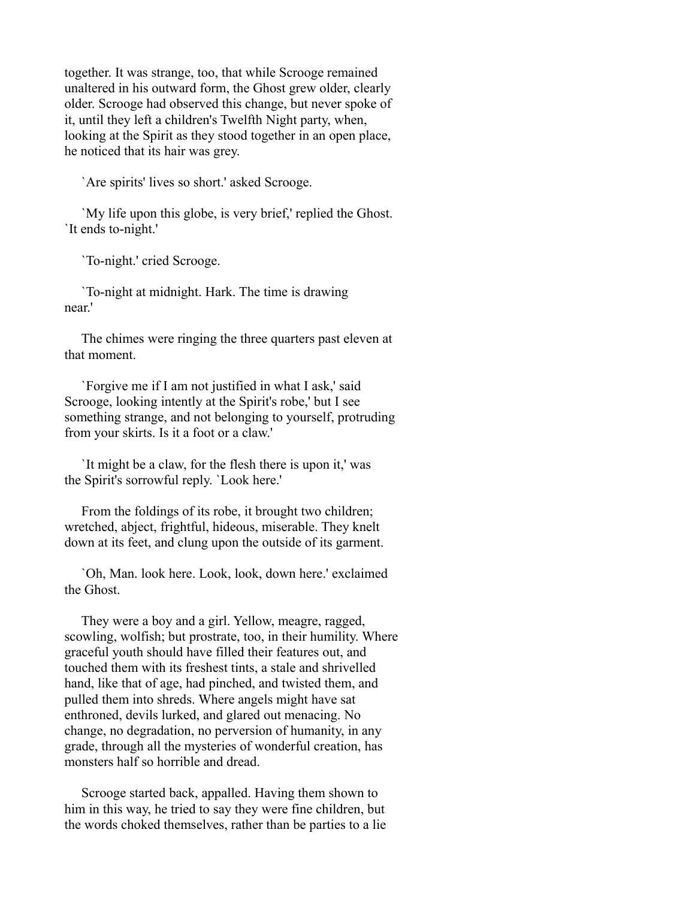together. It was strange, too, that while Scrooge remained unaltered in his outward form, the Ghost grew older, clearly older. Scrooge had observed this change, but never spoke of it, until they left a children's Twelfth Night party, when, looking at the Spirit as they stood together in an open place, he noticed that its hair was grey.

`Are spirits' lives so short.' asked Scrooge.

 `My life upon this globe, is very brief,' replied the Ghost. `It ends to-night.'

`To-night.' cried Scrooge.

 `To-night at midnight. Hark. The time is drawing near.'

 The chimes were ringing the three quarters past eleven at that moment.

 `Forgive me if I am not justified in what I ask,' said Scrooge, looking intently at the Spirit's robe,' but I see something strange, and not belonging to yourself, protruding from your skirts. Is it a foot or a claw.'

 `It might be a claw, for the flesh there is upon it,' was the Spirit's sorrowful reply. `Look here.'

 From the foldings of its robe, it brought two children; wretched, abject, frightful, hideous, miserable. They knelt down at its feet, and clung upon the outside of its garment.

 `Oh, Man. look here. Look, look, down here.' exclaimed the Ghost.

 They were a boy and a girl. Yellow, meagre, ragged, scowling, wolfish; but prostrate, too, in their humility. Where graceful youth should have filled their features out, and touched them with its freshest tints, a stale and shrivelled hand, like that of age, had pinched, and twisted them, and pulled them into shreds. Where angels might have sat enthroned, devils lurked, and glared out menacing. No change, no degradation, no perversion of humanity, in any grade, through all the mysteries of wonderful creation, has monsters half so horrible and dread.

 Scrooge started back, appalled. Having them shown to him in this way, he tried to say they were fine children, but the words choked themselves, rather than be parties to a lie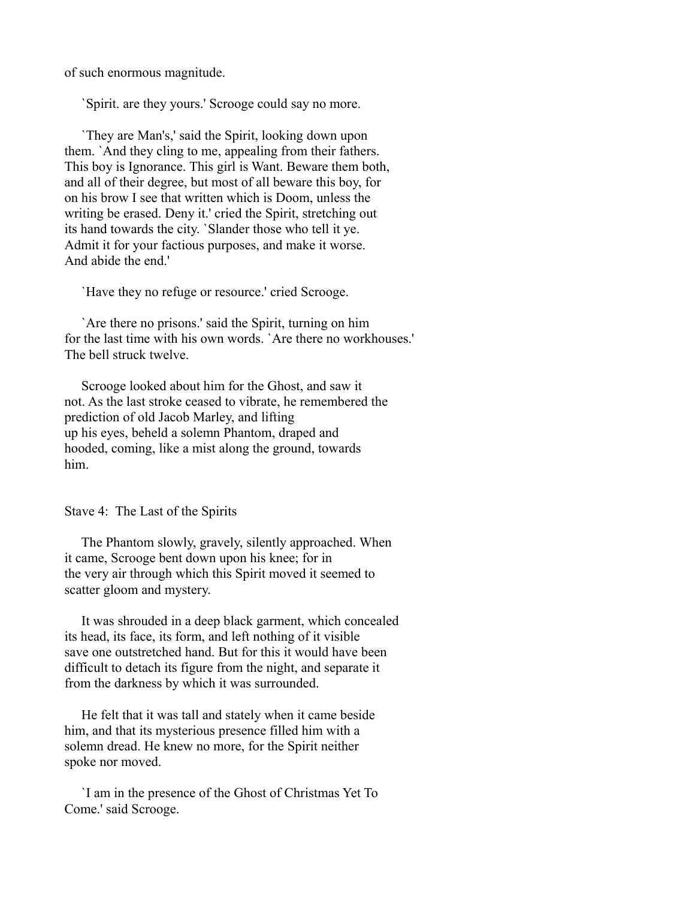of such enormous magnitude.

`Spirit. are they yours.' Scrooge could say no more.

 `They are Man's,' said the Spirit, looking down upon them. `And they cling to me, appealing from their fathers. This boy is Ignorance. This girl is Want. Beware them both, and all of their degree, but most of all beware this boy, for on his brow I see that written which is Doom, unless the writing be erased. Deny it.' cried the Spirit, stretching out its hand towards the city. `Slander those who tell it ye. Admit it for your factious purposes, and make it worse. And abide the end.'

`Have they no refuge or resource.' cried Scrooge.

 `Are there no prisons.' said the Spirit, turning on him for the last time with his own words. `Are there no workhouses.' The bell struck twelve.

 Scrooge looked about him for the Ghost, and saw it not. As the last stroke ceased to vibrate, he remembered the prediction of old Jacob Marley, and lifting up his eyes, beheld a solemn Phantom, draped and hooded, coming, like a mist along the ground, towards him.

Stave 4: The Last of the Spirits

 The Phantom slowly, gravely, silently approached. When it came, Scrooge bent down upon his knee; for in the very air through which this Spirit moved it seemed to scatter gloom and mystery.

 It was shrouded in a deep black garment, which concealed its head, its face, its form, and left nothing of it visible save one outstretched hand. But for this it would have been difficult to detach its figure from the night, and separate it from the darkness by which it was surrounded.

 He felt that it was tall and stately when it came beside him, and that its mysterious presence filled him with a solemn dread. He knew no more, for the Spirit neither spoke nor moved.

 `I am in the presence of the Ghost of Christmas Yet To Come.' said Scrooge.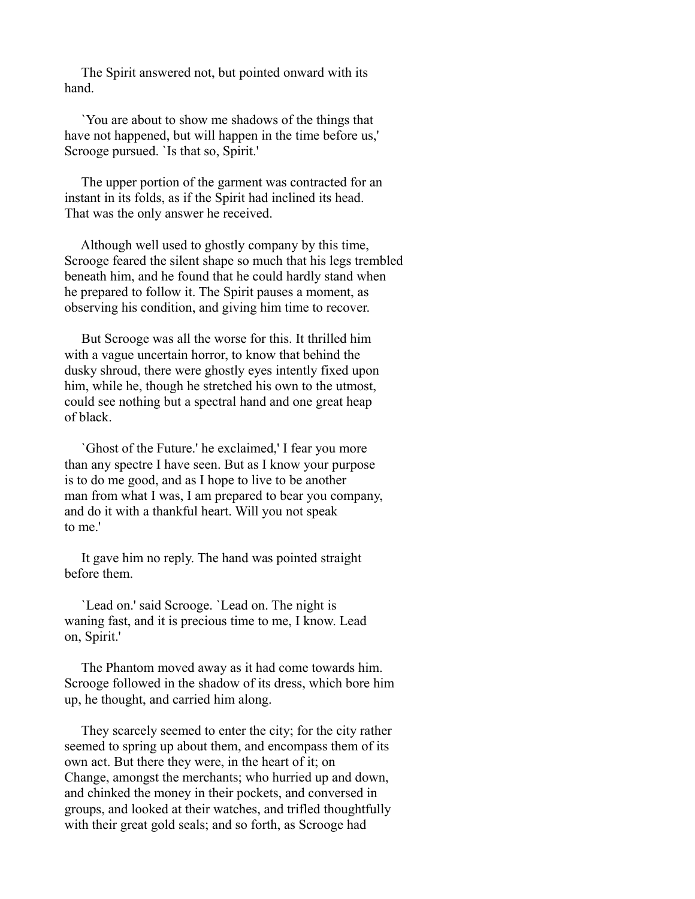The Spirit answered not, but pointed onward with its hand.

 `You are about to show me shadows of the things that have not happened, but will happen in the time before us,' Scrooge pursued. `Is that so, Spirit.'

 The upper portion of the garment was contracted for an instant in its folds, as if the Spirit had inclined its head. That was the only answer he received.

 Although well used to ghostly company by this time, Scrooge feared the silent shape so much that his legs trembled beneath him, and he found that he could hardly stand when he prepared to follow it. The Spirit pauses a moment, as observing his condition, and giving him time to recover.

 But Scrooge was all the worse for this. It thrilled him with a vague uncertain horror, to know that behind the dusky shroud, there were ghostly eyes intently fixed upon him, while he, though he stretched his own to the utmost, could see nothing but a spectral hand and one great heap of black.

 `Ghost of the Future.' he exclaimed,' I fear you more than any spectre I have seen. But as I know your purpose is to do me good, and as I hope to live to be another man from what I was, I am prepared to bear you company, and do it with a thankful heart. Will you not speak to me.'

 It gave him no reply. The hand was pointed straight before them.

 `Lead on.' said Scrooge. `Lead on. The night is waning fast, and it is precious time to me, I know. Lead on, Spirit.'

 The Phantom moved away as it had come towards him. Scrooge followed in the shadow of its dress, which bore him up, he thought, and carried him along.

 They scarcely seemed to enter the city; for the city rather seemed to spring up about them, and encompass them of its own act. But there they were, in the heart of it; on Change, amongst the merchants; who hurried up and down, and chinked the money in their pockets, and conversed in groups, and looked at their watches, and trifled thoughtfully with their great gold seals; and so forth, as Scrooge had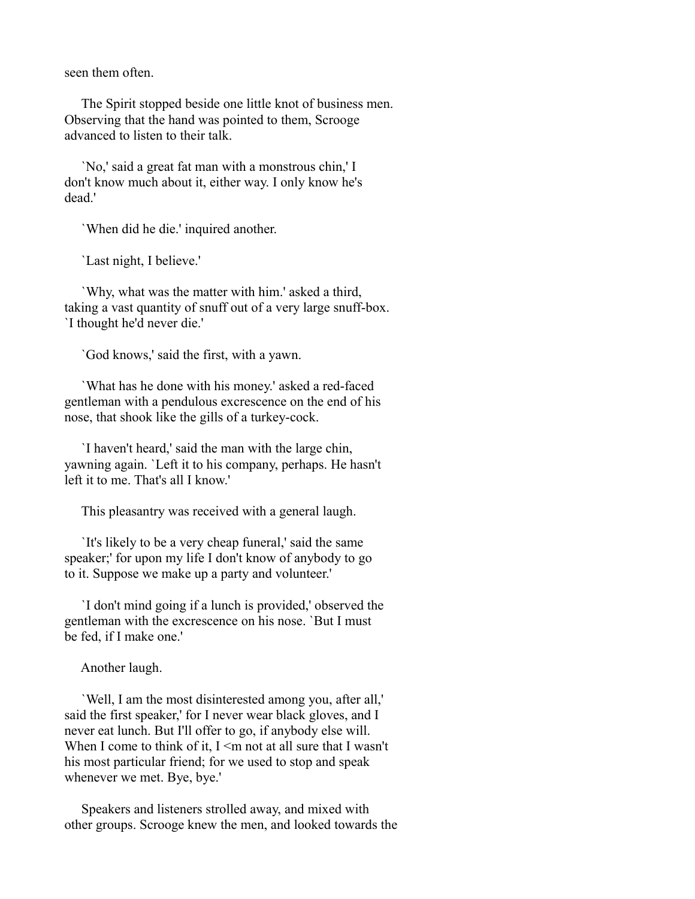seen them often.

 The Spirit stopped beside one little knot of business men. Observing that the hand was pointed to them, Scrooge advanced to listen to their talk.

 `No,' said a great fat man with a monstrous chin,' I don't know much about it, either way. I only know he's dead.'

`When did he die.' inquired another.

`Last night, I believe.'

 `Why, what was the matter with him.' asked a third, taking a vast quantity of snuff out of a very large snuff-box. `I thought he'd never die.'

`God knows,' said the first, with a yawn.

 `What has he done with his money.' asked a red-faced gentleman with a pendulous excrescence on the end of his nose, that shook like the gills of a turkey-cock.

 `I haven't heard,' said the man with the large chin, yawning again. `Left it to his company, perhaps. He hasn't left it to me. That's all I know.'

This pleasantry was received with a general laugh.

 `It's likely to be a very cheap funeral,' said the same speaker;' for upon my life I don't know of anybody to go to it. Suppose we make up a party and volunteer.'

 `I don't mind going if a lunch is provided,' observed the gentleman with the excrescence on his nose. `But I must be fed, if I make one.'

Another laugh.

 `Well, I am the most disinterested among you, after all,' said the first speaker,' for I never wear black gloves, and I never eat lunch. But I'll offer to go, if anybody else will. When I come to think of it,  $I \le m$  not at all sure that I wasn't his most particular friend; for we used to stop and speak whenever we met. Bye, bye.'

 Speakers and listeners strolled away, and mixed with other groups. Scrooge knew the men, and looked towards the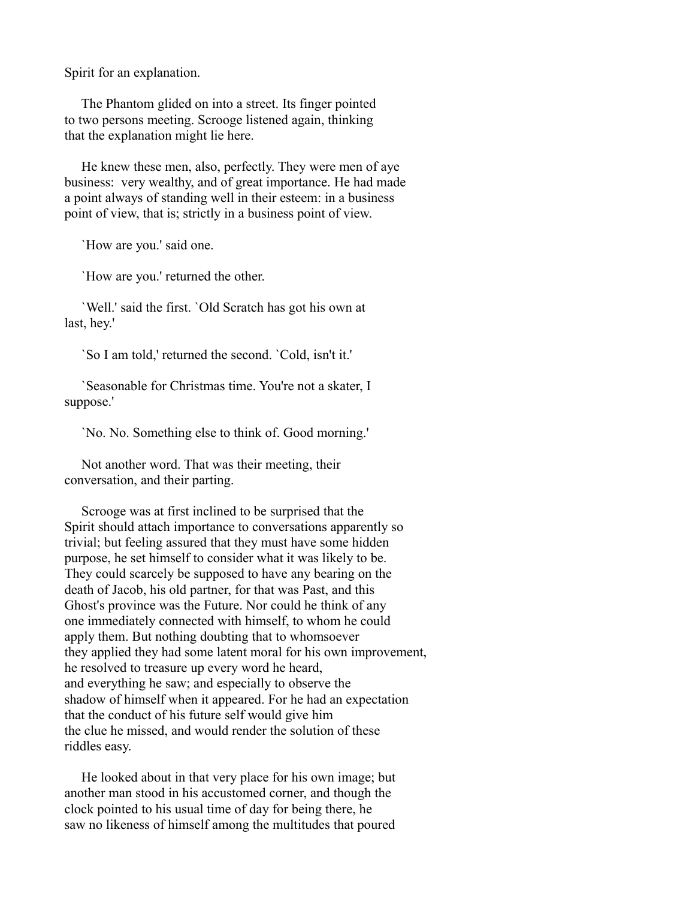Spirit for an explanation.

 The Phantom glided on into a street. Its finger pointed to two persons meeting. Scrooge listened again, thinking that the explanation might lie here.

 He knew these men, also, perfectly. They were men of aye business: very wealthy, and of great importance. He had made a point always of standing well in their esteem: in a business point of view, that is; strictly in a business point of view.

`How are you.' said one.

`How are you.' returned the other.

 `Well.' said the first. `Old Scratch has got his own at last, hey.'

`So I am told,' returned the second. `Cold, isn't it.'

 `Seasonable for Christmas time. You're not a skater, I suppose.'

`No. No. Something else to think of. Good morning.'

 Not another word. That was their meeting, their conversation, and their parting.

 Scrooge was at first inclined to be surprised that the Spirit should attach importance to conversations apparently so trivial; but feeling assured that they must have some hidden purpose, he set himself to consider what it was likely to be. They could scarcely be supposed to have any bearing on the death of Jacob, his old partner, for that was Past, and this Ghost's province was the Future. Nor could he think of any one immediately connected with himself, to whom he could apply them. But nothing doubting that to whomsoever they applied they had some latent moral for his own improvement, he resolved to treasure up every word he heard, and everything he saw; and especially to observe the shadow of himself when it appeared. For he had an expectation that the conduct of his future self would give him the clue he missed, and would render the solution of these riddles easy.

 He looked about in that very place for his own image; but another man stood in his accustomed corner, and though the clock pointed to his usual time of day for being there, he saw no likeness of himself among the multitudes that poured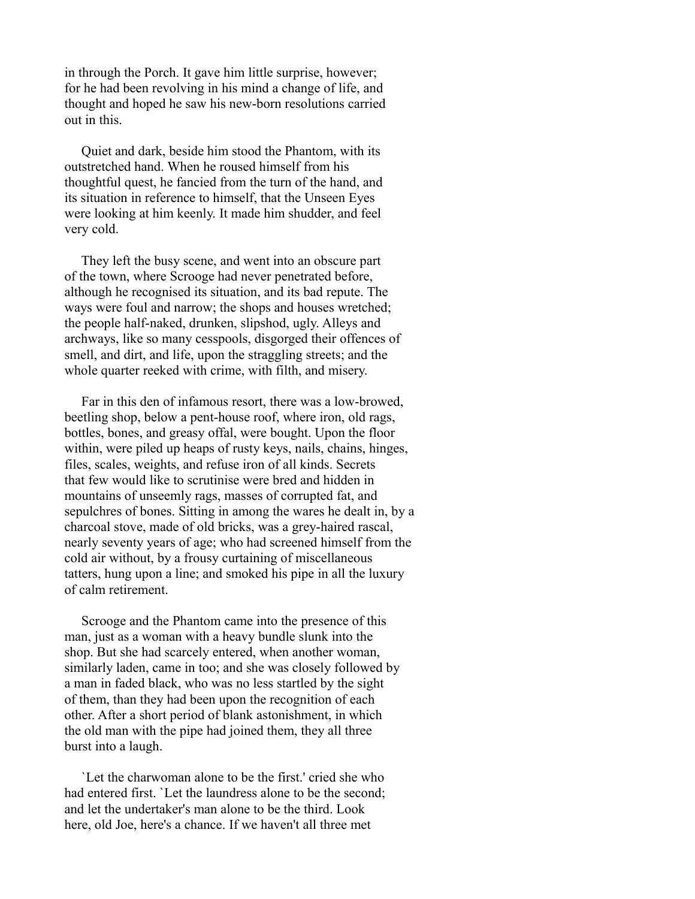in through the Porch. It gave him little surprise, however; for he had been revolving in his mind a change of life, and thought and hoped he saw his new-born resolutions carried out in this.

 Quiet and dark, beside him stood the Phantom, with its outstretched hand. When he roused himself from his thoughtful quest, he fancied from the turn of the hand, and its situation in reference to himself, that the Unseen Eyes were looking at him keenly. It made him shudder, and feel very cold.

 They left the busy scene, and went into an obscure part of the town, where Scrooge had never penetrated before, although he recognised its situation, and its bad repute. The ways were foul and narrow; the shops and houses wretched; the people half-naked, drunken, slipshod, ugly. Alleys and archways, like so many cesspools, disgorged their offences of smell, and dirt, and life, upon the straggling streets; and the whole quarter reeked with crime, with filth, and misery.

 Far in this den of infamous resort, there was a low-browed, beetling shop, below a pent-house roof, where iron, old rags, bottles, bones, and greasy offal, were bought. Upon the floor within, were piled up heaps of rusty keys, nails, chains, hinges, files, scales, weights, and refuse iron of all kinds. Secrets that few would like to scrutinise were bred and hidden in mountains of unseemly rags, masses of corrupted fat, and sepulchres of bones. Sitting in among the wares he dealt in, by a charcoal stove, made of old bricks, was a grey-haired rascal, nearly seventy years of age; who had screened himself from the cold air without, by a frousy curtaining of miscellaneous tatters, hung upon a line; and smoked his pipe in all the luxury of calm retirement.

 Scrooge and the Phantom came into the presence of this man, just as a woman with a heavy bundle slunk into the shop. But she had scarcely entered, when another woman, similarly laden, came in too; and she was closely followed by a man in faded black, who was no less startled by the sight of them, than they had been upon the recognition of each other. After a short period of blank astonishment, in which the old man with the pipe had joined them, they all three burst into a laugh.

 `Let the charwoman alone to be the first.' cried she who had entered first. `Let the laundress alone to be the second; and let the undertaker's man alone to be the third. Look here, old Joe, here's a chance. If we haven't all three met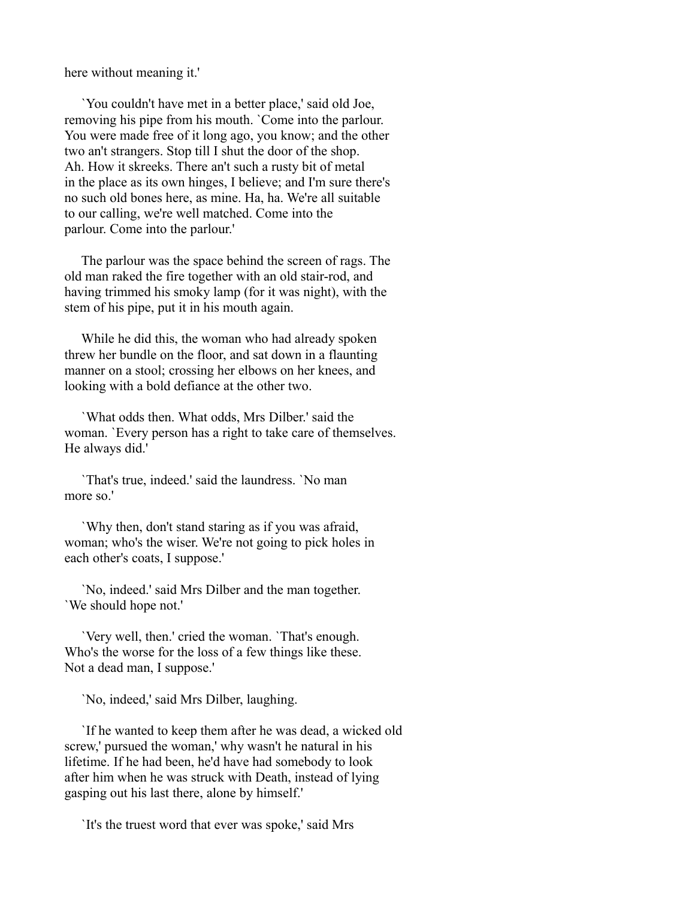here without meaning it.'

 `You couldn't have met in a better place,' said old Joe, removing his pipe from his mouth. `Come into the parlour. You were made free of it long ago, you know; and the other two an't strangers. Stop till I shut the door of the shop. Ah. How it skreeks. There an't such a rusty bit of metal in the place as its own hinges, I believe; and I'm sure there's no such old bones here, as mine. Ha, ha. We're all suitable to our calling, we're well matched. Come into the parlour. Come into the parlour.'

 The parlour was the space behind the screen of rags. The old man raked the fire together with an old stair-rod, and having trimmed his smoky lamp (for it was night), with the stem of his pipe, put it in his mouth again.

 While he did this, the woman who had already spoken threw her bundle on the floor, and sat down in a flaunting manner on a stool; crossing her elbows on her knees, and looking with a bold defiance at the other two.

 `What odds then. What odds, Mrs Dilber.' said the woman. `Every person has a right to take care of themselves. He always did.'

 `That's true, indeed.' said the laundress. `No man more so.'

 `Why then, don't stand staring as if you was afraid, woman; who's the wiser. We're not going to pick holes in each other's coats, I suppose.'

 `No, indeed.' said Mrs Dilber and the man together. `We should hope not.'

 `Very well, then.' cried the woman. `That's enough. Who's the worse for the loss of a few things like these. Not a dead man, I suppose.'

`No, indeed,' said Mrs Dilber, laughing.

 `If he wanted to keep them after he was dead, a wicked old screw,' pursued the woman,' why wasn't he natural in his lifetime. If he had been, he'd have had somebody to look after him when he was struck with Death, instead of lying gasping out his last there, alone by himself.'

`It's the truest word that ever was spoke,' said Mrs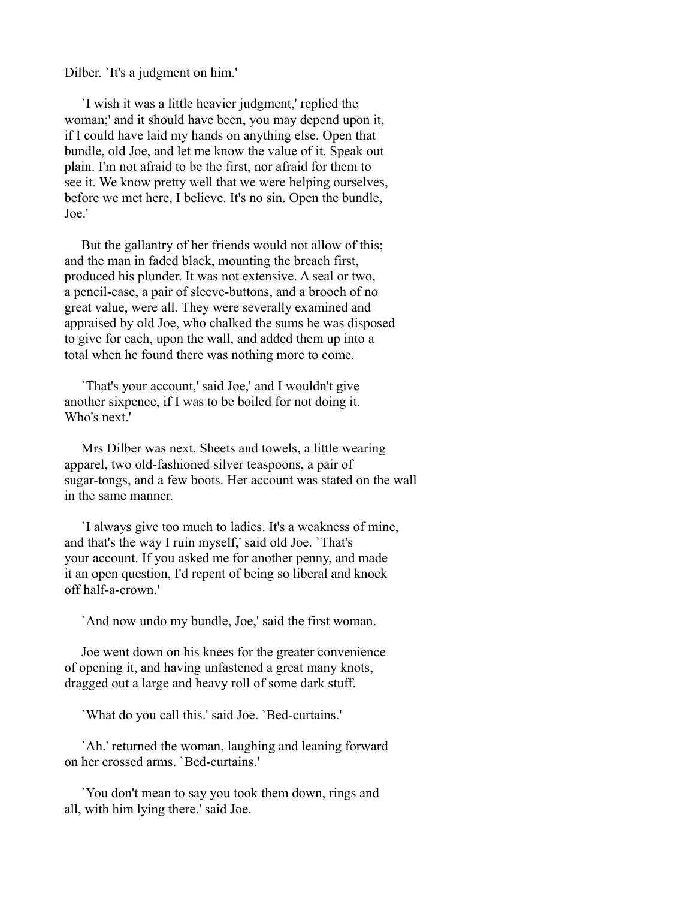Dilber. `It's a judgment on him.'

 `I wish it was a little heavier judgment,' replied the woman;' and it should have been, you may depend upon it, if I could have laid my hands on anything else. Open that bundle, old Joe, and let me know the value of it. Speak out plain. I'm not afraid to be the first, nor afraid for them to see it. We know pretty well that we were helping ourselves, before we met here, I believe. It's no sin. Open the bundle, Joe.'

 But the gallantry of her friends would not allow of this; and the man in faded black, mounting the breach first, produced his plunder. It was not extensive. A seal or two, a pencil-case, a pair of sleeve-buttons, and a brooch of no great value, were all. They were severally examined and appraised by old Joe, who chalked the sums he was disposed to give for each, upon the wall, and added them up into a total when he found there was nothing more to come.

 `That's your account,' said Joe,' and I wouldn't give another sixpence, if I was to be boiled for not doing it. Who's next'

 Mrs Dilber was next. Sheets and towels, a little wearing apparel, two old-fashioned silver teaspoons, a pair of sugar-tongs, and a few boots. Her account was stated on the wall in the same manner.

 `I always give too much to ladies. It's a weakness of mine, and that's the way I ruin myself,' said old Joe. `That's your account. If you asked me for another penny, and made it an open question, I'd repent of being so liberal and knock off half-a-crown.'

`And now undo my bundle, Joe,' said the first woman.

 Joe went down on his knees for the greater convenience of opening it, and having unfastened a great many knots, dragged out a large and heavy roll of some dark stuff.

`What do you call this.' said Joe. `Bed-curtains.'

 `Ah.' returned the woman, laughing and leaning forward on her crossed arms. `Bed-curtains.'

 `You don't mean to say you took them down, rings and all, with him lying there.' said Joe.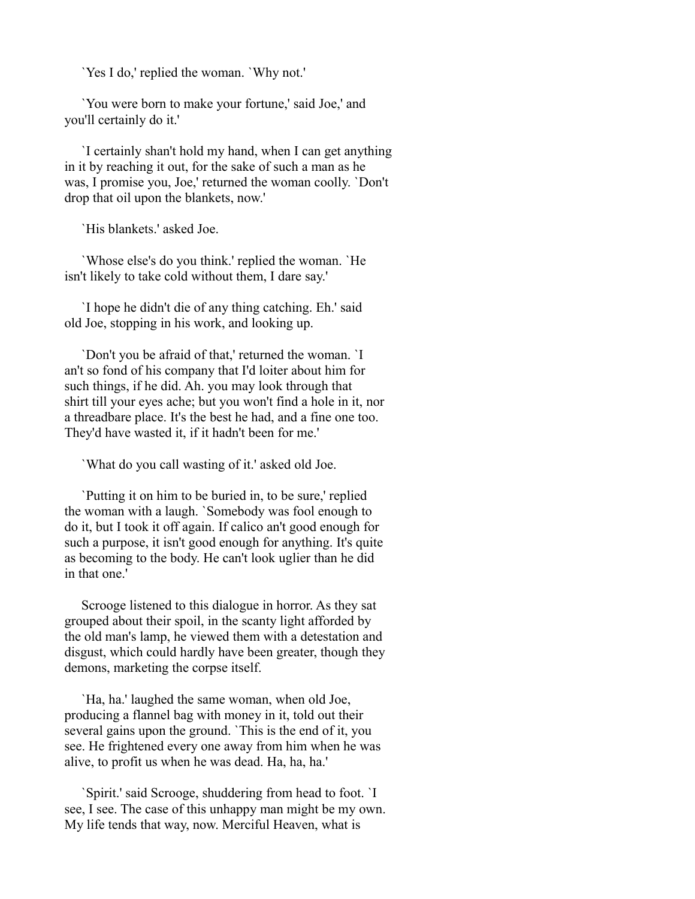`Yes I do,' replied the woman. `Why not.'

 `You were born to make your fortune,' said Joe,' and you'll certainly do it.'

 `I certainly shan't hold my hand, when I can get anything in it by reaching it out, for the sake of such a man as he was, I promise you, Joe,' returned the woman coolly. `Don't drop that oil upon the blankets, now.'

`His blankets.' asked Joe.

 `Whose else's do you think.' replied the woman. `He isn't likely to take cold without them, I dare say.'

 `I hope he didn't die of any thing catching. Eh.' said old Joe, stopping in his work, and looking up.

 `Don't you be afraid of that,' returned the woman. `I an't so fond of his company that I'd loiter about him for such things, if he did. Ah. you may look through that shirt till your eyes ache; but you won't find a hole in it, nor a threadbare place. It's the best he had, and a fine one too. They'd have wasted it, if it hadn't been for me.'

`What do you call wasting of it.' asked old Joe.

 `Putting it on him to be buried in, to be sure,' replied the woman with a laugh. `Somebody was fool enough to do it, but I took it off again. If calico an't good enough for such a purpose, it isn't good enough for anything. It's quite as becoming to the body. He can't look uglier than he did in that one.'

 Scrooge listened to this dialogue in horror. As they sat grouped about their spoil, in the scanty light afforded by the old man's lamp, he viewed them with a detestation and disgust, which could hardly have been greater, though they demons, marketing the corpse itself.

 `Ha, ha.' laughed the same woman, when old Joe, producing a flannel bag with money in it, told out their several gains upon the ground. `This is the end of it, you see. He frightened every one away from him when he was alive, to profit us when he was dead. Ha, ha, ha.'

 `Spirit.' said Scrooge, shuddering from head to foot. `I see, I see. The case of this unhappy man might be my own. My life tends that way, now. Merciful Heaven, what is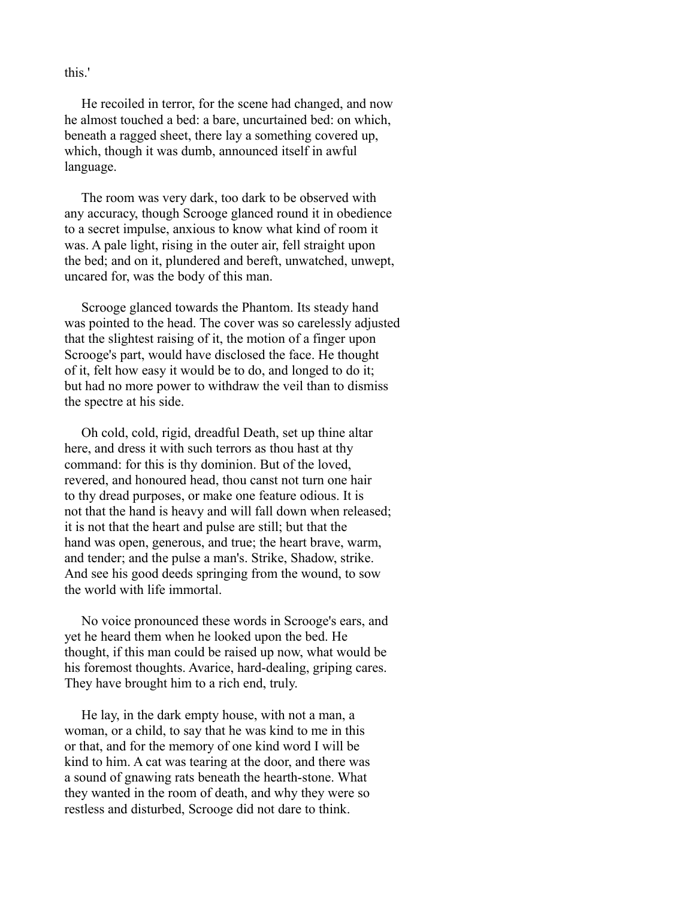this.'

 He recoiled in terror, for the scene had changed, and now he almost touched a bed: a bare, uncurtained bed: on which, beneath a ragged sheet, there lay a something covered up, which, though it was dumb, announced itself in awful language.

 The room was very dark, too dark to be observed with any accuracy, though Scrooge glanced round it in obedience to a secret impulse, anxious to know what kind of room it was. A pale light, rising in the outer air, fell straight upon the bed; and on it, plundered and bereft, unwatched, unwept, uncared for, was the body of this man.

 Scrooge glanced towards the Phantom. Its steady hand was pointed to the head. The cover was so carelessly adjusted that the slightest raising of it, the motion of a finger upon Scrooge's part, would have disclosed the face. He thought of it, felt how easy it would be to do, and longed to do it; but had no more power to withdraw the veil than to dismiss the spectre at his side.

 Oh cold, cold, rigid, dreadful Death, set up thine altar here, and dress it with such terrors as thou hast at thy command: for this is thy dominion. But of the loved, revered, and honoured head, thou canst not turn one hair to thy dread purposes, or make one feature odious. It is not that the hand is heavy and will fall down when released; it is not that the heart and pulse are still; but that the hand was open, generous, and true; the heart brave, warm, and tender; and the pulse a man's. Strike, Shadow, strike. And see his good deeds springing from the wound, to sow the world with life immortal.

 No voice pronounced these words in Scrooge's ears, and yet he heard them when he looked upon the bed. He thought, if this man could be raised up now, what would be his foremost thoughts. Avarice, hard-dealing, griping cares. They have brought him to a rich end, truly.

 He lay, in the dark empty house, with not a man, a woman, or a child, to say that he was kind to me in this or that, and for the memory of one kind word I will be kind to him. A cat was tearing at the door, and there was a sound of gnawing rats beneath the hearth-stone. What they wanted in the room of death, and why they were so restless and disturbed, Scrooge did not dare to think.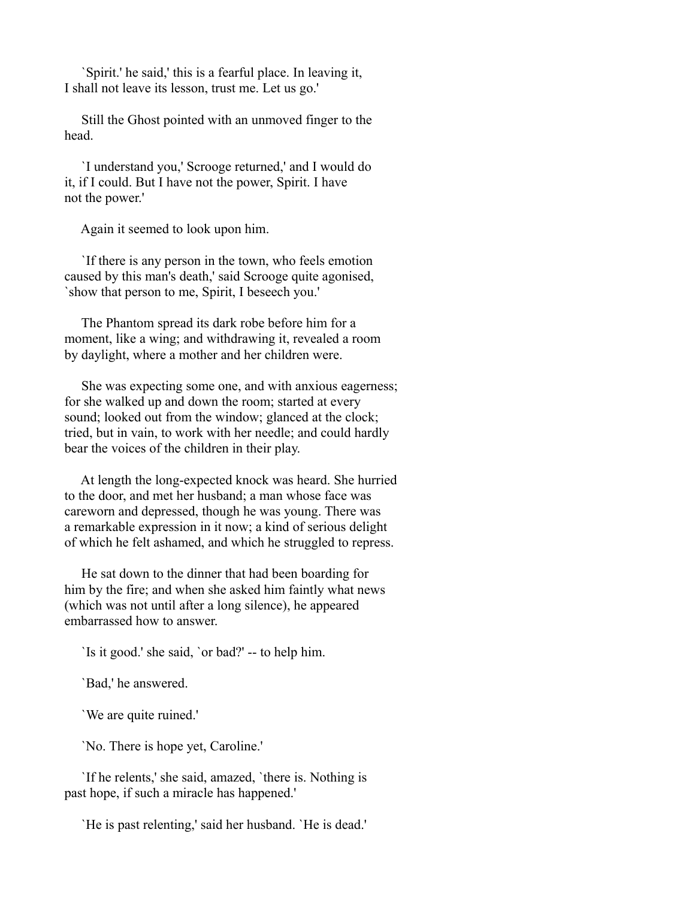`Spirit.' he said,' this is a fearful place. In leaving it, I shall not leave its lesson, trust me. Let us go.'

 Still the Ghost pointed with an unmoved finger to the head.

 `I understand you,' Scrooge returned,' and I would do it, if I could. But I have not the power, Spirit. I have not the power.'

Again it seemed to look upon him.

 `If there is any person in the town, who feels emotion caused by this man's death,' said Scrooge quite agonised, `show that person to me, Spirit, I beseech you.'

 The Phantom spread its dark robe before him for a moment, like a wing; and withdrawing it, revealed a room by daylight, where a mother and her children were.

 She was expecting some one, and with anxious eagerness; for she walked up and down the room; started at every sound; looked out from the window; glanced at the clock; tried, but in vain, to work with her needle; and could hardly bear the voices of the children in their play.

 At length the long-expected knock was heard. She hurried to the door, and met her husband; a man whose face was careworn and depressed, though he was young. There was a remarkable expression in it now; a kind of serious delight of which he felt ashamed, and which he struggled to repress.

 He sat down to the dinner that had been boarding for him by the fire; and when she asked him faintly what news (which was not until after a long silence), he appeared embarrassed how to answer.

`Is it good.' she said, `or bad?' -- to help him.

`Bad,' he answered.

`We are quite ruined.'

`No. There is hope yet, Caroline.'

 `If he relents,' she said, amazed, `there is. Nothing is past hope, if such a miracle has happened.'

`He is past relenting,' said her husband. `He is dead.'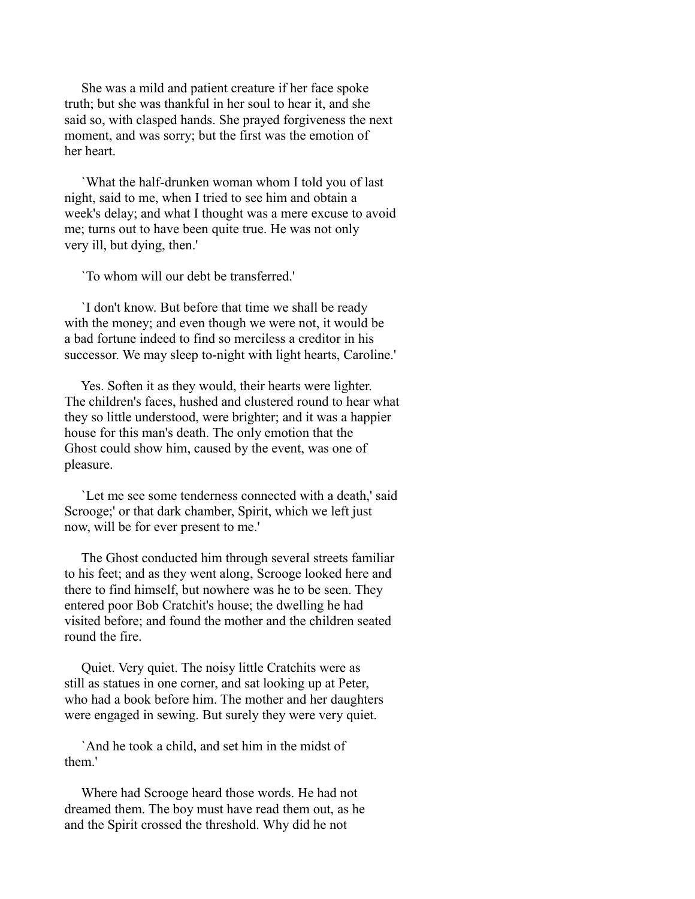She was a mild and patient creature if her face spoke truth; but she was thankful in her soul to hear it, and she said so, with clasped hands. She prayed forgiveness the next moment, and was sorry; but the first was the emotion of her heart.

 `What the half-drunken woman whom I told you of last night, said to me, when I tried to see him and obtain a week's delay; and what I thought was a mere excuse to avoid me; turns out to have been quite true. He was not only very ill, but dying, then.'

`To whom will our debt be transferred.'

 `I don't know. But before that time we shall be ready with the money; and even though we were not, it would be a bad fortune indeed to find so merciless a creditor in his successor. We may sleep to-night with light hearts, Caroline.'

 Yes. Soften it as they would, their hearts were lighter. The children's faces, hushed and clustered round to hear what they so little understood, were brighter; and it was a happier house for this man's death. The only emotion that the Ghost could show him, caused by the event, was one of pleasure.

 `Let me see some tenderness connected with a death,' said Scrooge;' or that dark chamber, Spirit, which we left just now, will be for ever present to me.'

 The Ghost conducted him through several streets familiar to his feet; and as they went along, Scrooge looked here and there to find himself, but nowhere was he to be seen. They entered poor Bob Cratchit's house; the dwelling he had visited before; and found the mother and the children seated round the fire.

 Quiet. Very quiet. The noisy little Cratchits were as still as statues in one corner, and sat looking up at Peter, who had a book before him. The mother and her daughters were engaged in sewing. But surely they were very quiet.

 `And he took a child, and set him in the midst of them.'

 Where had Scrooge heard those words. He had not dreamed them. The boy must have read them out, as he and the Spirit crossed the threshold. Why did he not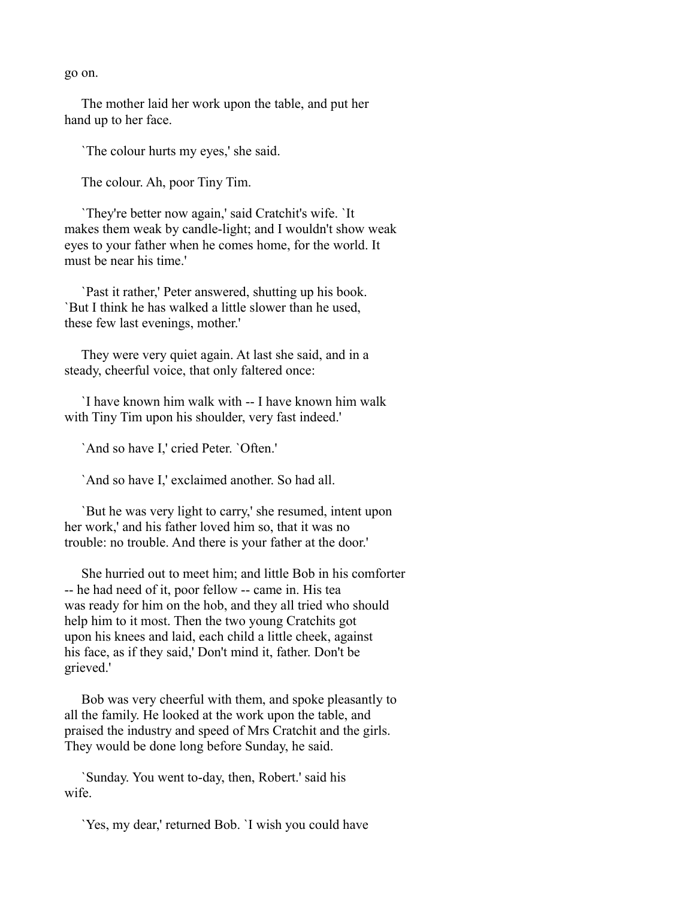go on.

 The mother laid her work upon the table, and put her hand up to her face.

`The colour hurts my eyes,' she said.

The colour. Ah, poor Tiny Tim.

 `They're better now again,' said Cratchit's wife. `It makes them weak by candle-light; and I wouldn't show weak eyes to your father when he comes home, for the world. It must be near his time.'

 `Past it rather,' Peter answered, shutting up his book. `But I think he has walked a little slower than he used, these few last evenings, mother.'

 They were very quiet again. At last she said, and in a steady, cheerful voice, that only faltered once:

 `I have known him walk with -- I have known him walk with Tiny Tim upon his shoulder, very fast indeed.'

`And so have I,' cried Peter. `Often.'

`And so have I,' exclaimed another. So had all.

 `But he was very light to carry,' she resumed, intent upon her work,' and his father loved him so, that it was no trouble: no trouble. And there is your father at the door.'

 She hurried out to meet him; and little Bob in his comforter -- he had need of it, poor fellow -- came in. His tea was ready for him on the hob, and they all tried who should help him to it most. Then the two young Cratchits got upon his knees and laid, each child a little cheek, against his face, as if they said,' Don't mind it, father. Don't be grieved.'

 Bob was very cheerful with them, and spoke pleasantly to all the family. He looked at the work upon the table, and praised the industry and speed of Mrs Cratchit and the girls. They would be done long before Sunday, he said.

 `Sunday. You went to-day, then, Robert.' said his wife.

`Yes, my dear,' returned Bob. `I wish you could have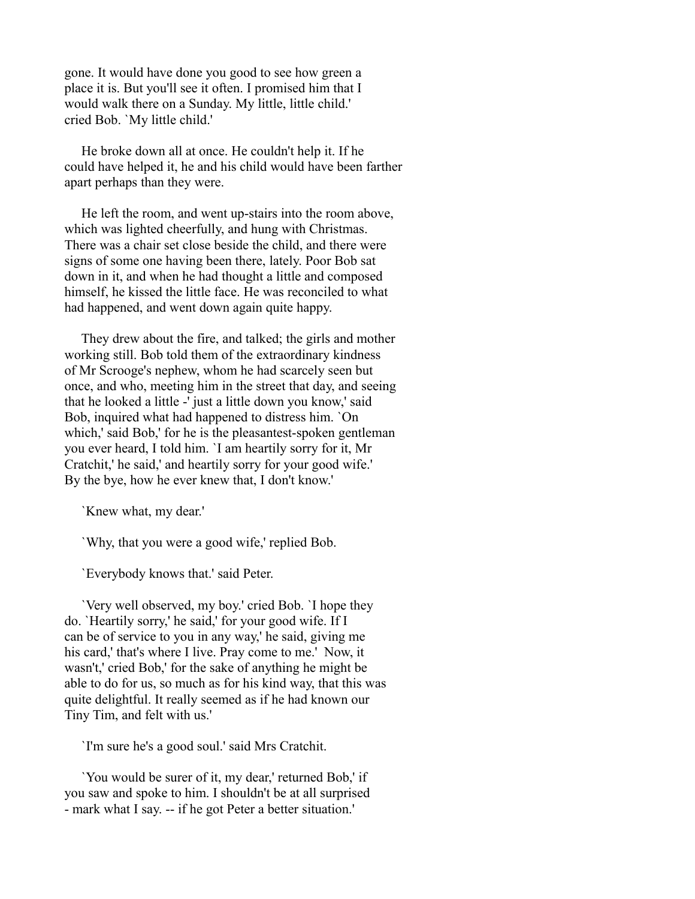gone. It would have done you good to see how green a place it is. But you'll see it often. I promised him that I would walk there on a Sunday. My little, little child.' cried Bob. `My little child.'

 He broke down all at once. He couldn't help it. If he could have helped it, he and his child would have been farther apart perhaps than they were.

 He left the room, and went up-stairs into the room above, which was lighted cheerfully, and hung with Christmas. There was a chair set close beside the child, and there were signs of some one having been there, lately. Poor Bob sat down in it, and when he had thought a little and composed himself, he kissed the little face. He was reconciled to what had happened, and went down again quite happy.

 They drew about the fire, and talked; the girls and mother working still. Bob told them of the extraordinary kindness of Mr Scrooge's nephew, whom he had scarcely seen but once, and who, meeting him in the street that day, and seeing that he looked a little -' just a little down you know,' said Bob, inquired what had happened to distress him. `On which,' said Bob,' for he is the pleasantest-spoken gentleman you ever heard, I told him. `I am heartily sorry for it, Mr Cratchit,' he said,' and heartily sorry for your good wife.' By the bye, how he ever knew that, I don't know.'

`Knew what, my dear.'

`Why, that you were a good wife,' replied Bob.

`Everybody knows that.' said Peter.

 `Very well observed, my boy.' cried Bob. `I hope they do. `Heartily sorry,' he said,' for your good wife. If I can be of service to you in any way,' he said, giving me his card,' that's where I live. Pray come to me.' Now, it wasn't,' cried Bob,' for the sake of anything he might be able to do for us, so much as for his kind way, that this was quite delightful. It really seemed as if he had known our Tiny Tim, and felt with us.'

`I'm sure he's a good soul.' said Mrs Cratchit.

 `You would be surer of it, my dear,' returned Bob,' if you saw and spoke to him. I shouldn't be at all surprised - mark what I say. -- if he got Peter a better situation.'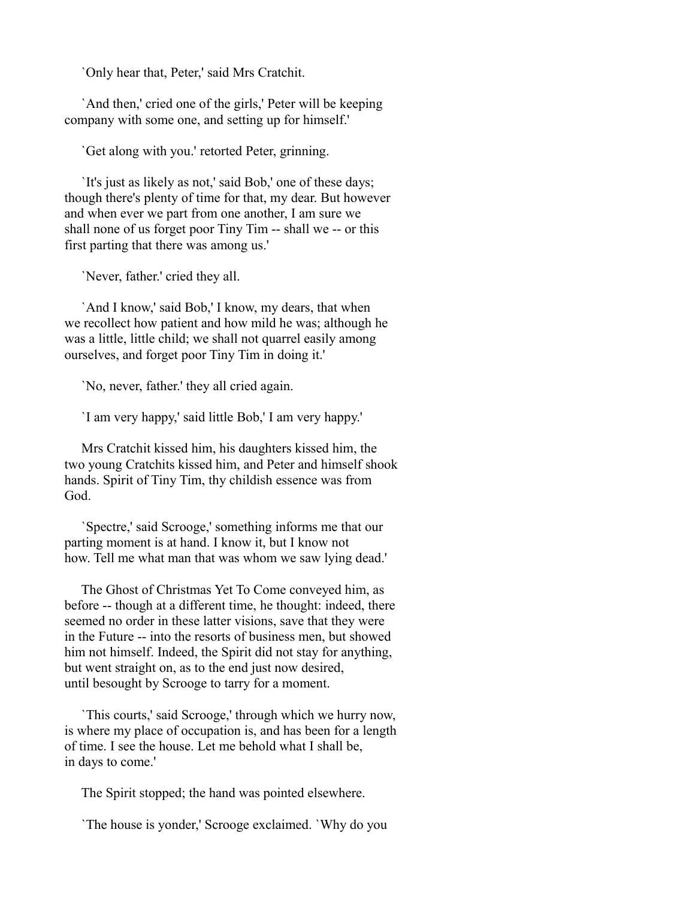`Only hear that, Peter,' said Mrs Cratchit.

 `And then,' cried one of the girls,' Peter will be keeping company with some one, and setting up for himself.'

`Get along with you.' retorted Peter, grinning.

 `It's just as likely as not,' said Bob,' one of these days; though there's plenty of time for that, my dear. But however and when ever we part from one another, I am sure we shall none of us forget poor Tiny Tim -- shall we -- or this first parting that there was among us.'

`Never, father.' cried they all.

 `And I know,' said Bob,' I know, my dears, that when we recollect how patient and how mild he was; although he was a little, little child; we shall not quarrel easily among ourselves, and forget poor Tiny Tim in doing it.'

`No, never, father.' they all cried again.

`I am very happy,' said little Bob,' I am very happy.'

 Mrs Cratchit kissed him, his daughters kissed him, the two young Cratchits kissed him, and Peter and himself shook hands. Spirit of Tiny Tim, thy childish essence was from God.

 `Spectre,' said Scrooge,' something informs me that our parting moment is at hand. I know it, but I know not how. Tell me what man that was whom we saw lying dead.'

 The Ghost of Christmas Yet To Come conveyed him, as before -- though at a different time, he thought: indeed, there seemed no order in these latter visions, save that they were in the Future -- into the resorts of business men, but showed him not himself. Indeed, the Spirit did not stay for anything, but went straight on, as to the end just now desired, until besought by Scrooge to tarry for a moment.

 `This courts,' said Scrooge,' through which we hurry now, is where my place of occupation is, and has been for a length of time. I see the house. Let me behold what I shall be, in days to come.'

The Spirit stopped; the hand was pointed elsewhere.

`The house is yonder,' Scrooge exclaimed. `Why do you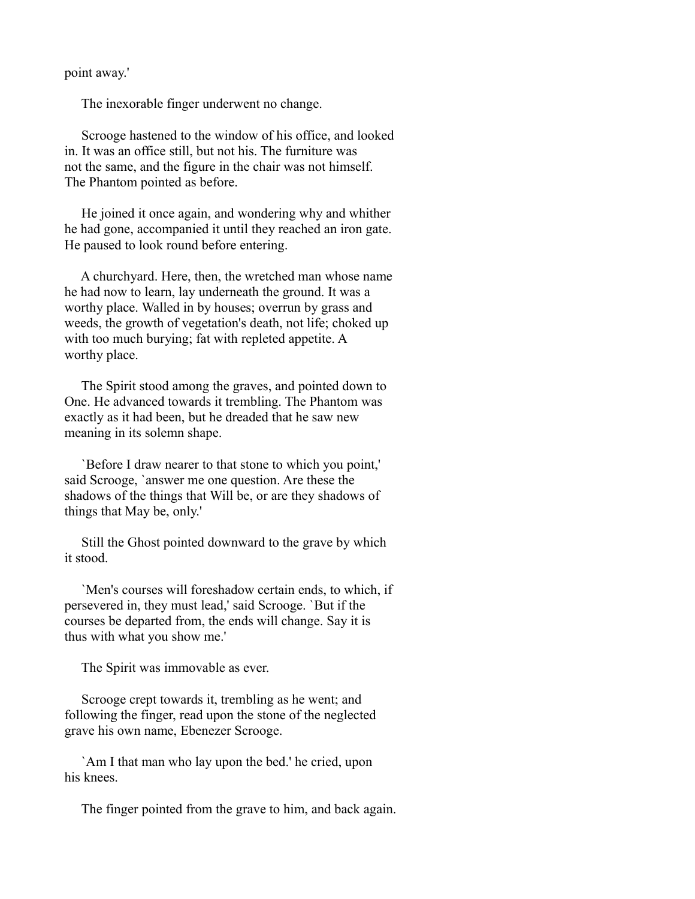point away.'

The inexorable finger underwent no change.

 Scrooge hastened to the window of his office, and looked in. It was an office still, but not his. The furniture was not the same, and the figure in the chair was not himself. The Phantom pointed as before.

 He joined it once again, and wondering why and whither he had gone, accompanied it until they reached an iron gate. He paused to look round before entering.

 A churchyard. Here, then, the wretched man whose name he had now to learn, lay underneath the ground. It was a worthy place. Walled in by houses; overrun by grass and weeds, the growth of vegetation's death, not life; choked up with too much burying; fat with repleted appetite. A worthy place.

 The Spirit stood among the graves, and pointed down to One. He advanced towards it trembling. The Phantom was exactly as it had been, but he dreaded that he saw new meaning in its solemn shape.

 `Before I draw nearer to that stone to which you point,' said Scrooge, `answer me one question. Are these the shadows of the things that Will be, or are they shadows of things that May be, only.'

 Still the Ghost pointed downward to the grave by which it stood.

 `Men's courses will foreshadow certain ends, to which, if persevered in, they must lead,' said Scrooge. `But if the courses be departed from, the ends will change. Say it is thus with what you show me.'

The Spirit was immovable as ever.

 Scrooge crept towards it, trembling as he went; and following the finger, read upon the stone of the neglected grave his own name, Ebenezer Scrooge.

 `Am I that man who lay upon the bed.' he cried, upon his knees.

The finger pointed from the grave to him, and back again.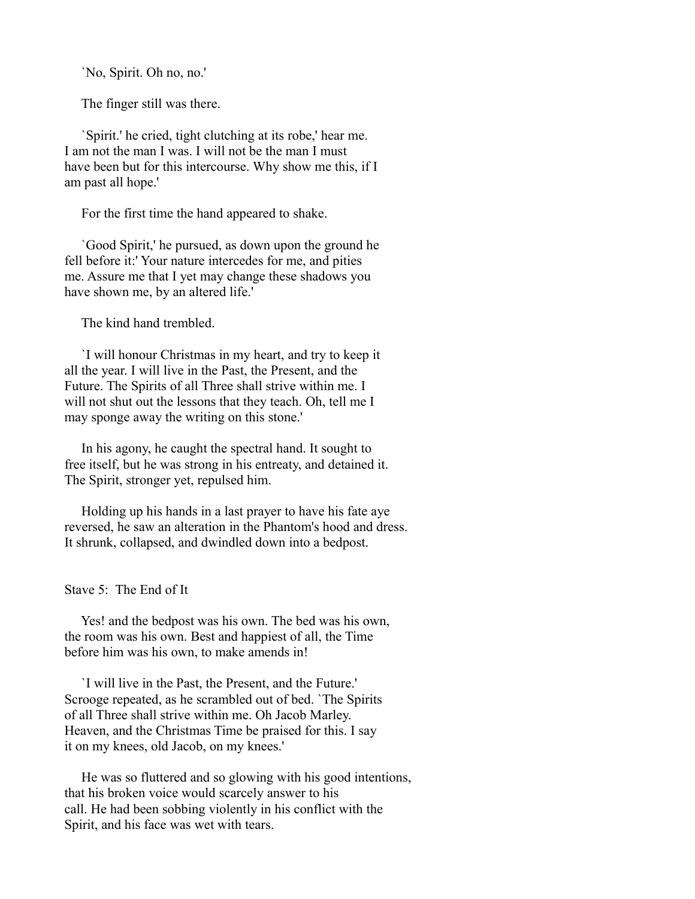`No, Spirit. Oh no, no.'

The finger still was there.

 `Spirit.' he cried, tight clutching at its robe,' hear me. I am not the man I was. I will not be the man I must have been but for this intercourse. Why show me this, if I am past all hope.'

For the first time the hand appeared to shake.

 `Good Spirit,' he pursued, as down upon the ground he fell before it:' Your nature intercedes for me, and pities me. Assure me that I yet may change these shadows you have shown me, by an altered life.'

The kind hand trembled.

 `I will honour Christmas in my heart, and try to keep it all the year. I will live in the Past, the Present, and the Future. The Spirits of all Three shall strive within me. I will not shut out the lessons that they teach. Oh, tell me I may sponge away the writing on this stone.'

 In his agony, he caught the spectral hand. It sought to free itself, but he was strong in his entreaty, and detained it. The Spirit, stronger yet, repulsed him.

 Holding up his hands in a last prayer to have his fate aye reversed, he saw an alteration in the Phantom's hood and dress. It shrunk, collapsed, and dwindled down into a bedpost.

Stave 5: The End of It

 Yes! and the bedpost was his own. The bed was his own, the room was his own. Best and happiest of all, the Time before him was his own, to make amends in!

 `I will live in the Past, the Present, and the Future.' Scrooge repeated, as he scrambled out of bed. `The Spirits of all Three shall strive within me. Oh Jacob Marley. Heaven, and the Christmas Time be praised for this. I say it on my knees, old Jacob, on my knees.'

 He was so fluttered and so glowing with his good intentions, that his broken voice would scarcely answer to his call. He had been sobbing violently in his conflict with the Spirit, and his face was wet with tears.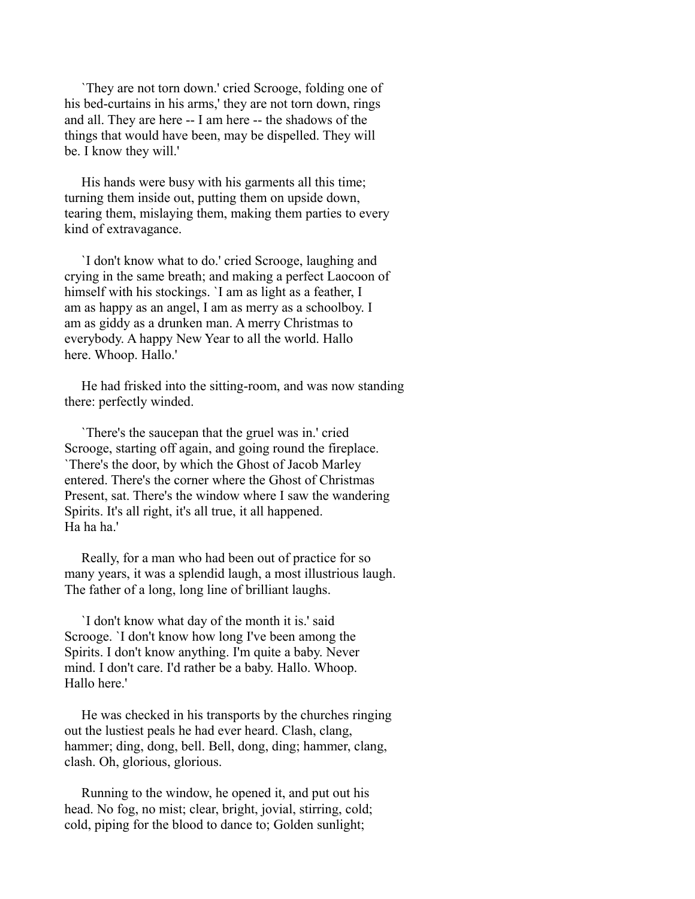`They are not torn down.' cried Scrooge, folding one of his bed-curtains in his arms,' they are not torn down, rings and all. They are here -- I am here -- the shadows of the things that would have been, may be dispelled. They will be. I know they will.'

 His hands were busy with his garments all this time; turning them inside out, putting them on upside down, tearing them, mislaying them, making them parties to every kind of extravagance.

 `I don't know what to do.' cried Scrooge, laughing and crying in the same breath; and making a perfect Laocoon of himself with his stockings. `I am as light as a feather, I am as happy as an angel, I am as merry as a schoolboy. I am as giddy as a drunken man. A merry Christmas to everybody. A happy New Year to all the world. Hallo here. Whoop. Hallo.'

 He had frisked into the sitting-room, and was now standing there: perfectly winded.

 `There's the saucepan that the gruel was in.' cried Scrooge, starting off again, and going round the fireplace. `There's the door, by which the Ghost of Jacob Marley entered. There's the corner where the Ghost of Christmas Present, sat. There's the window where I saw the wandering Spirits. It's all right, it's all true, it all happened. Ha ha ha'

 Really, for a man who had been out of practice for so many years, it was a splendid laugh, a most illustrious laugh. The father of a long, long line of brilliant laughs.

 `I don't know what day of the month it is.' said Scrooge. `I don't know how long I've been among the Spirits. I don't know anything. I'm quite a baby. Never mind. I don't care. I'd rather be a baby. Hallo. Whoop. Hallo here.'

 He was checked in his transports by the churches ringing out the lustiest peals he had ever heard. Clash, clang, hammer; ding, dong, bell. Bell, dong, ding; hammer, clang, clash. Oh, glorious, glorious.

 Running to the window, he opened it, and put out his head. No fog, no mist; clear, bright, jovial, stirring, cold; cold, piping for the blood to dance to; Golden sunlight;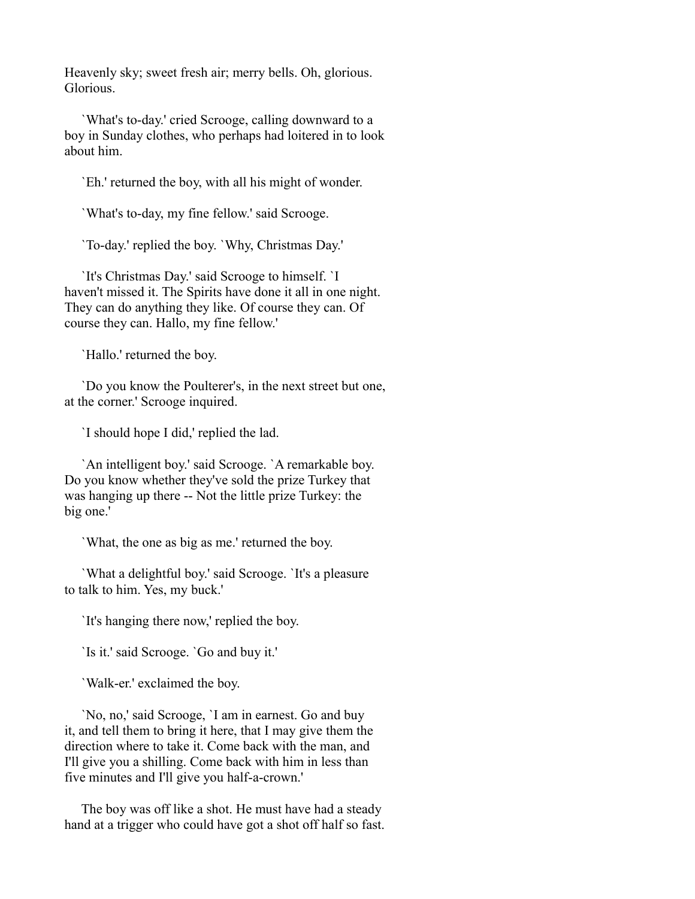Heavenly sky; sweet fresh air; merry bells. Oh, glorious. Glorious.

 `What's to-day.' cried Scrooge, calling downward to a boy in Sunday clothes, who perhaps had loitered in to look about him.

`Eh.' returned the boy, with all his might of wonder.

`What's to-day, my fine fellow.' said Scrooge.

`To-day.' replied the boy. `Why, Christmas Day.'

 `It's Christmas Day.' said Scrooge to himself. `I haven't missed it. The Spirits have done it all in one night. They can do anything they like. Of course they can. Of course they can. Hallo, my fine fellow.'

`Hallo.' returned the boy.

 `Do you know the Poulterer's, in the next street but one, at the corner.' Scrooge inquired.

`I should hope I did,' replied the lad.

 `An intelligent boy.' said Scrooge. `A remarkable boy. Do you know whether they've sold the prize Turkey that was hanging up there -- Not the little prize Turkey: the big one.'

`What, the one as big as me.' returned the boy.

 `What a delightful boy.' said Scrooge. `It's a pleasure to talk to him. Yes, my buck.'

`It's hanging there now,' replied the boy.

`Is it.' said Scrooge. `Go and buy it.'

`Walk-er.' exclaimed the boy.

 `No, no,' said Scrooge, `I am in earnest. Go and buy it, and tell them to bring it here, that I may give them the direction where to take it. Come back with the man, and I'll give you a shilling. Come back with him in less than five minutes and I'll give you half-a-crown.'

 The boy was off like a shot. He must have had a steady hand at a trigger who could have got a shot off half so fast.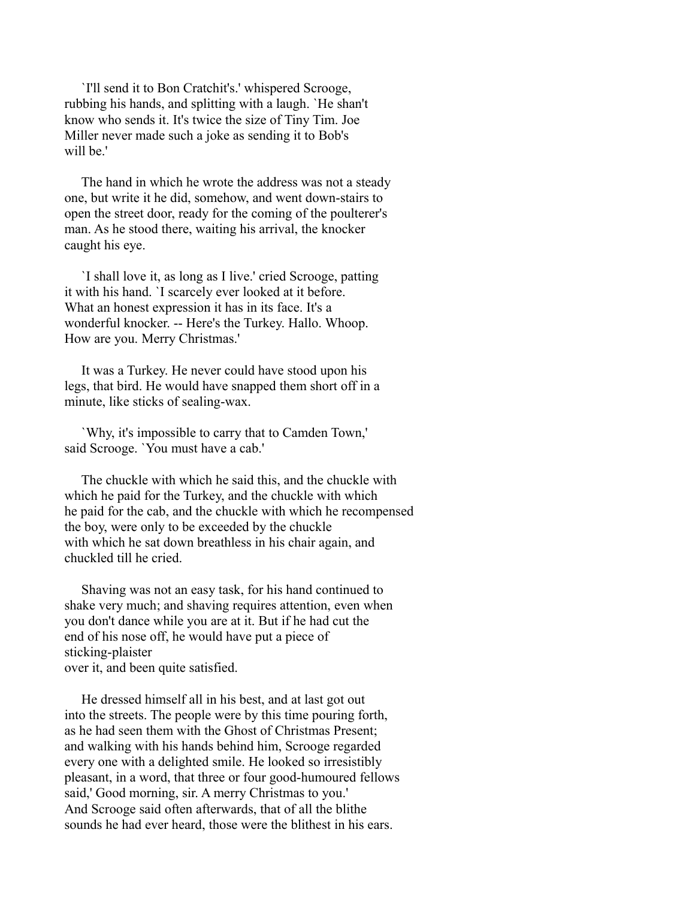`I'll send it to Bon Cratchit's.' whispered Scrooge, rubbing his hands, and splitting with a laugh. `He shan't know who sends it. It's twice the size of Tiny Tim. Joe Miller never made such a joke as sending it to Bob's will be.'

 The hand in which he wrote the address was not a steady one, but write it he did, somehow, and went down-stairs to open the street door, ready for the coming of the poulterer's man. As he stood there, waiting his arrival, the knocker caught his eye.

 `I shall love it, as long as I live.' cried Scrooge, patting it with his hand. `I scarcely ever looked at it before. What an honest expression it has in its face. It's a wonderful knocker. -- Here's the Turkey. Hallo. Whoop. How are you. Merry Christmas.'

 It was a Turkey. He never could have stood upon his legs, that bird. He would have snapped them short off in a minute, like sticks of sealing-wax.

 `Why, it's impossible to carry that to Camden Town,' said Scrooge. `You must have a cab.'

 The chuckle with which he said this, and the chuckle with which he paid for the Turkey, and the chuckle with which he paid for the cab, and the chuckle with which he recompensed the boy, were only to be exceeded by the chuckle with which he sat down breathless in his chair again, and chuckled till he cried.

 Shaving was not an easy task, for his hand continued to shake very much; and shaving requires attention, even when you don't dance while you are at it. But if he had cut the end of his nose off, he would have put a piece of sticking-plaister over it, and been quite satisfied.

 He dressed himself all in his best, and at last got out into the streets. The people were by this time pouring forth, as he had seen them with the Ghost of Christmas Present; and walking with his hands behind him, Scrooge regarded every one with a delighted smile. He looked so irresistibly pleasant, in a word, that three or four good-humoured fellows said,' Good morning, sir. A merry Christmas to you.' And Scrooge said often afterwards, that of all the blithe sounds he had ever heard, those were the blithest in his ears.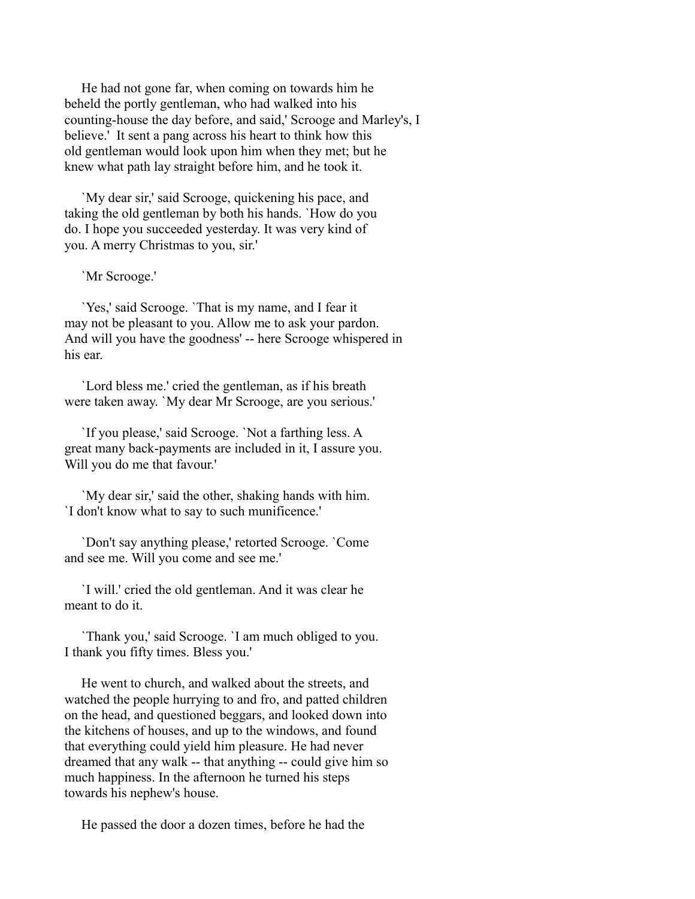He had not gone far, when coming on towards him he beheld the portly gentleman, who had walked into his counting-house the day before, and said,' Scrooge and Marley's, I believe.' It sent a pang across his heart to think how this old gentleman would look upon him when they met; but he knew what path lay straight before him, and he took it.

 `My dear sir,' said Scrooge, quickening his pace, and taking the old gentleman by both his hands. `How do you do. I hope you succeeded yesterday. It was very kind of you. A merry Christmas to you, sir.'

`Mr Scrooge.'

 `Yes,' said Scrooge. `That is my name, and I fear it may not be pleasant to you. Allow me to ask your pardon. And will you have the goodness' -- here Scrooge whispered in his ear.

 `Lord bless me.' cried the gentleman, as if his breath were taken away. `My dear Mr Scrooge, are you serious.'

 `If you please,' said Scrooge. `Not a farthing less. A great many back-payments are included in it, I assure you. Will you do me that favour.'

 `My dear sir,' said the other, shaking hands with him. `I don't know what to say to such munificence.'

 `Don't say anything please,' retorted Scrooge. `Come and see me. Will you come and see me.'

 `I will.' cried the old gentleman. And it was clear he meant to do it.

 `Thank you,' said Scrooge. `I am much obliged to you. I thank you fifty times. Bless you.'

 He went to church, and walked about the streets, and watched the people hurrying to and fro, and patted children on the head, and questioned beggars, and looked down into the kitchens of houses, and up to the windows, and found that everything could yield him pleasure. He had never dreamed that any walk -- that anything -- could give him so much happiness. In the afternoon he turned his steps towards his nephew's house.

He passed the door a dozen times, before he had the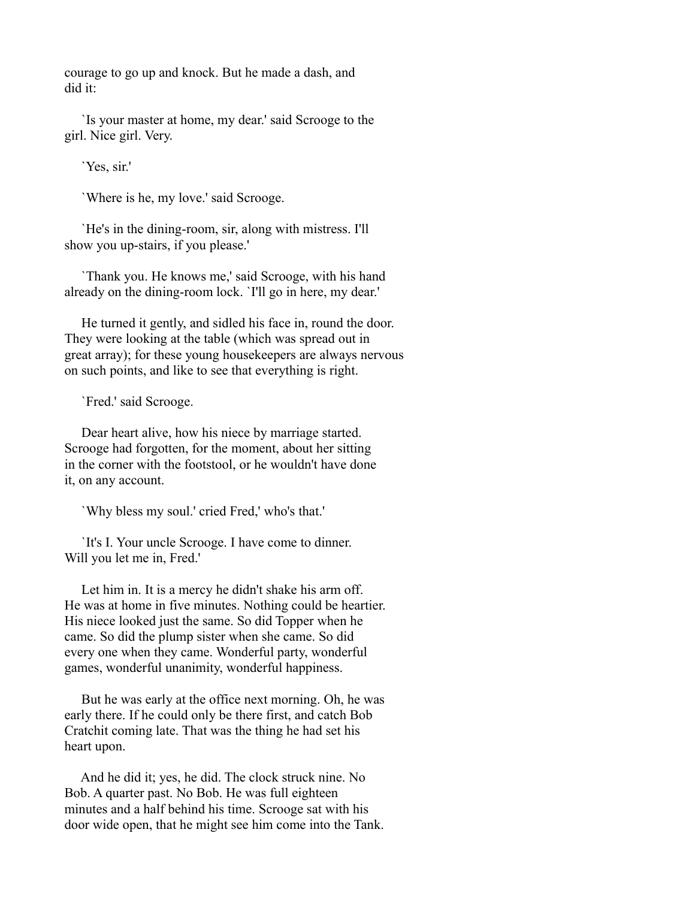courage to go up and knock. But he made a dash, and did it:

 `Is your master at home, my dear.' said Scrooge to the girl. Nice girl. Very.

`Yes, sir.'

`Where is he, my love.' said Scrooge.

 `He's in the dining-room, sir, along with mistress. I'll show you up-stairs, if you please.'

 `Thank you. He knows me,' said Scrooge, with his hand already on the dining-room lock. `I'll go in here, my dear.'

 He turned it gently, and sidled his face in, round the door. They were looking at the table (which was spread out in great array); for these young housekeepers are always nervous on such points, and like to see that everything is right.

`Fred.' said Scrooge.

 Dear heart alive, how his niece by marriage started. Scrooge had forgotten, for the moment, about her sitting in the corner with the footstool, or he wouldn't have done it, on any account.

`Why bless my soul.' cried Fred,' who's that.'

 `It's I. Your uncle Scrooge. I have come to dinner. Will you let me in, Fred.'

 Let him in. It is a mercy he didn't shake his arm off. He was at home in five minutes. Nothing could be heartier. His niece looked just the same. So did Topper when he came. So did the plump sister when she came. So did every one when they came. Wonderful party, wonderful games, wonderful unanimity, wonderful happiness.

 But he was early at the office next morning. Oh, he was early there. If he could only be there first, and catch Bob Cratchit coming late. That was the thing he had set his heart upon.

 And he did it; yes, he did. The clock struck nine. No Bob. A quarter past. No Bob. He was full eighteen minutes and a half behind his time. Scrooge sat with his door wide open, that he might see him come into the Tank.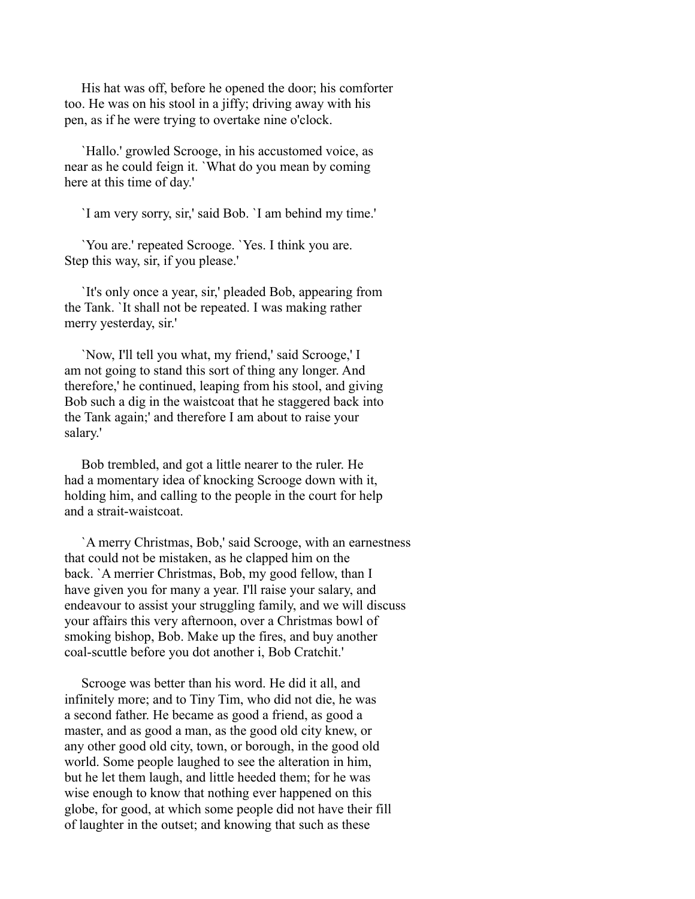His hat was off, before he opened the door; his comforter too. He was on his stool in a jiffy; driving away with his pen, as if he were trying to overtake nine o'clock.

 `Hallo.' growled Scrooge, in his accustomed voice, as near as he could feign it. `What do you mean by coming here at this time of day.'

`I am very sorry, sir,' said Bob. `I am behind my time.'

 `You are.' repeated Scrooge. `Yes. I think you are. Step this way, sir, if you please.'

 `It's only once a year, sir,' pleaded Bob, appearing from the Tank. `It shall not be repeated. I was making rather merry yesterday, sir.'

 `Now, I'll tell you what, my friend,' said Scrooge,' I am not going to stand this sort of thing any longer. And therefore,' he continued, leaping from his stool, and giving Bob such a dig in the waistcoat that he staggered back into the Tank again;' and therefore I am about to raise your salary.'

 Bob trembled, and got a little nearer to the ruler. He had a momentary idea of knocking Scrooge down with it, holding him, and calling to the people in the court for help and a strait-waistcoat.

 `A merry Christmas, Bob,' said Scrooge, with an earnestness that could not be mistaken, as he clapped him on the back. `A merrier Christmas, Bob, my good fellow, than I have given you for many a year. I'll raise your salary, and endeavour to assist your struggling family, and we will discuss your affairs this very afternoon, over a Christmas bowl of smoking bishop, Bob. Make up the fires, and buy another coal-scuttle before you dot another i, Bob Cratchit.'

 Scrooge was better than his word. He did it all, and infinitely more; and to Tiny Tim, who did not die, he was a second father. He became as good a friend, as good a master, and as good a man, as the good old city knew, or any other good old city, town, or borough, in the good old world. Some people laughed to see the alteration in him, but he let them laugh, and little heeded them; for he was wise enough to know that nothing ever happened on this globe, for good, at which some people did not have their fill of laughter in the outset; and knowing that such as these